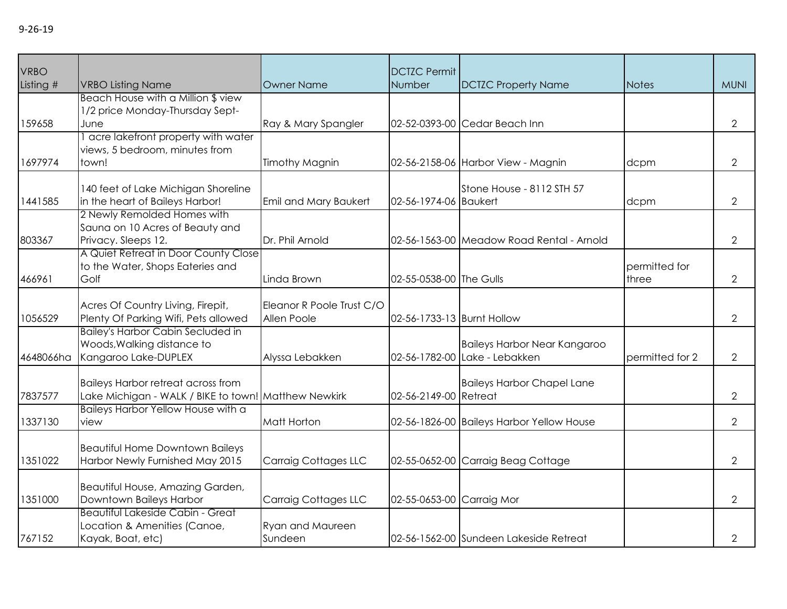| VRBO      |                                                                                                   |                                          | <b>DCTZC Permit</b>        |                                                                      |                        |                |
|-----------|---------------------------------------------------------------------------------------------------|------------------------------------------|----------------------------|----------------------------------------------------------------------|------------------------|----------------|
| Listing # | <b>VRBO Listing Name</b>                                                                          | <b>Owner Name</b>                        | Number                     | <b>DCTZC Property Name</b>                                           | <b>Notes</b>           | <b>MUNI</b>    |
| 159658    | Beach House with a Million \$ view<br>1/2 price Monday-Thursday Sept-<br>June                     | Ray & Mary Spangler                      |                            | 02-52-0393-00 Cedar Beach Inn                                        |                        | $\overline{2}$ |
| 1697974   | acre lakefront property with water<br>views, 5 bedroom, minutes from<br>town!                     | <b>Timothy Magnin</b>                    |                            | 02-56-2158-06 Harbor View - Magnin                                   | dcpm                   | $\overline{2}$ |
| 1441585   | 140 feet of Lake Michigan Shoreline<br>in the heart of Baileys Harbor!                            | Emil and Mary Baukert                    | 02-56-1974-06 Baukert      | Stone House - 8112 STH 57                                            | dcpm                   | $\overline{2}$ |
| 803367    | 2 Newly Remolded Homes with<br>Sauna on 10 Acres of Beauty and<br>Privacy. Sleeps 12.             | Dr. Phil Arnold                          |                            | 02-56-1563-00 Meadow Road Rental - Arnold                            |                        | $\mathbf{2}$   |
| 466961    | A Quiet Retreat in Door County Close<br>to the Water, Shops Eateries and<br>Golf                  | Linda Brown                              | 02-55-0538-00 The Gulls    |                                                                      | permitted for<br>three | $\mathbf{2}$   |
| 1056529   | Acres Of Country Living, Firepit,<br>Plenty Of Parking Wifi, Pets allowed                         | Eleanor R Poole Trust C/O<br>Allen Poole | 02-56-1733-13 Burnt Hollow |                                                                      |                        | $\mathbf{2}$   |
| 4648066ha | <b>Bailey's Harbor Cabin Secluded in</b><br>Woods, Walking distance to<br>Kangaroo Lake-DUPLEX    | Alyssa Lebakken                          |                            | <b>Baileys Harbor Near Kangaroo</b><br>02-56-1782-00 Lake - Lebakken | permitted for 2        | $\overline{2}$ |
| 7837577   | <b>Baileys Harbor retreat across from</b><br>Lake Michigan - WALK / BIKE to town! Matthew Newkirk |                                          | 02-56-2149-00 Retreat      | <b>Baileys Harbor Chapel Lane</b>                                    |                        | $\overline{2}$ |
| 1337130   | Baileys Harbor Yellow House with a<br>view                                                        | Matt Horton                              |                            | 02-56-1826-00 Baileys Harbor Yellow House                            |                        | $\overline{2}$ |
| 1351022   | <b>Beautiful Home Downtown Baileys</b><br>Harbor Newly Furnished May 2015                         | Carraig Cottages LLC                     |                            | 02-55-0652-00 Carraig Beag Cottage                                   |                        | $\overline{2}$ |
| 1351000   | Beautiful House, Amazing Garden,<br>Downtown Baileys Harbor                                       | Carraig Cottages LLC                     | 02-55-0653-00 Carraig Mor  |                                                                      |                        | $\mathbf{2}$   |
| 767152    | <b>Beautiful Lakeside Cabin - Great</b><br>Location & Amenities (Canoe,<br>Kayak, Boat, etc)      | Ryan and Maureen<br>Sundeen              |                            | 02-56-1562-00 Sundeen Lakeside Retreat                               |                        | $\mathbf{2}$   |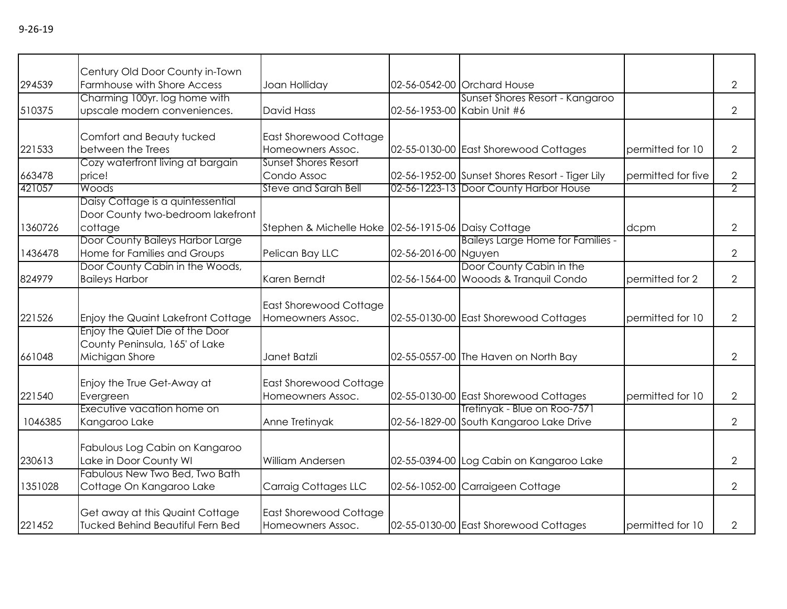|         | Century Old Door County in-Town         |                                                     |                             |                                                 |                    |                |
|---------|-----------------------------------------|-----------------------------------------------------|-----------------------------|-------------------------------------------------|--------------------|----------------|
| 294539  | Farmhouse with Shore Access             | Joan Holliday                                       |                             | 02-56-0542-00 Orchard House                     |                    | $\overline{2}$ |
|         | Charming 100yr. log home with           |                                                     |                             | Sunset Shores Resort - Kangaroo                 |                    |                |
| 510375  | upscale modern conveniences.            | <b>David Hass</b>                                   | 02-56-1953-00 Kabin Unit #6 |                                                 |                    | $\overline{2}$ |
|         | Comfort and Beauty tucked               | East Shorewood Cottage                              |                             |                                                 |                    |                |
| 221533  | between the Trees                       | Homeowners Assoc.                                   |                             | 02-55-0130-00 East Shorewood Cottages           | permitted for 10   | $\overline{2}$ |
|         | Cozy waterfront living at bargain       | <b>Sunset Shores Resort</b>                         |                             |                                                 |                    |                |
| 663478  | price!                                  | Condo Assoc                                         |                             | 02-56-1952-00 Sunset Shores Resort - Tiger Lily | permitted for five | $\overline{2}$ |
| 421057  | Woods                                   | <b>Steve and Sarah Bell</b>                         |                             | 02-56-1223-13 Door County Harbor House          |                    | 2              |
|         | Daisy Cottage is a quintessential       |                                                     |                             |                                                 |                    |                |
|         | Door County two-bedroom lakefront       |                                                     |                             |                                                 |                    |                |
| 1360726 | cottage                                 | Stephen & Michelle Hoke 02-56-1915-06 Daisy Cottage |                             |                                                 | dcpm               | $\overline{2}$ |
|         | Door County Baileys Harbor Large        |                                                     |                             | Baileys Large Home for Families -               |                    |                |
| 1436478 | Home for Families and Groups            | Pelican Bay LLC                                     | 02-56-2016-00 Nguyen        |                                                 |                    | $\mathbf{2}$   |
|         | Door County Cabin in the Woods,         |                                                     |                             | Door County Cabin in the                        |                    |                |
| 824979  | <b>Baileys Harbor</b>                   | Karen Berndt                                        |                             | 02-56-1564-00 Wooods & Tranquil Condo           | permitted for 2    | $\overline{2}$ |
|         |                                         |                                                     |                             |                                                 |                    |                |
|         |                                         | <b>East Shorewood Cottage</b>                       |                             |                                                 |                    |                |
| 221526  | Enjoy the Quaint Lakefront Cottage      | Homeowners Assoc.                                   |                             | 02-55-0130-00 East Shorewood Cottages           | permitted for 10   | $\overline{2}$ |
|         | Enjoy the Quiet Die of the Door         |                                                     |                             |                                                 |                    |                |
|         | County Peninsula, 165' of Lake          |                                                     |                             |                                                 |                    |                |
| 661048  | Michigan Shore                          | Janet Batzli                                        |                             | 02-55-0557-00 The Haven on North Bay            |                    | $\overline{2}$ |
|         | Enjoy the True Get-Away at              | East Shorewood Cottage                              |                             |                                                 |                    |                |
| 221540  | Evergreen                               | Homeowners Assoc.                                   |                             | 02-55-0130-00 East Shorewood Cottages           | permitted for 10   | $\overline{2}$ |
|         | Executive vacation home on              |                                                     |                             | Tretinyak - Blue on Roo-7571                    |                    |                |
| 1046385 | Kangaroo Lake                           | Anne Tretinyak                                      |                             | 02-56-1829-00 South Kangaroo Lake Drive         |                    | $\overline{2}$ |
|         |                                         |                                                     |                             |                                                 |                    |                |
|         | Fabulous Log Cabin on Kangaroo          |                                                     |                             |                                                 |                    |                |
| 230613  | Lake in Door County WI                  | William Andersen                                    |                             | 02-55-0394-00 Log Cabin on Kangaroo Lake        |                    | $\overline{2}$ |
|         | Fabulous New Two Bed, Two Bath          |                                                     |                             |                                                 |                    |                |
| 1351028 | Cottage On Kangaroo Lake                | Carraig Cottages LLC                                |                             | 02-56-1052-00 Carraigeen Cottage                |                    | $\overline{2}$ |
|         |                                         |                                                     |                             |                                                 |                    |                |
|         | Get away at this Quaint Cottage         | <b>East Shorewood Cottage</b>                       |                             |                                                 |                    |                |
| 221452  | <b>Tucked Behind Beautiful Fern Bed</b> | Homeowners Assoc.                                   |                             | 02-55-0130-00 East Shorewood Cottages           | permitted for 10   | $\mathbf{2}$   |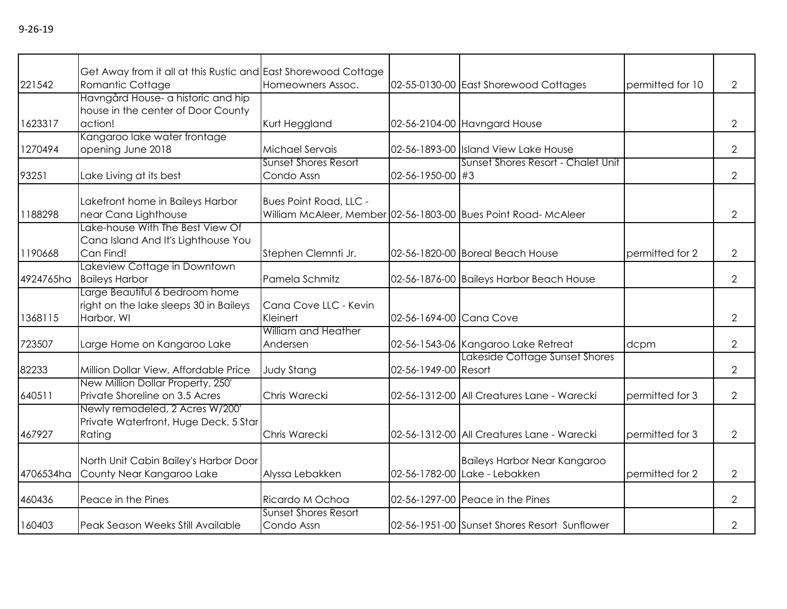|           | Get Away from it all at this Rustic and East Shorewood Cottage |                             |                         |                                                                |                  |                |
|-----------|----------------------------------------------------------------|-----------------------------|-------------------------|----------------------------------------------------------------|------------------|----------------|
| 221542    | Romantic Cottage                                               | Homeowners Assoc.           |                         | 02-55-0130-00 East Shorewood Cottages                          | permitted for 10 | $\overline{2}$ |
|           | Havngård House- a historic and hip                             |                             |                         |                                                                |                  |                |
| 1623317   | house in the center of Door County<br>action!                  | Kurt Heggland               |                         | 02-56-2104-00 Havngard House                                   |                  | $\overline{2}$ |
|           | Kangaroo lake water frontage                                   |                             |                         |                                                                |                  |                |
| 1270494   | opening June 2018                                              | Michael Servais             |                         | 02-56-1893-00 Island View Lake House                           |                  | $\overline{2}$ |
|           |                                                                | <b>Sunset Shores Resort</b> |                         | Sunset Shores Resort - Chalet Unit                             |                  |                |
| 93251     | Lake Living at its best                                        | Condo Assn                  | 02-56-1950-00 #3        |                                                                |                  | $\overline{2}$ |
|           | Lakefront home in Baileys Harbor                               | Bues Point Road, LLC -      |                         |                                                                |                  |                |
| 1188298   | near Cana Lighthouse                                           |                             |                         | William McAleer, Member 02-56-1803-00 Bues Point Road- McAleer |                  | $\overline{2}$ |
|           | Lake-house With The Best View Of                               |                             |                         |                                                                |                  |                |
|           | Cana Island And It's Lighthouse You                            |                             |                         |                                                                |                  |                |
| 1190668   | Can Find!                                                      | Stephen Clemnti Jr.         |                         | 02-56-1820-00 Boreal Beach House                               | permitted for 2  | $\overline{2}$ |
|           | Lakeview Cottage in Downtown                                   |                             |                         |                                                                |                  |                |
| 4924765ha | <b>Baileys Harbor</b>                                          | Pamela Schmitz              |                         | 02-56-1876-00 Baileys Harbor Beach House                       |                  | $\overline{2}$ |
|           | Large Beautiful 6 bedroom home                                 |                             |                         |                                                                |                  |                |
|           | right on the lake sleeps 30 in Baileys                         | Cana Cove LLC - Kevin       |                         |                                                                |                  |                |
| 1368115   | Harbor, WI                                                     | Kleinert                    | 02-56-1694-00 Cana Cove |                                                                |                  | $\overline{2}$ |
|           |                                                                | William and Heather         |                         |                                                                |                  |                |
| 723507    | Large Home on Kangaroo Lake                                    | Andersen                    |                         | 02-56-1543-06 Kangaroo Lake Retreat                            | dcpm             | $\overline{2}$ |
|           |                                                                |                             |                         | Lakeside Cottage Sunset Shores                                 |                  |                |
| 82233     | Million Dollar View, Affordable Price                          | <b>Judy Stang</b>           | 02-56-1949-00 Resort    |                                                                |                  | $\overline{2}$ |
|           | New Million Dollar Property, 250'                              |                             |                         |                                                                |                  |                |
| 640511    | Private Shoreline on 3.5 Acres                                 | Chris Warecki               |                         | 02-56-1312-00 All Creatures Lane - Warecki                     | permitted for 3  | $\overline{2}$ |
|           | Newly remodeled, 2 Acres W/200'                                |                             |                         |                                                                |                  |                |
|           | Private Waterfront, Huge Deck, 5 Star                          |                             |                         |                                                                |                  |                |
| 467927    | Rating                                                         | Chris Warecki               |                         | 02-56-1312-00 All Creatures Lane - Warecki                     | permitted for 3  | $\overline{2}$ |
|           |                                                                |                             |                         |                                                                |                  |                |
|           | North Unit Cabin Bailey's Harbor Door                          |                             |                         | <b>Baileys Harbor Near Kangaroo</b>                            |                  |                |
| 4706534ha | County Near Kangaroo Lake                                      | Alyssa Lebakken             |                         | 02-56-1782-00 Lake - Lebakken                                  | permitted for 2  | $\overline{2}$ |
| 460436    | Peace in the Pines                                             | Ricardo M Ochoa             |                         | 02-56-1297-00 Peace in the Pines                               |                  | $\overline{2}$ |
|           |                                                                | <b>Sunset Shores Resort</b> |                         |                                                                |                  |                |
| 160403    | Peak Season Weeks Still Available                              | Condo Assn                  |                         | 02-56-1951-00 Sunset Shores Resort Sunflower                   |                  | $\overline{2}$ |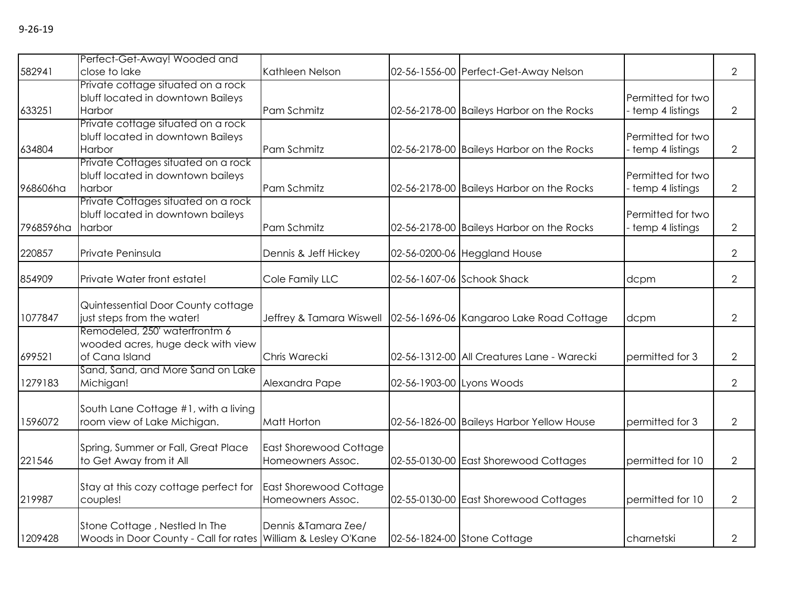| 582941    | Perfect-Get-Away! Wooded and<br>close to lake                                                  | Kathleen Nelson                                    |                           | 02-56-1556-00 Perfect-Get-Away Nelson      |                                        | $\overline{2}$ |
|-----------|------------------------------------------------------------------------------------------------|----------------------------------------------------|---------------------------|--------------------------------------------|----------------------------------------|----------------|
| 633251    | Private cottage situated on a rock<br>bluff located in downtown Baileys<br>Harbor              | Pam Schmitz                                        |                           | 02-56-2178-00 Baileys Harbor on the Rocks  | Permitted for two<br>temp 4 listings   | $\overline{2}$ |
| 634804    | Private cottage situated on a rock<br>bluff located in downtown Baileys<br>Harbor              | Pam Schmitz                                        |                           | 02-56-2178-00 Baileys Harbor on the Rocks  | Permitted for two<br>temp 4 listings   | $\overline{2}$ |
| 968606ha  | Private Cottages situated on a rock<br>bluff located in downtown baileys<br>harbor             | Pam Schmitz                                        |                           | 02-56-2178-00 Baileys Harbor on the Rocks  | Permitted for two<br>temp 4 listings   | $\overline{2}$ |
| 7968596ha | Private Cottages situated on a rock<br>bluff located in downtown baileys<br>harbor             | Pam Schmitz                                        |                           | 02-56-2178-00 Baileys Harbor on the Rocks  | Permitted for two<br>- temp 4 listings | $\overline{2}$ |
| 220857    | Private Peninsula                                                                              | Dennis & Jeff Hickey                               |                           | 02-56-0200-06 Heggland House               |                                        | $\overline{2}$ |
| 854909    | Private Water front estate!                                                                    | Cole Family LLC                                    |                           | 02-56-1607-06 Schook Shack                 | dcpm                                   | $\overline{2}$ |
| 1077847   | Quintessential Door County cottage<br>just steps from the water!                               | Jeffrey & Tamara Wiswell                           |                           | 02-56-1696-06 Kangaroo Lake Road Cottage   | dcpm                                   | $\overline{2}$ |
| 699521    | Remodeled, 250' waterfrontm 6<br>wooded acres, huge deck with view<br>of Cana Island           | Chris Warecki                                      |                           | 02-56-1312-00 All Creatures Lane - Warecki | permitted for 3                        | $\overline{2}$ |
| 1279183   | Sand, Sand, and More Sand on Lake<br>Michigan!                                                 | Alexandra Pape                                     | 02-56-1903-00 Lyons Woods |                                            |                                        | $\mathbf{2}$   |
| 1596072   | South Lane Cottage #1, with a living<br>room view of Lake Michigan.                            | Matt Horton                                        |                           | 02-56-1826-00 Baileys Harbor Yellow House  | permitted for 3                        | $\mathbf{2}$   |
| 221546    | Spring, Summer or Fall, Great Place<br>to Get Away from it All                                 | <b>East Shorewood Cottage</b><br>Homeowners Assoc. |                           | 02-55-0130-00 East Shorewood Cottages      | permitted for 10                       | $\mathbf{2}$   |
| 219987    | Stay at this cozy cottage perfect for<br>couples!                                              | East Shorewood Cottage<br>Homeowners Assoc.        |                           | 02-55-0130-00 East Shorewood Cottages      | permitted for 10                       | $\overline{2}$ |
| 1209428   | Stone Cottage, Nestled In The<br>Woods in Door County - Call for rates William & Lesley O'Kane | Dennis & Tamara Zee/                               |                           | 02-56-1824-00 Stone Cottage                | charnetski                             | $\mathbf{2}$   |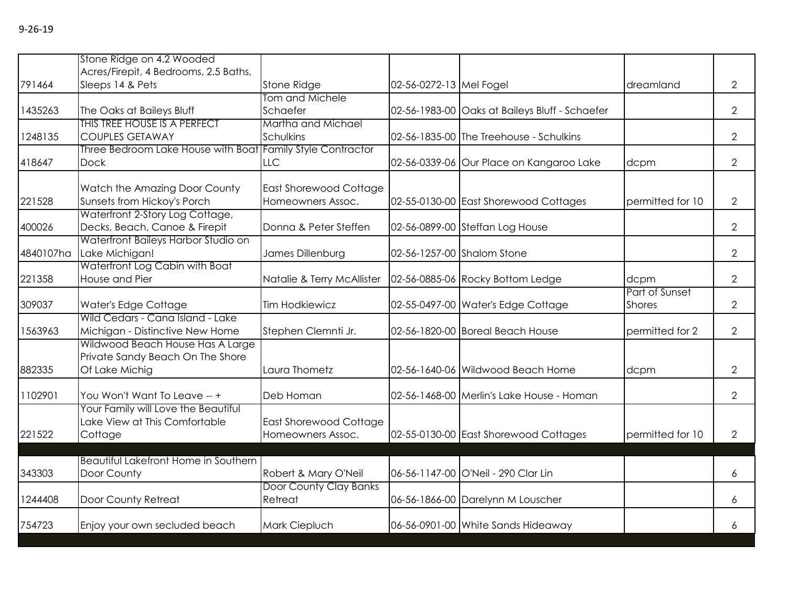|           | Stone Ridge on 4.2 Wooded<br>Acres/Firepit, 4 Bedrooms, 2.5 Baths,                     |                                             |                         |                                                |                                 |                |
|-----------|----------------------------------------------------------------------------------------|---------------------------------------------|-------------------------|------------------------------------------------|---------------------------------|----------------|
| 791464    | Sleeps 14 & Pets                                                                       | Stone Ridge                                 | 02-56-0272-13 Mel Fogel |                                                | dreamland                       | $\overline{2}$ |
| 1435263   | The Oaks at Baileys Bluff                                                              | Tom and Michele<br>Schaefer                 |                         | 02-56-1983-00 Oaks at Baileys Bluff - Schaefer |                                 | $\overline{2}$ |
| 1248135   | <b>THIS TREE HOUSE IS A PERFECT</b><br><b>COUPLES GETAWAY</b>                          | Martha and Michael<br>Schulkins             |                         | 02-56-1835-00 The Treehouse - Schulkins        |                                 | $\overline{2}$ |
| 418647    | Three Bedroom Lake House with Boat Family Style Contractor<br><b>Dock</b>              | LLC                                         |                         | 02-56-0339-06 Our Place on Kangaroo Lake       | dcpm                            | $\overline{2}$ |
| 221528    | Watch the Amazing Door County<br>Sunsets from Hickoy's Porch                           | East Shorewood Cottage<br>Homeowners Assoc. |                         | 02-55-0130-00 East Shorewood Cottages          | permitted for 10                | $\overline{2}$ |
| 400026    | Waterfront 2-Story Log Cottage,<br>Decks, Beach, Canoe & Firepit                       | Donna & Peter Steffen                       |                         | 02-56-0899-00 Steffan Log House                |                                 | 2              |
| 4840107ha | Waterfront Baileys Harbor Studio on<br>Lake Michigan!                                  | James Dillenburg                            |                         | 02-56-1257-00 Shalom Stone                     |                                 | $\overline{2}$ |
| 221358    | Waterfront Log Cabin with Boat<br>House and Pier                                       | Natalie & Terry McAllister                  |                         | 02-56-0885-06 Rocky Bottom Ledge               | dcpm                            | $\overline{2}$ |
| 309037    | Water's Edge Cottage                                                                   | <b>Tim Hodkiewicz</b>                       |                         | 02-55-0497-00 Water's Edge Cottage             | Part of Sunset<br><b>Shores</b> | $\overline{2}$ |
| 1563963   | Wild Cedars - Cana Island - Lake<br>Michigan - Distinctive New Home                    | Stephen Clemnti Jr.                         |                         | 02-56-1820-00 Boreal Beach House               | permitted for 2                 | $\overline{2}$ |
| 882335    | Wildwood Beach House Has A Large<br>Private Sandy Beach On The Shore<br>Of Lake Michig | Laura Thometz                               |                         | 02-56-1640-06 Wildwood Beach Home              | dcpm                            | 2              |
| 1102901   | You Won't Want To Leave -- +                                                           | Deb Homan                                   |                         | 02-56-1468-00 Merlin's Lake House - Homan      |                                 | 2              |
| 221522    | Your Family will Love the Beautiful<br>Lake View at This Comfortable<br>Cottage        | East Shorewood Cottage<br>Homeowners Assoc. |                         | 02-55-0130-00 East Shorewood Cottages          | permitted for 10                | 2              |
| 343303    | <b>Beautiful Lakefront Home in Southern</b><br>Door County                             | Robert & Mary O'Neil                        |                         | 06-56-1147-00 O'Neil - 290 Clar Lin            |                                 | 6              |
| 1244408   | Door County Retreat                                                                    | Door County Clay Banks<br>Retreat           |                         | 06-56-1866-00 Darelynn M Louscher              |                                 | 6              |
| 754723    | Enjoy your own secluded beach                                                          | Mark Ciepluch                               |                         | 06-56-0901-00 White Sands Hideaway             |                                 | 6              |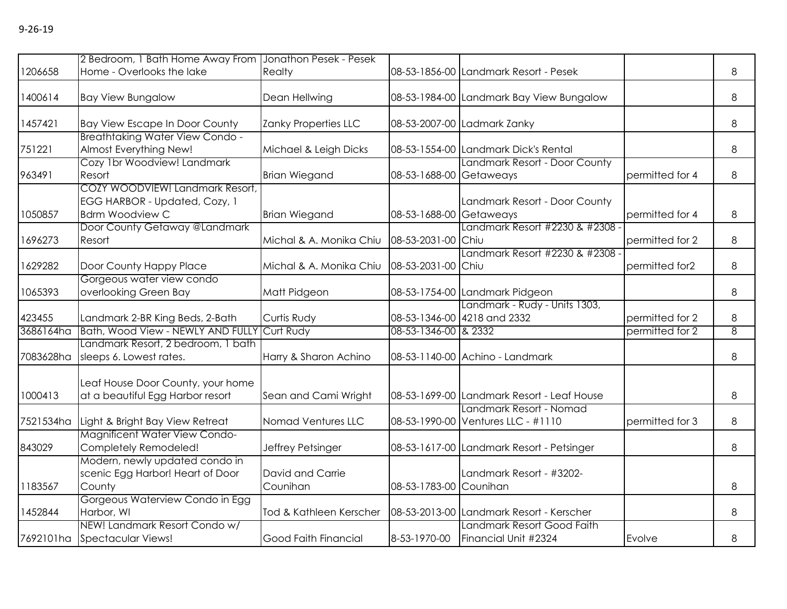|           | 2 Bedroom, 1 Bath Home Away From JJonathon Pesek - Pesek |                         |                        |                                            |                 |   |
|-----------|----------------------------------------------------------|-------------------------|------------------------|--------------------------------------------|-----------------|---|
| 1206658   | Home - Overlooks the lake                                | Realty                  |                        | 08-53-1856-00 Landmark Resort - Pesek      |                 | 8 |
| 1400614   | <b>Bay View Bungalow</b>                                 | Dean Hellwing           |                        | 08-53-1984-00 Landmark Bay View Bungalow   |                 | 8 |
|           |                                                          |                         |                        |                                            |                 |   |
| 1457421   | <b>Bay View Escape In Door County</b>                    | Zanky Properties LLC    |                        | 08-53-2007-00 Ladmark Zanky                |                 | 8 |
|           | <b>Breathtaking Water View Condo -</b>                   |                         |                        |                                            |                 |   |
| 751221    | Almost Everything New!                                   | Michael & Leigh Dicks   |                        | 08-53-1554-00 Landmark Dick's Rental       |                 | 8 |
|           | Cozy 1br Woodview! Landmark                              |                         |                        | Landmark Resort - Door County              |                 |   |
| 963491    | Resort                                                   | <b>Brian Wiegand</b>    | 08-53-1688-00          | Getaweays                                  | permitted for 4 | 8 |
|           | COZY WOODVIEW! Landmark Resort,                          |                         |                        |                                            |                 |   |
|           | EGG HARBOR - Updated, Cozy, 1                            |                         |                        | Landmark Resort - Door County              |                 |   |
| 1050857   | <b>Bdrm Woodview C</b>                                   | <b>Brian Wiegand</b>    | 08-53-1688-00          | Getaweays                                  | permitted for 4 | 8 |
|           | Door County Getaway @Landmark                            |                         |                        | Landmark Resort #2230 & #2308 -            |                 |   |
| 1696273   | Resort                                                   | Michal & A. Monika Chiu | 08-53-2031-00 Chiu     |                                            | permitted for 2 | 8 |
|           |                                                          |                         |                        | Landmark Resort #2230 & #2308 -            |                 |   |
| 1629282   | Door County Happy Place                                  | Michal & A. Monika Chiu | 08-53-2031-00 Chiu     |                                            | permitted for2  | 8 |
|           | Gorgeous water view condo                                |                         |                        |                                            |                 |   |
| 1065393   | overlooking Green Bay                                    | Matt Pidgeon            |                        | 08-53-1754-00 Landmark Pidgeon             |                 | 8 |
|           |                                                          |                         |                        | Landmark - Rudy - Units 1303,              |                 |   |
| 423455    | Landmark 2-BR King Beds, 2-Bath                          | Curtis Rudy             |                        | 08-53-1346-00 4218 and 2332                | permitted for 2 | 8 |
| 3686164ha | Bath, Wood View - NEWLY AND FULLY                        | Curt Rudy               | 08-53-1346-00 & 2332   |                                            | permitted for 2 | 8 |
|           | Landmark Resort, 2 bedroom, 1 bath                       |                         |                        |                                            |                 |   |
| 7083628ha | sleeps 6. Lowest rates.                                  | Harry & Sharon Achino   |                        | 08-53-1140-00 Achino - Landmark            |                 | 8 |
|           |                                                          |                         |                        |                                            |                 |   |
|           | Leaf House Door County, your home                        |                         |                        |                                            |                 |   |
| 1000413   | at a beautiful Egg Harbor resort                         | Sean and Cami Wright    |                        | 08-53-1699-00 Landmark Resort - Leaf House |                 | 8 |
|           |                                                          |                         |                        | Landmark Resort - Nomad                    |                 |   |
| 7521534ha | Light & Bright Bay View Retreat                          | Nomad Ventures LLC      |                        | 08-53-1990-00 Ventures LLC - #1110         | permitted for 3 | 8 |
|           | Magnificent Water View Condo-                            |                         |                        |                                            |                 |   |
| 843029    | Completely Remodeled!                                    | Jeffrey Petsinger       |                        | 08-53-1617-00 Landmark Resort - Petsinger  |                 | 8 |
|           | Modern, newly updated condo in                           |                         |                        |                                            |                 |   |
|           | scenic Egg Harbor! Heart of Door                         | David and Carrie        |                        | Landmark Resort - #3202-                   |                 |   |
| 1183567   | County                                                   | Counihan                | 08-53-1783-00 Counihan |                                            |                 | 8 |
|           | Gorgeous Waterview Condo in Egg                          |                         |                        |                                            |                 |   |
| 1452844   | Harbor, WI                                               | Tod & Kathleen Kerscher |                        | 08-53-2013-00 Landmark Resort - Kerscher   |                 | 8 |
|           | NEW! Landmark Resort Condo w/                            |                         |                        | Landmark Resort Good Faith                 |                 |   |
|           | 7692101ha Spectacular Views!                             | Good Faith Financial    | 8-53-1970-00           | Financial Unit #2324                       | Evolve          | 8 |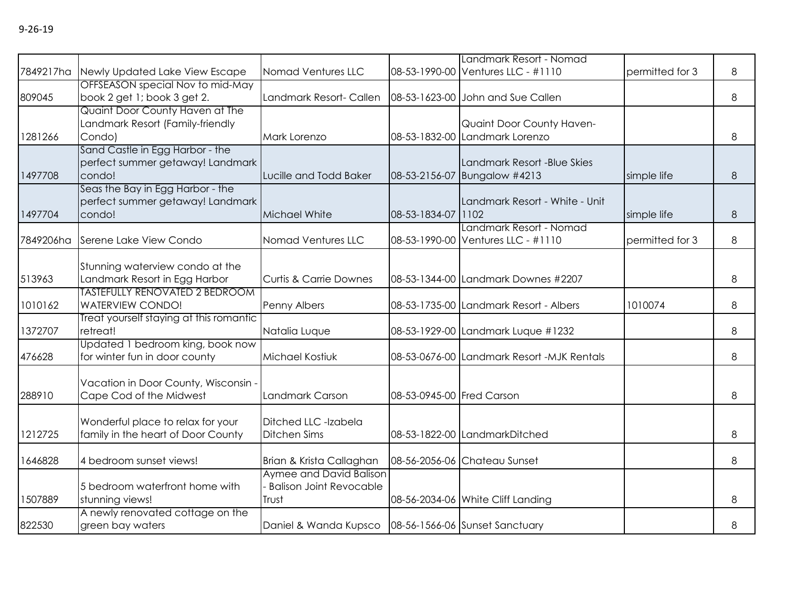| PU 1 |  |
|------|--|
|------|--|

|           |                                                                                                    |                                                                    |                           | Landmark Resort - Nomad                                       |                 |   |
|-----------|----------------------------------------------------------------------------------------------------|--------------------------------------------------------------------|---------------------------|---------------------------------------------------------------|-----------------|---|
|           | 7849217ha Newly Updated Lake View Escape                                                           | Nomad Ventures LLC                                                 |                           | 08-53-1990-00 Ventures LLC - #1110                            | permitted for 3 | 8 |
| 809045    | OFFSEASON special Nov to mid-May<br>book 2 get 1; book 3 get 2.                                    | Landmark Resort- Callen                                            |                           | 08-53-1623-00 John and Sue Callen                             |                 | 8 |
| 1281266   | Quaint Door County Haven at The<br>Landmark Resort (Family-friendly<br>Condo)                      | Mark Lorenzo                                                       |                           | Quaint Door County Haven-<br>08-53-1832-00 Landmark Lorenzo   |                 | 8 |
| 1497708   | Sand Castle in Egg Harbor - the<br>perfect summer getaway! Landmark<br>condo!                      | Lucille and Todd Baker                                             |                           | Landmark Resort -Blue Skies<br>08-53-2156-07 Bungalow #4213   | simple life     | 8 |
| 1497704   | Seas the Bay in Egg Harbor - the<br>perfect summer getaway! Landmark<br>condo!                     | Michael White                                                      | 08-53-1834-07 1102        | Landmark Resort - White - Unit                                | simple life     | 8 |
| 7849206ha | Serene Lake View Condo                                                                             | Nomad Ventures LLC                                                 |                           | Landmark Resort - Nomad<br>08-53-1990-00 Ventures LLC - #1110 | permitted for 3 | 8 |
| 513963    | Stunning waterview condo at the<br>Landmark Resort in Egg Harbor<br>TASTEFULLY RENOVATED 2 BEDROOM | <b>Curtis &amp; Carrie Downes</b>                                  |                           | 08-53-1344-00 Landmark Downes #2207                           |                 | 8 |
| 1010162   | <b>WATERVIEW CONDO!</b>                                                                            | Penny Albers                                                       |                           | 08-53-1735-00 Landmark Resort - Albers                        | 1010074         | 8 |
| 1372707   | Treat yourself staying at this romantic<br>retreat!                                                | Natalia Luque                                                      |                           | 08-53-1929-00 Landmark Luque #1232                            |                 | 8 |
| 476628    | Updated 1 bedroom king, book now<br>for winter fun in door county                                  | <b>Michael Kostiuk</b>                                             |                           | 08-53-0676-00 Landmark Resort -MJK Rentals                    |                 | 8 |
| 288910    | Vacation in Door County, Wisconsin -<br>Cape Cod of the Midwest                                    | Landmark Carson                                                    | 08-53-0945-00 Fred Carson |                                                               |                 | 8 |
| 1212725   | Wonderful place to relax for your<br>family in the heart of Door County                            | Ditched LLC -Izabela<br><b>Ditchen Sims</b>                        |                           | 08-53-1822-00 LandmarkDitched                                 |                 | 8 |
| 1646828   | 4 bedroom sunset views!                                                                            | Brian & Krista Callaghan                                           |                           | 08-56-2056-06 Chateau Sunset                                  |                 | 8 |
| 1507889   | 5 bedroom waterfront home with<br>stunning views!                                                  | Aymee and David Balison<br><b>Balison Joint Revocable</b><br>Trust |                           | 08-56-2034-06 White Cliff Landing                             |                 | 8 |
| 822530    | A newly renovated cottage on the<br>green bay waters                                               | Daniel & Wanda Kupsco   08-56-1566-06 Sunset Sanctuary             |                           |                                                               |                 | 8 |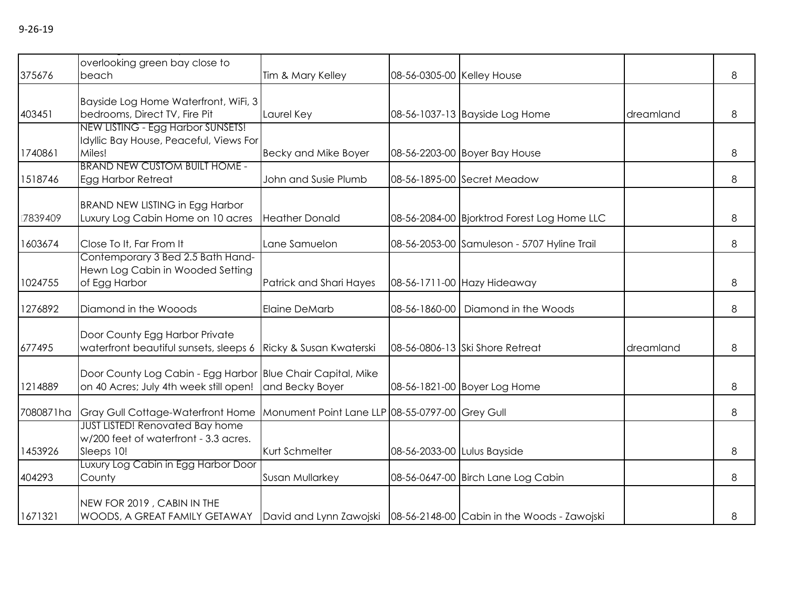| 375676    | overlooking green bay close to<br>beach                                                                                               | Tim & Mary Kelley                               | 08-56-0305-00 Kelley House  |                                             |           | 8 |
|-----------|---------------------------------------------------------------------------------------------------------------------------------------|-------------------------------------------------|-----------------------------|---------------------------------------------|-----------|---|
| 403451    | Bayside Log Home Waterfront, WiFi, 3<br>bedrooms, Direct TV, Fire Pit                                                                 | Laurel Key                                      |                             | 08-56-1037-13 Bayside Log Home              | dreamland | 8 |
| 1740861   | NEW LISTING - Egg Harbor SUNSETS!<br>Idyllic Bay House, Peaceful, Views For<br>Miles!                                                 | <b>Becky and Mike Boyer</b>                     |                             | 08-56-2203-00 Boyer Bay House               |           | 8 |
| 1518746   | <b>BRAND NEW CUSTOM BUILT HOME -</b><br>Egg Harbor Retreat                                                                            | John and Susie Plumb                            |                             | 08-56-1895-00 Secret Meadow                 |           | 8 |
| 7839409   | <b>BRAND NEW LISTING in Egg Harbor</b><br>Luxury Log Cabin Home on 10 acres                                                           | <b>Heather Donald</b>                           |                             | 08-56-2084-00 Bjorktrod Forest Log Home LLC |           | 8 |
| 1603674   | Close To It, Far From It                                                                                                              | Lane Samuelon                                   |                             | 08-56-2053-00 Samuleson - 5707 Hyline Trail |           | 8 |
| 1024755   | Contemporary 3 Bed 2.5 Bath Hand-<br>Hewn Log Cabin in Wooded Setting<br>of Egg Harbor                                                | Patrick and Shari Hayes                         |                             | 08-56-1711-00 Hazy Hideaway                 |           | 8 |
| 1276892   | Diamond in the Wooods                                                                                                                 | <b>Elaine DeMarb</b>                            |                             | 08-56-1860-00   Diamond in the Woods        |           | 8 |
| 677495    | Door County Egg Harbor Private<br>waterfront beautiful sunsets, sleeps 6                                                              | Ricky & Susan Kwaterski                         |                             | 08-56-0806-13 Ski Shore Retreat             | dreamland | 8 |
| 1214889   | Door County Log Cabin - Egg Harbor Blue Chair Capital, Mike<br>on 40 Acres; July 4th week still open!                                 | and Becky Boyer                                 |                             | 08-56-1821-00 Boyer Log Home                |           | 8 |
| 7080871ha | Gray Gull Cottage-Waterfront Home                                                                                                     | Monument Point Lane LLP 08-55-0797-00 Grey Gull |                             |                                             |           | 8 |
| 1453926   | <b>JUST LISTED! Renovated Bay home</b><br>w/200 feet of waterfront - 3.3 acres.<br>Sleeps 10!                                         | Kurt Schmelter                                  | 08-56-2033-00 Lulus Bayside |                                             |           | 8 |
| 404293    | Luxury Log Cabin in Egg Harbor Door<br>County                                                                                         | Susan Mullarkey                                 |                             | 08-56-0647-00 Birch Lane Log Cabin          |           | 8 |
| 1671321   | NEW FOR 2019, CABIN IN THE<br>WOODS, A GREAT FAMILY GETAWAY   David and Lynn Zawojski   08-56-2148-00   Cabin in the Woods - Zawojski |                                                 |                             |                                             |           | 8 |

 $A_{\rm eff}$  and  $A_{\rm eff}$  is a peaceful home peaceful home peaceful home peaceful home peaceful home peaceful home peaceful home peaceful home peaceful home peaceful home peaceful home peaceful home peaceful home peaceful hom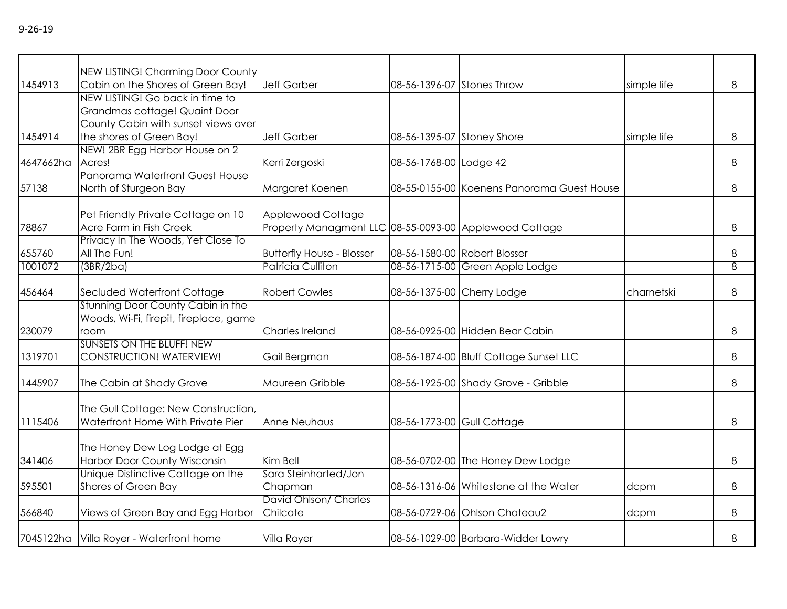|           | NEW LISTING! Charming Door County                                                                       |                                                                             |                            |                                            |             |   |
|-----------|---------------------------------------------------------------------------------------------------------|-----------------------------------------------------------------------------|----------------------------|--------------------------------------------|-------------|---|
| 1454913   | Cabin on the Shores of Green Bay!                                                                       | <b>Jeff Garber</b>                                                          | 08-56-1396-07 Stones Throw |                                            | simple life | 8 |
|           | NEW LISTING! Go back in time to<br>Grandmas cottage! Quaint Door<br>County Cabin with sunset views over |                                                                             |                            |                                            |             |   |
| 1454914   | the shores of Green Bay!                                                                                | <b>Jeff Garber</b>                                                          | 08-56-1395-07 Stoney Shore |                                            | simple life | 8 |
| 4647662ha | NEW! 2BR Egg Harbor House on 2<br>Acres!                                                                | Kerri Zergoski                                                              | 08-56-1768-00 Lodge 42     |                                            |             | 8 |
| 57138     | Panorama Waterfront Guest House<br>North of Sturgeon Bay                                                | Margaret Koenen                                                             |                            | 08-55-0155-00 Koenens Panorama Guest House |             | 8 |
| 78867     | Pet Friendly Private Cottage on 10<br>Acre Farm in Fish Creek                                           | Applewood Cottage<br>Property Managment LLC 08-55-0093-00 Applewood Cottage |                            |                                            |             | 8 |
| 655760    | Privacy In The Woods, Yet Close To<br>All The Fun!                                                      | <b>Butterfly House - Blosser</b>                                            |                            | 08-56-1580-00 Robert Blosser               |             | 8 |
| 1001072   | (3BR/2ba)                                                                                               | Patricia Culliton                                                           |                            | 08-56-1715-00 Green Apple Lodge            |             | 8 |
| 456464    | Secluded Waterfront Cottage                                                                             | <b>Robert Cowles</b>                                                        | 08-56-1375-00 Cherry Lodge |                                            | charnetski  | 8 |
| 230079    | Stunning Door County Cabin in the<br>Woods, Wi-Fi, firepit, fireplace, game<br>room                     | Charles Ireland                                                             |                            | 08-56-0925-00 Hidden Bear Cabin            |             | 8 |
| 1319701   | <b>SUNSETS ON THE BLUFF! NEW</b><br>CONSTRUCTION! WATERVIEW!                                            | Gail Bergman                                                                |                            | 08-56-1874-00 Bluff Cottage Sunset LLC     |             | 8 |
| 1445907   | The Cabin at Shady Grove                                                                                | Maureen Gribble                                                             |                            | 08-56-1925-00 Shady Grove - Gribble        |             | 8 |
| 1115406   | The Gull Cottage: New Construction,<br>Waterfront Home With Private Pier                                | Anne Neuhaus                                                                | 08-56-1773-00 Gull Cottage |                                            |             | 8 |
| 341406    | The Honey Dew Log Lodge at Egg<br>Harbor Door County Wisconsin                                          | Kim Bell                                                                    |                            | 08-56-0702-00 The Honey Dew Lodge          |             | 8 |
| 595501    | Unique Distinctive Cottage on the<br>Shores of Green Bay                                                | Sara Steinharted/Jon<br>Chapman                                             |                            | 08-56-1316-06 Whitestone at the Water      | dcpm        | 8 |
| 566840    | Views of Green Bay and Egg Harbor                                                                       | David Ohlson/ Charles<br>Chilcote                                           |                            | 08-56-0729-06 Ohlson Chateau2              | dcpm        | 8 |
|           | 7045122ha Villa Royer - Waterfront home                                                                 | Villa Royer                                                                 |                            | 08-56-1029-00 Barbara-Widder Lowry         |             | 8 |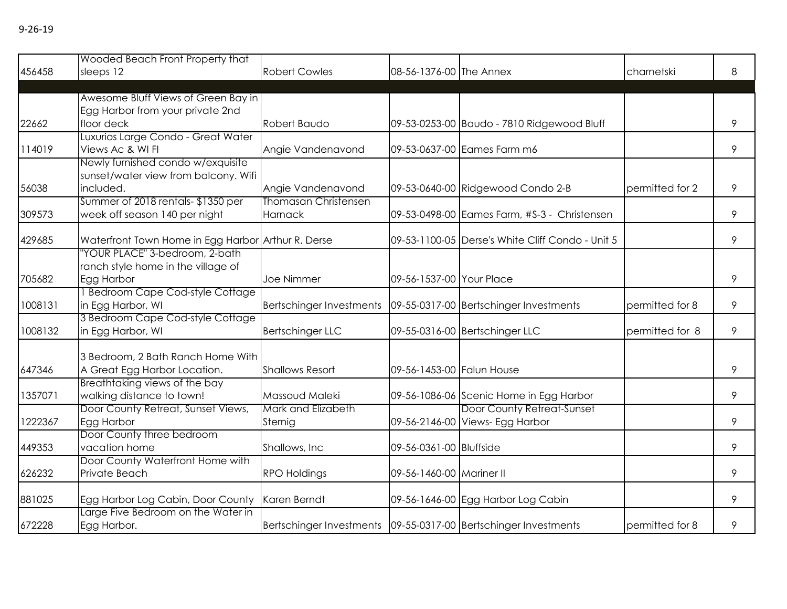| PU 1 |  |
|------|--|
|------|--|

|         | Wooded Beach Front Property that                   |                                                                     |                           |                                                                       |                 |   |
|---------|----------------------------------------------------|---------------------------------------------------------------------|---------------------------|-----------------------------------------------------------------------|-----------------|---|
| 456458  | sleeps 12                                          | <b>Robert Cowles</b>                                                | 08-56-1376-00 The Annex   |                                                                       | charnetski      | 8 |
|         |                                                    |                                                                     |                           |                                                                       |                 |   |
|         | Awesome Bluff Views of Green Bay in                |                                                                     |                           |                                                                       |                 |   |
|         | Egg Harbor from your private 2nd                   |                                                                     |                           |                                                                       |                 |   |
| 22662   | floor deck                                         | Robert Baudo                                                        |                           | 09-53-0253-00 Baudo - 7810 Ridgewood Bluff                            |                 | 9 |
|         | Luxurios Large Condo - Great Water                 |                                                                     |                           |                                                                       |                 |   |
| 114019  | Views Ac & WI FI                                   | Angie Vandenavond                                                   |                           | 09-53-0637-00 Eames Farm m6                                           |                 | 9 |
|         | Newly furnished condo w/exquisite                  |                                                                     |                           |                                                                       |                 |   |
|         | sunset/water view from balcony. Wifi               |                                                                     |                           |                                                                       |                 |   |
| 56038   | included.                                          | Angie Vandenavond                                                   |                           | 09-53-0640-00 Ridgewood Condo 2-B                                     | permitted for 2 | 9 |
|         | Summer of 2018 rentals-\$1350 per                  | Thomasan Christensen                                                |                           |                                                                       |                 |   |
| 309573  | week off season 140 per night                      | Harnack                                                             |                           | 09-53-0498-00 Eames Farm, #S-3 - Christensen                          |                 | 9 |
| 429685  | Waterfront Town Home in Egg Harbor Arthur R. Derse |                                                                     |                           | 09-53-1100-05 Derse's White Cliff Condo - Unit 5                      |                 | 9 |
|         | 'YOUR PLACE" 3-bedroom, 2-bath                     |                                                                     |                           |                                                                       |                 |   |
|         | ranch style home in the village of                 |                                                                     |                           |                                                                       |                 |   |
| 705682  | Egg Harbor                                         | <b>Joe Nimmer</b>                                                   | 09-56-1537-00 Your Place  |                                                                       |                 | 9 |
|         | <b>Bedroom Cape Cod-style Cottage</b>              |                                                                     |                           |                                                                       |                 |   |
| 1008131 | in Egg Harbor, WI                                  | Bertschinger Investments   09-55-0317-00   Bertschinger Investments |                           |                                                                       | permitted for 8 | 9 |
|         | 3 Bedroom Cape Cod-style Cottage                   |                                                                     |                           |                                                                       |                 |   |
| 1008132 | in Egg Harbor, WI                                  | <b>Bertschinger LLC</b>                                             |                           | 09-55-0316-00 Bertschinger LLC                                        | permitted for 8 | 9 |
|         |                                                    |                                                                     |                           |                                                                       |                 |   |
|         | 3 Bedroom, 2 Bath Ranch Home With                  |                                                                     |                           |                                                                       |                 |   |
| 647346  | A Great Egg Harbor Location.                       | <b>Shallows Resort</b>                                              | 09-56-1453-00 Falun House |                                                                       |                 | 9 |
|         | Breathtaking views of the bay                      |                                                                     |                           |                                                                       |                 |   |
| 1357071 | walking distance to town!                          | Massoud Maleki<br>Mark and Elizabeth                                |                           | 09-56-1086-06 Scenic Home in Egg Harbor<br>Door County Retreat-Sunset |                 | 9 |
|         | Door County Retreat, Sunset Views,                 |                                                                     |                           |                                                                       |                 |   |
| 1222367 | Egg Harbor<br>Door County three bedroom            | Sternig                                                             |                           | 09-56-2146-00 Views- Egg Harbor                                       |                 | 9 |
| 449353  | vacation home                                      | Shallows, Inc.                                                      | 09-56-0361-00 Bluffside   |                                                                       |                 | 9 |
|         | Door County Waterfront Home with                   |                                                                     |                           |                                                                       |                 |   |
| 626232  | Private Beach                                      | <b>RPO Holdings</b>                                                 | 09-56-1460-00 Mariner II  |                                                                       |                 | 9 |
|         |                                                    |                                                                     |                           |                                                                       |                 |   |
| 881025  | Egg Harbor Log Cabin, Door County                  | Karen Berndt                                                        |                           | 09-56-1646-00 Egg Harbor Log Cabin                                    |                 | 9 |
|         | Large Five Bedroom on the Water in                 |                                                                     |                           |                                                                       |                 |   |
| 672228  | Egg Harbor.                                        | Bertschinger Investments   09-55-0317-00 Bertschinger Investments   |                           |                                                                       | permitted for 8 | 9 |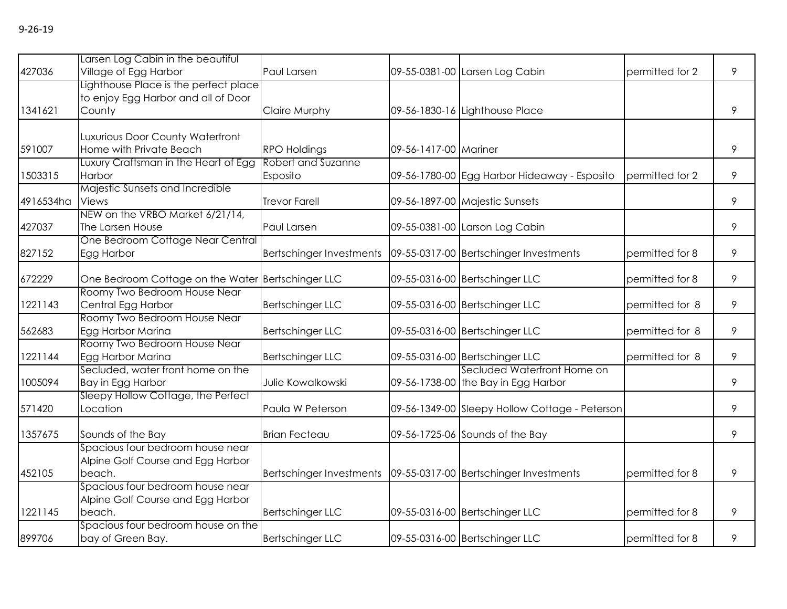|           | Larsen Log Cabin in the beautiful                 |                                                                     |                       |                                                |                 |   |
|-----------|---------------------------------------------------|---------------------------------------------------------------------|-----------------------|------------------------------------------------|-----------------|---|
| 427036    | Village of Egg Harbor                             | Paul Larsen                                                         |                       | 09-55-0381-00 Larsen Log Cabin                 | permitted for 2 | 9 |
|           | Lighthouse Place is the perfect place             |                                                                     |                       |                                                |                 |   |
|           | to enjoy Egg Harbor and all of Door               |                                                                     |                       |                                                |                 |   |
| 1341621   | County                                            | Claire Murphy                                                       |                       | 09-56-1830-16 Lighthouse Place                 |                 | 9 |
|           |                                                   |                                                                     |                       |                                                |                 |   |
|           | Luxurious Door County Waterfront                  |                                                                     |                       |                                                |                 |   |
| 591007    | Home with Private Beach                           | <b>RPO Holdings</b>                                                 | 09-56-1417-00 Mariner |                                                |                 | 9 |
|           | Luxury Craftsman in the Heart of Egg              | Robert and Suzanne                                                  |                       |                                                |                 |   |
| 1503315   | Harbor                                            | Esposito                                                            |                       | 09-56-1780-00 Egg Harbor Hideaway - Esposito   | permitted for 2 | 9 |
|           | Majestic Sunsets and Incredible                   |                                                                     |                       |                                                |                 |   |
| 4916534ha | <b>Views</b>                                      | <b>Trevor Farell</b>                                                |                       | 09-56-1897-00 Majestic Sunsets                 |                 | 9 |
|           | NEW on the VRBO Market 6/21/14,                   |                                                                     |                       |                                                |                 |   |
| 427037    | The Larsen House                                  | Paul Larsen                                                         |                       | 09-55-0381-00 Larson Log Cabin                 |                 | 9 |
|           | One Bedroom Cottage Near Central                  |                                                                     |                       |                                                |                 |   |
| 827152    | Egg Harbor                                        | Bertschinger Investments                                            |                       | 09-55-0317-00 Bertschinger Investments         | permitted for 8 | 9 |
|           |                                                   |                                                                     |                       |                                                |                 |   |
| 672229    | One Bedroom Cottage on the Water Bertschinger LLC |                                                                     |                       | 09-55-0316-00 Bertschinger LLC                 | permitted for 8 | 9 |
|           | Roomy Two Bedroom House Near                      |                                                                     |                       |                                                |                 |   |
| 1221143   | Central Egg Harbor                                | <b>Bertschinger LLC</b>                                             |                       | 09-55-0316-00 Bertschinger LLC                 | permitted for 8 | 9 |
|           | Roomy Two Bedroom House Near                      |                                                                     |                       |                                                |                 |   |
| 562683    | Egg Harbor Marina                                 | <b>Bertschinger LLC</b>                                             |                       | 09-55-0316-00 Bertschinger LLC                 | permitted for 8 | 9 |
|           | Roomy Two Bedroom House Near                      |                                                                     |                       |                                                |                 |   |
| 1221144   | Egg Harbor Marina                                 | <b>Bertschinger LLC</b>                                             |                       | 09-55-0316-00 Bertschinger LLC                 | permitted for 8 | 9 |
|           | Secluded, water front home on the                 |                                                                     |                       | Secluded Waterfront Home on                    |                 |   |
| 1005094   | Bay in Egg Harbor                                 | Julie Kowalkowski                                                   |                       | 09-56-1738-00 the Bay in Egg Harbor            |                 | 9 |
|           | Sleepy Hollow Cottage, the Perfect                |                                                                     |                       |                                                |                 |   |
| 571420    | Location                                          | Paula W Peterson                                                    |                       | 09-56-1349-00 Sleepy Hollow Cottage - Peterson |                 | 9 |
| 1357675   | Sounds of the Bay                                 | <b>Brian Fecteau</b>                                                |                       | 09-56-1725-06 Sounds of the Bay                |                 | 9 |
|           | Spacious four bedroom house near                  |                                                                     |                       |                                                |                 |   |
|           |                                                   |                                                                     |                       |                                                |                 |   |
|           | Alpine Golf Course and Egg Harbor                 |                                                                     |                       |                                                |                 |   |
| 452105    | beach.                                            | Bertschinger Investments   09-55-0317-00   Bertschinger Investments |                       |                                                | permitted for 8 | 9 |
|           | Spacious four bedroom house near                  |                                                                     |                       |                                                |                 |   |
|           | Alpine Golf Course and Egg Harbor                 |                                                                     |                       |                                                |                 |   |
| 1221145   | beach.                                            | <b>Bertschinger LLC</b>                                             |                       | 09-55-0316-00 Bertschinger LLC                 | permitted for 8 | 9 |
|           | Spacious four bedroom house on the                |                                                                     |                       |                                                |                 |   |
| 899706    | bay of Green Bay.                                 | <b>Bertschinger LLC</b>                                             |                       | 09-55-0316-00 Bertschinger LLC                 | permitted for 8 | 9 |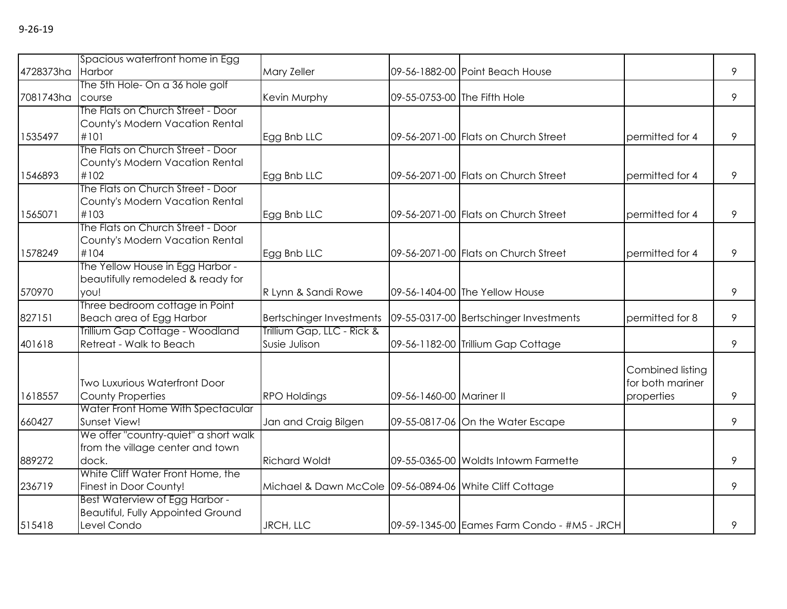|                  | Spacious waterfront home in Egg                   |                                                         |                              |                                             |                  |   |
|------------------|---------------------------------------------------|---------------------------------------------------------|------------------------------|---------------------------------------------|------------------|---|
| 4728373ha Harbor |                                                   | Mary Zeller                                             |                              | 09-56-1882-00 Point Beach House             |                  | 9 |
|                  | The 5th Hole- On a 36 hole golf                   |                                                         |                              |                                             |                  |   |
| 7081743ha course |                                                   | Kevin Murphy                                            | 09-55-0753-00 The Fifth Hole |                                             |                  | 9 |
|                  | The Flats on Church Street - Door                 |                                                         |                              |                                             |                  |   |
|                  | County's Modern Vacation Rental                   |                                                         |                              |                                             |                  |   |
| 1535497          | #101                                              | Egg Bnb LLC                                             |                              | 09-56-2071-00 Flats on Church Street        | permitted for 4  | 9 |
|                  | The Flats on Church Street - Door                 |                                                         |                              |                                             |                  |   |
|                  | County's Modern Vacation Rental                   |                                                         |                              |                                             |                  |   |
| 1546893          | #102                                              | Egg Bnb LLC                                             |                              | 09-56-2071-00 Flats on Church Street        | permitted for 4  | 9 |
|                  | The Flats on Church Street - Door                 |                                                         |                              |                                             |                  |   |
|                  | County's Modern Vacation Rental                   |                                                         |                              |                                             |                  |   |
| 1565071          | #103                                              | Egg Bnb LLC                                             |                              | 09-56-2071-00 Flats on Church Street        | permitted for 4  | 9 |
|                  | The Flats on Church Street - Door                 |                                                         |                              |                                             |                  |   |
|                  | County's Modern Vacation Rental                   |                                                         |                              |                                             |                  |   |
| 1578249          | #104                                              | Egg Bnb LLC                                             |                              | 09-56-2071-00 Flats on Church Street        | permitted for 4  | 9 |
|                  | The Yellow House in Egg Harbor -                  |                                                         |                              |                                             |                  |   |
|                  | beautifully remodeled & ready for                 |                                                         |                              |                                             |                  |   |
| 570970           | you!                                              | R Lynn & Sandi Rowe                                     |                              | 09-56-1404-00 The Yellow House              |                  | 9 |
|                  | Three bedroom cottage in Point                    |                                                         |                              |                                             |                  |   |
| 827151           | Beach area of Egg Harbor                          | Bertschinger Investments                                |                              | 09-55-0317-00 Bertschinger Investments      | permitted for 8  | 9 |
|                  | Trillium Gap Cottage - Woodland                   | Trillium Gap, LLC - Rick &                              |                              |                                             |                  |   |
| 401618           | Retreat - Walk to Beach                           | Susie Julison                                           |                              | 09-56-1182-00 Trillium Gap Cottage          |                  | 9 |
|                  |                                                   |                                                         |                              |                                             |                  |   |
|                  |                                                   |                                                         |                              |                                             | Combined listing |   |
|                  | <b>Two Luxurious Waterfront Door</b>              |                                                         |                              |                                             | for both mariner |   |
| 1618557          | <b>County Properties</b>                          | <b>RPO Holdings</b>                                     | 09-56-1460-00 Mariner II     |                                             | properties       | 9 |
| 660427           | Water Front Home With Spectacular<br>Sunset View! | Jan and Craig Bilgen                                    |                              |                                             |                  | 9 |
|                  | We offer "country-quiet" a short walk             |                                                         |                              | 09-55-0817-06 On the Water Escape           |                  |   |
|                  | from the village center and town                  |                                                         |                              |                                             |                  |   |
| 889272           | dock.                                             | <b>Richard Woldt</b>                                    |                              | 09-55-0365-00 Woldts Intowm Farmette        |                  | 9 |
|                  | White Cliff Water Front Home, the                 |                                                         |                              |                                             |                  |   |
| 236719           | Finest in Door County!                            | Michael & Dawn McCole 09-56-0894-06 White Cliff Cottage |                              |                                             |                  | 9 |
|                  | Best Waterview of Egg Harbor -                    |                                                         |                              |                                             |                  |   |
|                  | <b>Beautiful, Fully Appointed Ground</b>          |                                                         |                              |                                             |                  |   |
| 515418           | Level Condo                                       | JRCH, LLC                                               |                              | 09-59-1345-00 Eames Farm Condo - #M5 - JRCH |                  | 9 |
|                  |                                                   |                                                         |                              |                                             |                  |   |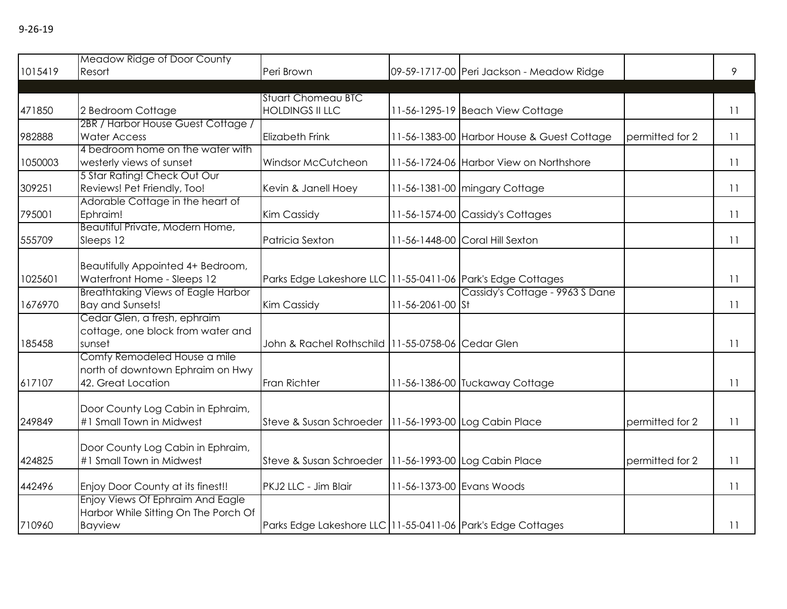|         | Meadow Ridge of Door County                                   |                                                             |                           |                                            |                 |    |
|---------|---------------------------------------------------------------|-------------------------------------------------------------|---------------------------|--------------------------------------------|-----------------|----|
| 1015419 | Resort                                                        | Peri Brown                                                  |                           | 09-59-1717-00 Peri Jackson - Meadow Ridge  |                 | 9  |
|         |                                                               | <b>Stuart Chomeau BTC</b>                                   |                           |                                            |                 |    |
| 471850  | 2 Bedroom Cottage                                             | <b>HOLDINGS II LLC</b>                                      |                           | 11-56-1295-19 Beach View Cottage           |                 | 11 |
|         | 2BR / Harbor House Guest Cottage /                            |                                                             |                           |                                            |                 |    |
| 982888  | <b>Water Access</b>                                           | <b>Elizabeth Frink</b>                                      |                           | 11-56-1383-00 Harbor House & Guest Cottage | permitted for 2 | 11 |
|         | 4 bedroom home on the water with                              |                                                             |                           |                                            |                 |    |
| 1050003 | westerly views of sunset                                      | <b>Windsor McCutcheon</b>                                   |                           | 11-56-1724-06 Harbor View on Northshore    |                 | 11 |
|         | 5 Star Rating! Check Out Our                                  |                                                             |                           |                                            |                 |    |
| 309251  | Reviews! Pet Friendly, Too!                                   | Kevin & Janell Hoey                                         |                           | 11-56-1381-00 mingary Cottage              |                 | 11 |
|         | Adorable Cottage in the heart of                              |                                                             |                           |                                            |                 |    |
| 795001  | Ephraim!<br>Beautiful Private, Modern Home,                   | <b>Kim Cassidy</b>                                          |                           | 11-56-1574-00 Cassidy's Cottages           |                 | 11 |
| 555709  | Sleeps 12                                                     | Patricia Sexton                                             |                           | 11-56-1448-00 Coral Hill Sexton            |                 | 11 |
|         |                                                               |                                                             |                           |                                            |                 |    |
|         | Beautifully Appointed 4+ Bedroom,                             |                                                             |                           |                                            |                 |    |
| 1025601 | Waterfront Home - Sleeps 12                                   | Parks Edge Lakeshore LLC 11-55-0411-06 Park's Edge Cottages |                           |                                            |                 | 11 |
|         | <b>Breathtaking Views of Eagle Harbor</b>                     |                                                             |                           | Cassidy's Cottage - 9963 S Dane            |                 |    |
| 1676970 | <b>Bay and Sunsets!</b>                                       | Kim Cassidy                                                 | 11-56-2061-00 St          |                                            |                 | 11 |
|         | Cedar Glen, a fresh, ephraim                                  |                                                             |                           |                                            |                 |    |
|         | cottage, one block from water and                             |                                                             |                           |                                            |                 |    |
| 185458  | sunset                                                        | John & Rachel Rothschild 11-55-0758-06 Cedar Glen           |                           |                                            |                 | 11 |
|         | Comfy Remodeled House a mile                                  |                                                             |                           |                                            |                 |    |
|         | north of downtown Ephraim on Hwy                              |                                                             |                           |                                            |                 |    |
| 617107  | 42. Great Location                                            | Fran Richter                                                |                           | 11-56-1386-00 Tuckaway Cottage             |                 | 11 |
|         |                                                               |                                                             |                           |                                            |                 |    |
| 249849  | Door County Log Cabin in Ephraim,<br>#1 Small Town in Midwest |                                                             |                           |                                            | permitted for 2 | 11 |
|         |                                                               | Steve & Susan Schroeder   11-56-1993-00 Log Cabin Place     |                           |                                            |                 |    |
|         | Door County Log Cabin in Ephraim,                             |                                                             |                           |                                            |                 |    |
| 424825  | #1 Small Town in Midwest                                      | Steve & Susan Schroeder   11-56-1993-00 Log Cabin Place     |                           |                                            | permitted for 2 | 11 |
|         |                                                               |                                                             |                           |                                            |                 |    |
| 442496  | Enjoy Door County at its finest!!                             | PKJ2 LLC - Jim Blair                                        | 11-56-1373-00 Evans Woods |                                            |                 | 11 |
|         | Enjoy Views Of Ephraim And Eagle                              |                                                             |                           |                                            |                 |    |
|         | Harbor While Sitting On The Porch Of                          |                                                             |                           |                                            |                 |    |
| 710960  | <b>Bayview</b>                                                | Parks Edge Lakeshore LLC 11-55-0411-06 Park's Edge Cottages |                           |                                            |                 | 11 |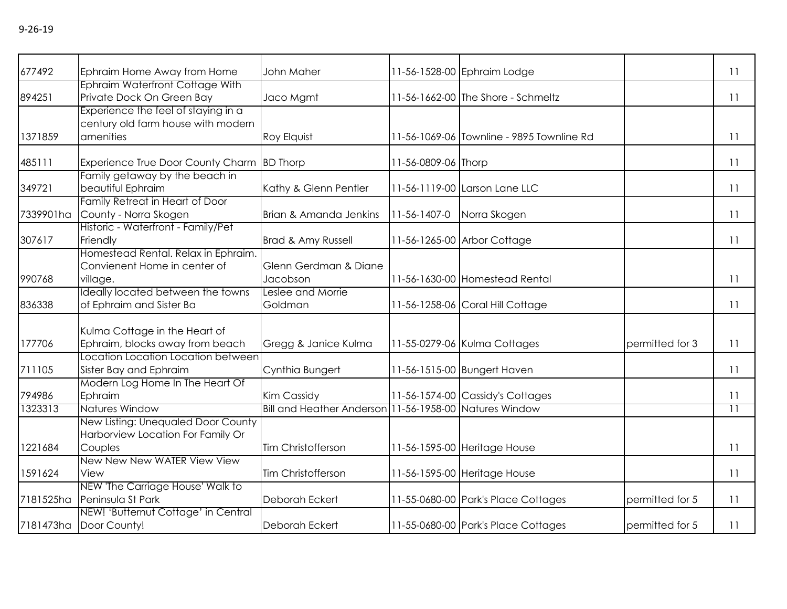| 677492    | Ephraim Home Away from Home                                   | John Maher                                             |                     | 11-56-1528-00 Ephraim Lodge               |                 | 11                      |
|-----------|---------------------------------------------------------------|--------------------------------------------------------|---------------------|-------------------------------------------|-----------------|-------------------------|
|           | Ephraim Waterfront Cottage With                               |                                                        |                     |                                           |                 |                         |
| 894251    | Private Dock On Green Bay                                     | Jaco Mgmt                                              |                     | 11-56-1662-00 The Shore - Schmeltz        |                 | 11                      |
|           | Experience the feel of staying in a                           |                                                        |                     |                                           |                 |                         |
|           | century old farm house with modern                            |                                                        |                     |                                           |                 |                         |
| 1371859   | amenities                                                     | Roy Elquist                                            |                     | 11-56-1069-06 Townline - 9895 Townline Rd |                 | 11                      |
| 485111    | <b>Experience True Door County Charm</b>                      | <b>BD Thorp</b>                                        | 11-56-0809-06 Thorp |                                           |                 | 11                      |
|           | Family getaway by the beach in                                |                                                        |                     |                                           |                 |                         |
| 349721    | beautiful Ephraim                                             | Kathy & Glenn Pentler                                  |                     | 11-56-1119-00 Larson Lane LLC             |                 | 11                      |
|           | Family Retreat in Heart of Door                               |                                                        |                     |                                           |                 |                         |
| 7339901ha | County - Norra Skogen                                         | Brian & Amanda Jenkins                                 | 11-56-1407-0        | Norra Skogen                              |                 | 11                      |
|           | Historic - Waterfront - Family/Pet                            |                                                        |                     |                                           |                 |                         |
| 307617    | Friendly                                                      | Brad & Amy Russell                                     |                     | 11-56-1265-00 Arbor Cottage               |                 | 11                      |
|           | Homestead Rental. Relax in Ephraim.                           |                                                        |                     |                                           |                 |                         |
|           | Convienent Home in center of                                  | Glenn Gerdman & Diane                                  |                     |                                           |                 |                         |
| 990768    | village.                                                      | Jacobson                                               |                     | 11-56-1630-00 Homestead Rental            |                 | 11                      |
|           | Ideally located between the towns                             | Leslee and Morrie                                      |                     |                                           |                 |                         |
| 836338    | of Ephraim and Sister Ba                                      | Goldman                                                |                     | 11-56-1258-06 Coral Hill Cottage          |                 | 11                      |
|           | Kulma Cottage in the Heart of                                 |                                                        |                     |                                           |                 |                         |
| 177706    | Ephraim, blocks away from beach                               | Gregg & Janice Kulma                                   |                     | 11-55-0279-06 Kulma Cottages              | permitted for 3 | 11                      |
|           | Location Location Location between                            |                                                        |                     |                                           |                 |                         |
| 711105    | Sister Bay and Ephraim                                        | Cynthia Bungert                                        |                     | 11-56-1515-00 Bungert Haven               |                 | 11                      |
|           | Modern Log Home In The Heart Of                               |                                                        |                     |                                           |                 |                         |
| 794986    | Ephraim                                                       | Kim Cassidy                                            |                     | 11-56-1574-00 Cassidy's Cottages          |                 | 11                      |
| 1323313   | <b>Natures Window</b>                                         | Bill and Heather Anderson 11-56-1958-00 Natures Window |                     |                                           |                 | $\overline{\mathbb{1}}$ |
|           | New Listing: Unequaled Door County                            |                                                        |                     |                                           |                 |                         |
|           |                                                               |                                                        |                     |                                           |                 |                         |
|           | Harborview Location For Family Or                             |                                                        |                     |                                           |                 |                         |
| 1221684   | Couples                                                       | Tim Christofferson                                     |                     | 11-56-1595-00 Heritage House              |                 | 11                      |
|           | New New New WATER View View                                   |                                                        |                     |                                           |                 |                         |
| 1591624   | View                                                          | Tim Christofferson                                     |                     | 11-56-1595-00 Heritage House              |                 | 11                      |
|           | NEW 'The Carriage House' Walk to                              |                                                        |                     |                                           |                 |                         |
| 7181525ha | Peninsula St Park                                             | Deborah Eckert                                         |                     | 11-55-0680-00 Park's Place Cottages       | permitted for 5 | 11                      |
|           | NEW! 'Butternut Cottage' in Central<br>7181473ha Door County! | Deborah Eckert                                         |                     | 11-55-0680-00 Park's Place Cottages       | permitted for 5 | 11                      |
|           |                                                               |                                                        |                     |                                           |                 |                         |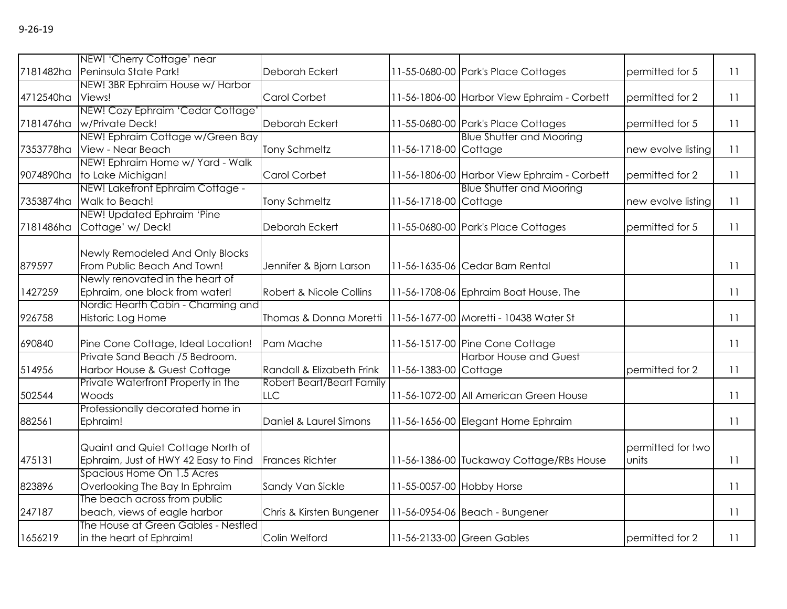|           | NEW! 'Cherry Cottage' near                     |                                  |                           |                                             |                    |    |
|-----------|------------------------------------------------|----------------------------------|---------------------------|---------------------------------------------|--------------------|----|
| 7181482ha | Peninsula State Park!                          | Deborah Eckert                   |                           | 11-55-0680-00 Park's Place Cottages         | permitted for 5    | 11 |
|           | NEW! 3BR Ephraim House w/ Harbor               |                                  |                           |                                             |                    |    |
| 4712540ha | Views!                                         | Carol Corbet                     |                           | 11-56-1806-00 Harbor View Ephraim - Corbett | permitted for 2    | 11 |
|           | NEW! Cozy Ephraim 'Cedar Cottage'              |                                  |                           |                                             |                    |    |
| 7181476ha | w/Private Deck!                                | Deborah Eckert                   |                           | 11-55-0680-00 Park's Place Cottages         | permitted for 5    | 11 |
|           | NEW! Ephraim Cottage w/Green Bay               |                                  |                           | <b>Blue Shutter and Mooring</b>             |                    |    |
| 7353778ha | View - Near Beach                              | <b>Tony Schmeltz</b>             | 11-56-1718-00 Cottage     |                                             | new evolve listing | 11 |
|           | NEW! Ephraim Home w/ Yard - Walk               |                                  |                           |                                             |                    |    |
| 9074890ha | to Lake Michigan!                              | Carol Corbet                     |                           | 11-56-1806-00 Harbor View Ephraim - Corbett | permitted for 2    | 11 |
|           | NEW! Lakefront Ephraim Cottage -               |                                  |                           | <b>Blue Shutter and Mooring</b>             |                    |    |
| 7353874ha | Walk to Beach!                                 | <b>Tony Schmeltz</b>             | 11-56-1718-00 Cottage     |                                             | new evolve listing | 11 |
| 7181486ha | NEW! Updated Ephraim 'Pine<br>Cottage' w/Deck! | Deborah Eckert                   |                           |                                             | permitted for 5    | 11 |
|           |                                                |                                  |                           | 11-55-0680-00 Park's Place Cottages         |                    |    |
|           | Newly Remodeled And Only Blocks                |                                  |                           |                                             |                    |    |
| 879597    | From Public Beach And Town!                    | Jennifer & Bjorn Larson          |                           | 11-56-1635-06 Cedar Barn Rental             |                    | 11 |
|           | Newly renovated in the heart of                |                                  |                           |                                             |                    |    |
| 1427259   | Ephraim, one block from water!                 | Robert & Nicole Collins          |                           | 11-56-1708-06 Ephraim Boat House, The       |                    | 11 |
|           | Nordic Hearth Cabin - Charming and             |                                  |                           |                                             |                    |    |
| 926758    | Historic Log Home                              | Thomas & Donna Moretti           |                           | 11-56-1677-00 Moretti - 10438 Water St      |                    | 11 |
|           |                                                |                                  |                           |                                             |                    |    |
| 690840    | Pine Cone Cottage, Ideal Location!             | Pam Mache                        |                           | 11-56-1517-00 Pine Cone Cottage             |                    | 11 |
|           | Private Sand Beach /5 Bedroom.                 |                                  |                           | <b>Harbor House and Guest</b>               |                    |    |
| 514956    | Harbor House & Guest Cottage                   | Randall & Elizabeth Frink        | 11-56-1383-00 Cottage     |                                             | permitted for 2    | 11 |
|           | Private Waterfront Property in the             | <b>Robert Beart/Beart Family</b> |                           |                                             |                    |    |
| 502544    | Woods                                          | <b>LLC</b>                       |                           | 11-56-1072-00 All American Green House      |                    | 11 |
|           | Professionally decorated home in               |                                  |                           |                                             |                    |    |
| 882561    | Ephraim!                                       | Daniel & Laurel Simons           |                           | 11-56-1656-00 Elegant Home Ephraim          |                    | 11 |
|           |                                                |                                  |                           |                                             |                    |    |
|           | Quaint and Quiet Cottage North of              |                                  |                           |                                             | permitted for two  |    |
| 475131    | Ephraim, Just of HWY 42 Easy to Find           | <b>Frances Richter</b>           |                           | 11-56-1386-00 Tuckaway Cottage/RBs House    | units              | 11 |
|           | Spacious Home On 1.5 Acres                     |                                  |                           |                                             |                    |    |
| 823896    | Overlooking The Bay In Ephraim                 | Sandy Van Sickle                 | 11-55-0057-00 Hobby Horse |                                             |                    | 11 |
|           | The beach across from public                   |                                  |                           |                                             |                    |    |
| 247187    | beach, views of eagle harbor                   | Chris & Kirsten Bungener         |                           | 11-56-0954-06 Beach - Bungener              |                    | 11 |
|           | The House at Green Gables - Nestled            |                                  |                           |                                             |                    |    |
| 1656219   | in the heart of Ephraim!                       | Colin Welford                    |                           | 11-56-2133-00 Green Gables                  | permitted for 2    | 11 |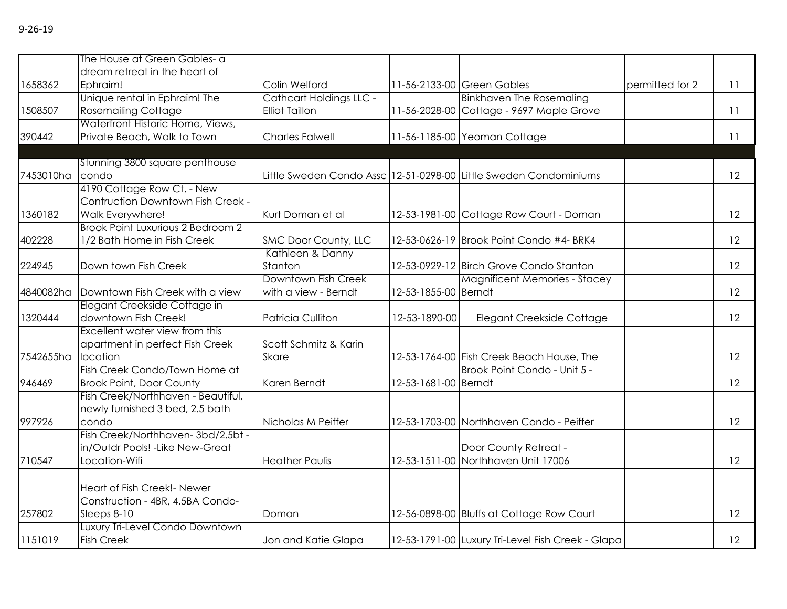|           | The House at Green Gables- a                         |                          |                      |                                                                   |                 |    |
|-----------|------------------------------------------------------|--------------------------|----------------------|-------------------------------------------------------------------|-----------------|----|
| 1658362   | dream retreat in the heart of<br>Ephraim!            | Colin Welford            |                      | 11-56-2133-00 Green Gables                                        | permitted for 2 | 11 |
|           | Unique rental in Ephraim! The                        | Cathcart Holdings LLC -  |                      | <b>Binkhaven The Rosemaling</b>                                   |                 |    |
| 1508507   | <b>Rosemailing Cottage</b>                           | <b>Elliot Taillon</b>    |                      | 11-56-2028-00 Cottage - 9697 Maple Grove                          |                 | 11 |
|           | Waterfront Historic Home, Views,                     |                          |                      |                                                                   |                 |    |
| 390442    | Private Beach, Walk to Town                          | <b>Charles Falwell</b>   |                      | 11-56-1185-00 Yeoman Cottage                                      |                 | 11 |
|           |                                                      |                          |                      |                                                                   |                 |    |
|           | Stunning 3800 square penthouse                       |                          |                      |                                                                   |                 |    |
| 7453010ha | condo                                                |                          |                      | Little Sweden Condo Assc 12-51-0298-00 Little Sweden Condominiums |                 | 12 |
|           | 4190 Cottage Row Ct. - New                           |                          |                      |                                                                   |                 |    |
|           | Contruction Downtown Fish Creek -                    |                          |                      |                                                                   |                 |    |
| 1360182   | Walk Everywhere!                                     | Kurt Doman et al         |                      | 12-53-1981-00 Cottage Row Court - Doman                           |                 | 12 |
|           | <b>Brook Point Luxurious 2 Bedroom 2</b>             |                          |                      |                                                                   |                 |    |
| 402228    | 1/2 Bath Home in Fish Creek                          | SMC Door County, LLC     |                      | 12-53-0626-19 Brook Point Condo #4- BRK4                          |                 | 12 |
|           |                                                      | Kathleen & Danny         |                      |                                                                   |                 |    |
| 224945    | Down town Fish Creek                                 | Stanton                  |                      | 12-53-0929-12 Birch Grove Condo Stanton                           |                 | 12 |
|           |                                                      | Downtown Fish Creek      |                      | <b>Magnificent Memories - Stacey</b>                              |                 |    |
| 4840082ha | Downtown Fish Creek with a view                      | with a view - Berndt     | 12-53-1855-00 Berndt |                                                                   |                 | 12 |
|           | Elegant Creekside Cottage in                         |                          |                      |                                                                   |                 |    |
| 1320444   | downtown Fish Creek!                                 | <b>Patricia Culliton</b> | 12-53-1890-00        | Elegant Creekside Cottage                                         |                 | 12 |
|           | Excellent water view from this                       |                          |                      |                                                                   |                 |    |
|           | apartment in perfect Fish Creek                      | Scott Schmitz & Karin    |                      |                                                                   |                 |    |
| 7542655ha | location                                             | <b>Skare</b>             |                      | 12-53-1764-00 Fish Creek Beach House, The                         |                 | 12 |
|           | Fish Creek Condo/Town Home at                        |                          |                      | Brook Point Condo - Unit 5 -                                      |                 |    |
| 946469    | <b>Brook Point, Door County</b>                      | Karen Berndt             | 12-53-1681-00 Berndt |                                                                   |                 | 12 |
|           | Fish Creek/Northhaven - Beautiful,                   |                          |                      |                                                                   |                 |    |
|           | newly furnished 3 bed, 2.5 bath                      |                          |                      |                                                                   |                 |    |
| 997926    | condo                                                | Nicholas M Peiffer       |                      | 12-53-1703-00 Northhaven Condo - Peiffer                          |                 | 12 |
|           | Fish Creek/Northhaven-3bd/2.5bt -                    |                          |                      |                                                                   |                 |    |
|           | in/Outdr Pools! - Like New-Great                     |                          |                      | Door County Retreat -                                             |                 |    |
| 710547    | Location-Wifi                                        | <b>Heather Paulis</b>    |                      | 12-53-1511-00 Northhaven Unit 17006                               |                 | 12 |
|           | Heart of Fish Creek!- Newer                          |                          |                      |                                                                   |                 |    |
|           |                                                      |                          |                      |                                                                   |                 |    |
| 257802    | Construction - 4BR, 4.5BA Condo-                     |                          |                      |                                                                   |                 | 12 |
|           | Sleeps 8-10                                          | Doman                    |                      | 12-56-0898-00 Bluffs at Cottage Row Court                         |                 |    |
|           | Luxury Tri-Level Condo Downtown<br><b>Fish Creek</b> |                          |                      | 12-53-1791-00 Luxury Tri-Level Fish Creek - Glapa                 |                 | 12 |
| 1151019   |                                                      | Jon and Katie Glapa      |                      |                                                                   |                 |    |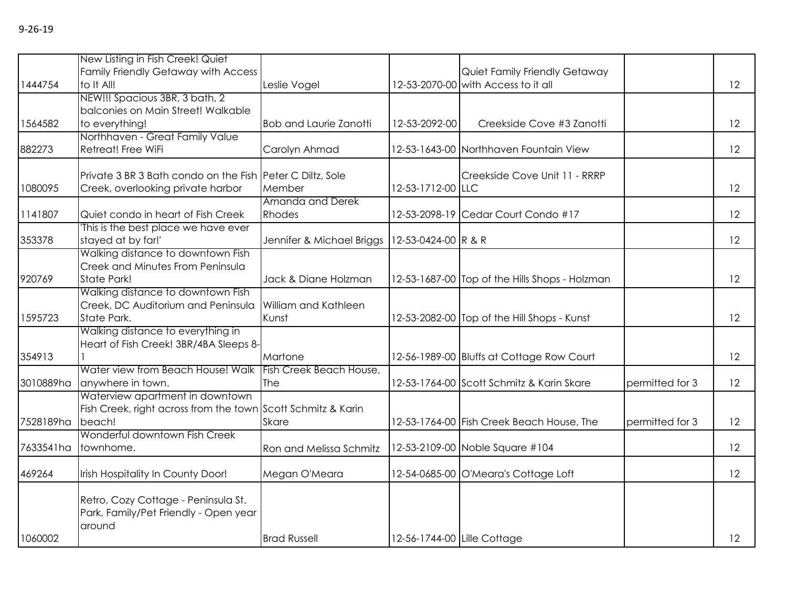| 1444754   | New Listing in Fish Creek! Quiet<br>Family Friendly Getaway with Access<br>to It All! |                               |                             | Quiet Family Friendly Getaway<br>12-53-2070-00 with Access to it all |                 | 12 |
|-----------|---------------------------------------------------------------------------------------|-------------------------------|-----------------------------|----------------------------------------------------------------------|-----------------|----|
|           | NEW!!! Spacious 3BR, 3 bath, 2                                                        | Leslie Vogel                  |                             |                                                                      |                 |    |
|           | balconies on Main Street! Walkable                                                    |                               |                             |                                                                      |                 |    |
| 1564582   | to everything!                                                                        | <b>Bob and Laurie Zanotti</b> | 12-53-2092-00               | Creekside Cove #3 Zanotti                                            |                 | 12 |
|           | Northhaven - Great Family Value                                                       |                               |                             |                                                                      |                 |    |
| 882273    | Retreat! Free WiFi                                                                    | Carolyn Ahmad                 |                             | 12-53-1643-00 Northhaven Fountain View                               |                 | 12 |
|           | Private 3 BR 3 Bath condo on the Fish Peter C Diltz, Sole                             |                               |                             | Creekside Cove Unit 11 - RRRP                                        |                 |    |
| 1080095   | Creek, overlooking private harbor                                                     | Member                        | 12-53-1712-00 LLC           |                                                                      |                 | 12 |
|           |                                                                                       | Amanda and Derek              |                             |                                                                      |                 |    |
| 1141807   | Quiet condo in heart of Fish Creek                                                    | Rhodes                        |                             | 12-53-2098-19 Cedar Court Condo #17                                  |                 | 12 |
|           | This is the best place we have ever                                                   |                               |                             |                                                                      |                 |    |
| 353378    | stayed at by far!'                                                                    | Jennifer & Michael Briggs     | 12-53-0424-00 R & R         |                                                                      |                 | 12 |
|           | Walking distance to downtown Fish<br>Creek and Minutes From Peninsula                 |                               |                             |                                                                      |                 |    |
| 920769    | <b>State Park!</b>                                                                    | Jack & Diane Holzman          |                             | 12-53-1687-00 Top of the Hills Shops - Holzman                       |                 | 12 |
|           | Walking distance to downtown Fish                                                     |                               |                             |                                                                      |                 |    |
|           | Creek, DC Auditorium and Peninsula                                                    | William and Kathleen          |                             |                                                                      |                 |    |
| 1595723   | State Park.                                                                           | Kunst                         |                             | 12-53-2082-00 Top of the Hill Shops - Kunst                          |                 | 12 |
|           | Walking distance to everything in                                                     |                               |                             |                                                                      |                 |    |
|           | Heart of Fish Creek! 3BR/4BA Sleeps 8-                                                |                               |                             |                                                                      |                 |    |
| 354913    |                                                                                       | Martone                       |                             | 12-56-1989-00 Bluffs at Cottage Row Court                            |                 | 12 |
|           | Water view from Beach House! Walk                                                     | Fish Creek Beach House,       |                             |                                                                      |                 |    |
| 3010889ha | anywhere in town.<br>Waterview apartment in downtown                                  | The                           |                             | 12-53-1764-00 Scott Schmitz & Karin Skare                            | permitted for 3 | 12 |
|           | Fish Creek, right across from the town Scott Schmitz & Karin                          |                               |                             |                                                                      |                 |    |
| 7528189ha | beach!                                                                                | <b>Skare</b>                  |                             | 12-53-1764-00 Fish Creek Beach House, The                            | permitted for 3 | 12 |
|           | Wonderful downtown Fish Creek                                                         |                               |                             |                                                                      |                 |    |
| 7633541ha | townhome.                                                                             | Ron and Melissa Schmitz       |                             | 12-53-2109-00 Noble Square #104                                      |                 | 12 |
| 469264    | Irish Hospitality In County Door!                                                     | Megan O'Meara                 |                             | 12-54-0685-00 O'Meara's Cottage Loft                                 |                 | 12 |
|           |                                                                                       |                               |                             |                                                                      |                 |    |
|           | Retro, Cozy Cottage - Peninsula St.                                                   |                               |                             |                                                                      |                 |    |
|           | Park, Family/Pet Friendly - Open year                                                 |                               |                             |                                                                      |                 |    |
|           | around                                                                                |                               |                             |                                                                      |                 |    |
| 1060002   |                                                                                       | <b>Brad Russell</b>           | 12-56-1744-00 Lille Cottage |                                                                      |                 | 12 |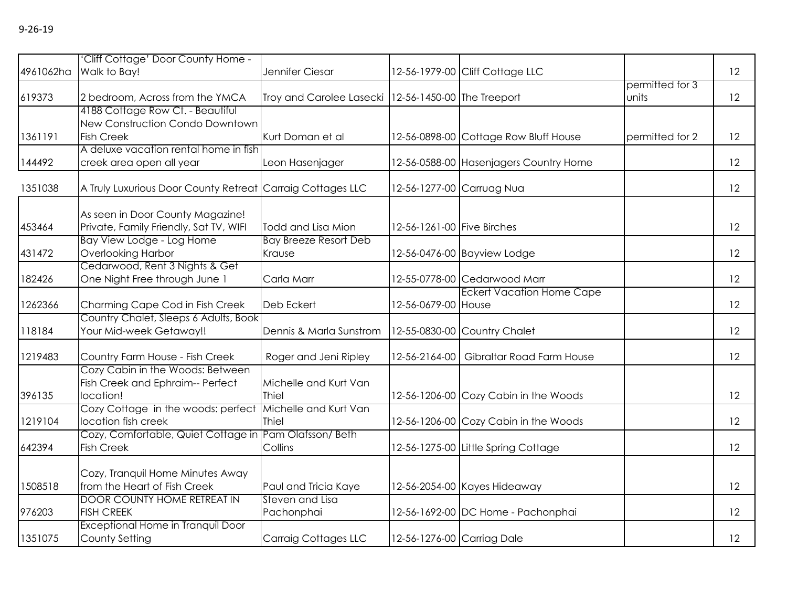| 4961062ha | 'Cliff Cottage' Door County Home -<br>Walk to Bay!                         | Jennifer Ciesar                                       |                            | 12-56-1979-00 Cliff Cottage LLC        |                 | 12 |
|-----------|----------------------------------------------------------------------------|-------------------------------------------------------|----------------------------|----------------------------------------|-----------------|----|
|           |                                                                            |                                                       |                            |                                        | permitted for 3 |    |
| 619373    | 2 bedroom, Across from the YMCA                                            | Troy and Carolee Lasecki   12-56-1450-00 The Treeport |                            |                                        | units           | 12 |
|           | 4188 Cottage Row Ct. - Beautiful                                           |                                                       |                            |                                        |                 |    |
|           | New Construction Condo Downtown                                            |                                                       |                            |                                        |                 |    |
| 1361191   | <b>Fish Creek</b>                                                          | Kurt Doman et al                                      |                            | 12-56-0898-00 Cottage Row Bluff House  | permitted for 2 | 12 |
|           | A deluxe vacation rental home in fish                                      |                                                       |                            |                                        |                 |    |
| 144492    | creek area open all year                                                   | Leon Hasenjager                                       |                            | 12-56-0588-00 Hasenjagers Country Home |                 | 12 |
| 1351038   | A Truly Luxurious Door County Retreat Carraig Cottages LLC                 |                                                       |                            | 12-56-1277-00 Carruag Nua              |                 | 12 |
|           |                                                                            |                                                       |                            |                                        |                 |    |
| 453464    | As seen in Door County Magazine!<br>Private, Family Friendly, Sat TV, WIFI | Todd and Lisa Mion                                    | 12-56-1261-00 Five Birches |                                        |                 | 12 |
|           | Bay View Lodge - Log Home                                                  | <b>Bay Breeze Resort Deb</b>                          |                            |                                        |                 |    |
|           |                                                                            |                                                       |                            |                                        |                 |    |
| 431472    | Overlooking Harbor                                                         | Krause                                                |                            | 12-56-0476-00 Bayview Lodge            |                 | 12 |
|           | Cedarwood, Rent 3 Nights & Get                                             |                                                       |                            |                                        |                 |    |
| 182426    | One Night Free through June 1                                              | Carla Marr                                            |                            | 12-55-0778-00 Cedarwood Marr           |                 | 12 |
|           |                                                                            |                                                       |                            | <b>Eckert Vacation Home Cape</b>       |                 |    |
| 1262366   | Charming Cape Cod in Fish Creek                                            | Deb Eckert                                            | 12-56-0679-00 House        |                                        |                 | 12 |
|           | Country Chalet, Sleeps 6 Adults, Book                                      |                                                       |                            |                                        |                 |    |
| 118184    | Your Mid-week Getaway!!                                                    | Dennis & Marla Sunstrom                               |                            | 12-55-0830-00 Country Chalet           |                 | 12 |
| 1219483   | Country Farm House - Fish Creek                                            | Roger and Jeni Ripley                                 | 12-56-2164-00              | Gibraltar Road Farm House              |                 | 12 |
|           | Cozy Cabin in the Woods: Between                                           |                                                       |                            |                                        |                 |    |
|           | Fish Creek and Ephraim-- Perfect                                           | Michelle and Kurt Van                                 |                            |                                        |                 |    |
| 396135    | location!                                                                  | Thiel                                                 |                            | 12-56-1206-00 Cozy Cabin in the Woods  |                 | 12 |
|           | Cozy Cottage in the woods: perfect                                         | Michelle and Kurt Van                                 |                            |                                        |                 |    |
| 1219104   | location fish creek                                                        | Thiel                                                 |                            | 12-56-1206-00 Cozy Cabin in the Woods  |                 | 12 |
|           | Cozy, Comfortable, Quiet Cottage in Pam Olafsson/ Beth                     |                                                       |                            |                                        |                 |    |
| 642394    | <b>Fish Creek</b>                                                          | Collins                                               |                            | 12-56-1275-00 Little Spring Cottage    |                 | 12 |
|           | Cozy, Tranquil Home Minutes Away                                           |                                                       |                            |                                        |                 |    |
| 1508518   | from the Heart of Fish Creek                                               | Paul and Tricia Kaye                                  |                            | 12-56-2054-00 Kayes Hideaway           |                 | 12 |
|           | <b>DOOR COUNTY HOME RETREAT IN</b>                                         | Steven and Lisa                                       |                            |                                        |                 |    |
| 976203    | <b>FISH CREEK</b>                                                          | Pachonphai                                            |                            | 12-56-1692-00 DC Home - Pachonphai     |                 | 12 |
|           | Exceptional Home in Tranquil Door                                          |                                                       |                            |                                        |                 |    |
| 1351075   | County Setting                                                             |                                                       |                            |                                        |                 | 12 |
|           |                                                                            | <b>Carraig Cottages LLC</b>                           | 12-56-1276-00 Carriag Dale |                                        |                 |    |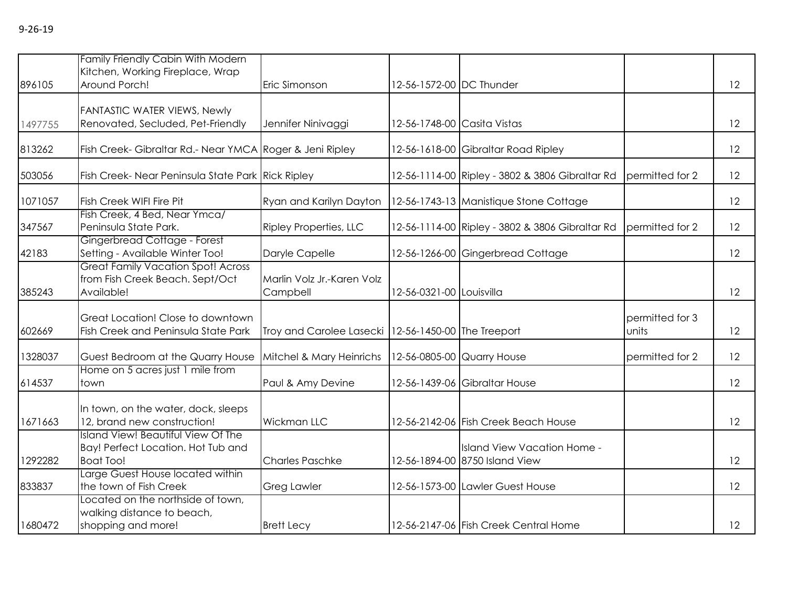|         | Family Friendly Cabin With Modern<br>Kitchen, Working Fireplace, Wrap                               |                                                       |                             |                                                               |                          |    |
|---------|-----------------------------------------------------------------------------------------------------|-------------------------------------------------------|-----------------------------|---------------------------------------------------------------|--------------------------|----|
| 896105  | Around Porch!                                                                                       | Eric Simonson                                         | 12-56-1572-00 DC Thunder    |                                                               |                          | 12 |
| 1497755 | FANTASTIC WATER VIEWS, Newly<br>Renovated, Secluded, Pet-Friendly                                   | Jennifer Ninivaggi                                    | 12-56-1748-00 Casita Vistas |                                                               |                          | 12 |
| 813262  | Fish Creek- Gibraltar Rd.- Near YMCA Roger & Jeni Ripley                                            |                                                       |                             | 12-56-1618-00 Gibraltar Road Ripley                           |                          | 12 |
| 503056  | Fish Creek- Near Peninsula State Park Rick Ripley                                                   |                                                       |                             | 12-56-1114-00 Ripley - 3802 & 3806 Gibraltar Rd               | permitted for 2          | 12 |
| 1071057 | Fish Creek WIFI Fire Pit                                                                            | Ryan and Karilyn Dayton                               |                             | 12-56-1743-13 Manistique Stone Cottage                        |                          | 12 |
| 347567  | Fish Creek, 4 Bed, Near Ymca/<br>Peninsula State Park.                                              | <b>Ripley Properties, LLC</b>                         |                             | 12-56-1114-00 Ripley - 3802 & 3806 Gibraltar Rd               | permitted for 2          | 12 |
| 42183   | Gingerbread Cottage - Forest<br>Setting - Available Winter Too!                                     | Daryle Capelle                                        |                             | 12-56-1266-00 Gingerbread Cottage                             |                          | 12 |
| 385243  | <b>Great Family Vacation Spot! Across</b><br>from Fish Creek Beach. Sept/Oct<br>Available!          | Marlin Volz Jr.-Karen Volz<br>Campbell                | 12-56-0321-00 Louisvilla    |                                                               |                          | 12 |
| 602669  | Great Location! Close to downtown<br>Fish Creek and Peninsula State Park                            | Troy and Carolee Lasecki   12-56-1450-00 The Treeport |                             |                                                               | permitted for 3<br>units | 12 |
| 1328037 | Guest Bedroom at the Quarry House                                                                   | Mitchel & Mary Heinrichs                              | 12-56-0805-00 Quarry House  |                                                               | permitted for 2          | 12 |
| 614537  | Home on 5 acres just 1 mile from<br>town                                                            | Paul & Amy Devine                                     |                             | 12-56-1439-06 Gibraltar House                                 |                          | 12 |
| 1671663 | In town, on the water, dock, sleeps<br>12, brand new construction!                                  | Wickman LLC                                           |                             | 12-56-2142-06 Fish Creek Beach House                          |                          | 12 |
| 1292282 | <b>Island View! Beautiful View Of The</b><br>Bay! Perfect Location. Hot Tub and<br><b>Boat Too!</b> | <b>Charles Paschke</b>                                |                             | Island View Vacation Home -<br>12-56-1894-00 8750 Island View |                          | 12 |
| 833837  | Large Guest House located within<br>the town of Fish Creek                                          | <b>Greg Lawler</b>                                    |                             | 12-56-1573-00 Lawler Guest House                              |                          | 12 |
| 1680472 | Located on the northside of town,<br>walking distance to beach,<br>shopping and more!               | <b>Brett Lecy</b>                                     |                             | 12-56-2147-06 Fish Creek Central Home                         |                          | 12 |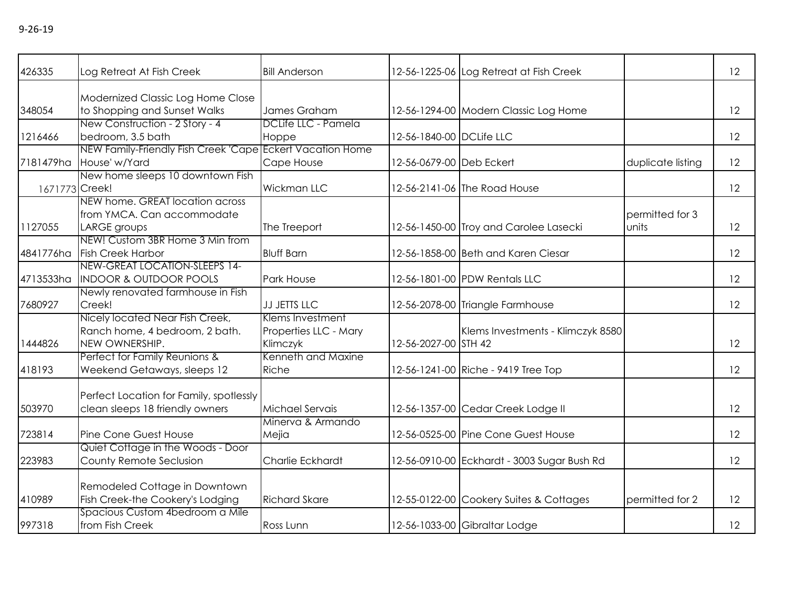| 426335         | Log Retreat At Fish Creek                                                                                        | <b>Bill Anderson</b>                                  |                          | 12-56-1225-06 Log Retreat at Fish Creek     |                          | 12 |
|----------------|------------------------------------------------------------------------------------------------------------------|-------------------------------------------------------|--------------------------|---------------------------------------------|--------------------------|----|
| 348054         | Modernized Classic Log Home Close<br>to Shopping and Sunset Walks                                                | James Graham                                          |                          | 12-56-1294-00 Modern Classic Log Home       |                          | 12 |
| 1216466        | New Construction - 2 Story - 4<br>bedroom, 3.5 bath                                                              | DCLife LLC - Pamela<br>Hoppe                          | 12-56-1840-00 DCLife LLC |                                             |                          | 12 |
| 7181479ha      | NEW Family-Friendly Fish Creek 'Cape Eckert Vacation Home<br>House' w/Yard                                       | Cape House                                            | 12-56-0679-00 Deb Eckert |                                             | duplicate listing        | 12 |
| 1671773 Creek! | New home sleeps 10 downtown Fish                                                                                 | <b>Wickman LLC</b>                                    |                          | 12-56-2141-06 The Road House                |                          | 12 |
| 1127055        | NEW home. GREAT location across<br>from YMCA. Can accommodate<br>LARGE groups<br>NEW! Custom 3BR Home 3 Min from | The Treeport                                          |                          | 12-56-1450-00 Troy and Carolee Lasecki      | permitted for 3<br>units | 12 |
| 4841776ha      | <b>Fish Creek Harbor</b>                                                                                         | <b>Bluff Barn</b>                                     |                          | 12-56-1858-00 Beth and Karen Ciesar         |                          | 12 |
| 4713533ha      | NEW-GREAT LOCATION-SLEEPS 14-<br><b>INDOOR &amp; OUTDOOR POOLS</b>                                               | Park House                                            |                          | 12-56-1801-00 PDW Rentals LLC               |                          | 12 |
| 7680927        | Newly renovated farmhouse in Fish<br>Creek!                                                                      | <b>JJ JETTS LLC</b>                                   |                          | 12-56-2078-00 Triangle Farmhouse            |                          | 12 |
| 1444826        | Nicely located Near Fish Creek,<br>Ranch home, 4 bedroom, 2 bath.<br>NEW OWNERSHIP.                              | Klems Investment<br>Properties LLC - Mary<br>Klimczyk | 12-56-2027-00 STH 42     | Klems Investments - Klimczyk 8580           |                          | 12 |
| 418193         | Perfect for Family Reunions &<br>Weekend Getaways, sleeps 12                                                     | Kenneth and Maxine<br>Riche                           |                          | 12-56-1241-00 Riche - 9419 Tree Top         |                          | 12 |
| 503970         | Perfect Location for Family, spotlessly<br>clean sleeps 18 friendly owners                                       | Michael Servais                                       |                          | 12-56-1357-00 Cedar Creek Lodge II          |                          | 12 |
| 723814         | Pine Cone Guest House                                                                                            | Minerva & Armando<br>Mejia                            |                          | 12-56-0525-00 Pine Cone Guest House         |                          | 12 |
| 223983         | Quiet Cottage in the Woods - Door<br>County Remote Seclusion                                                     | Charlie Eckhardt                                      |                          | 12-56-0910-00 Eckhardt - 3003 Sugar Bush Rd |                          | 12 |
| 410989         | Remodeled Cottage in Downtown<br>Fish Creek-the Cookery's Lodging                                                | <b>Richard Skare</b>                                  |                          | 12-55-0122-00 Cookery Suites & Cottages     | permitted for 2          | 12 |
| 997318         | Spacious Custom 4bedroom a Mile<br>from Fish Creek                                                               | Ross Lunn                                             |                          | 12-56-1033-00 Gibraltar Lodge               |                          | 12 |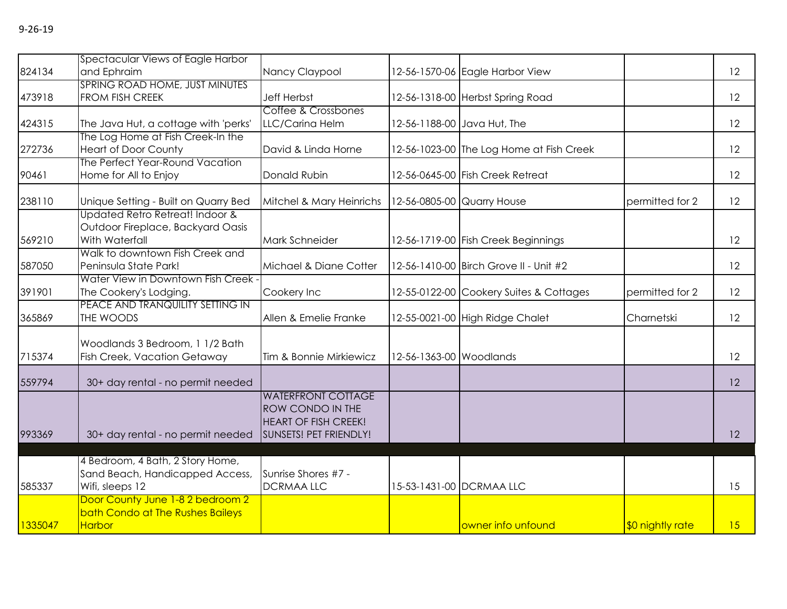| 824134  | Spectacular Views of Eagle Harbor<br>and Ephraim                                       | Nancy Claypool                                                                                                |                         | 12-56-1570-06 Eagle Harbor View          |                  | 12 |
|---------|----------------------------------------------------------------------------------------|---------------------------------------------------------------------------------------------------------------|-------------------------|------------------------------------------|------------------|----|
| 473918  | SPRING ROAD HOME, JUST MINUTES<br>FROM FISH CREEK                                      | <b>Jeff Herbst</b>                                                                                            |                         | 12-56-1318-00 Herbst Spring Road         |                  | 12 |
| 424315  | The Java Hut, a cottage with 'perks'                                                   | Coffee & Crossbones<br>LLC/Carina Helm                                                                        |                         | 12-56-1188-00 Java Hut, The              |                  | 12 |
| 272736  | The Log Home at Fish Creek-In the<br><b>Heart of Door County</b>                       | David & Linda Horne                                                                                           |                         | 12-56-1023-00 The Log Home at Fish Creek |                  | 12 |
| 90461   | The Perfect Year-Round Vacation<br>Home for All to Enjoy                               | Donald Rubin                                                                                                  |                         | 12-56-0645-00 Fish Creek Retreat         |                  | 12 |
| 238110  | Unique Setting - Built on Quarry Bed                                                   | Mitchel & Mary Heinrichs                                                                                      |                         | 12-56-0805-00 Quarry House               | permitted for 2  | 12 |
| 569210  | Updated Retro Retreat! Indoor &<br>Outdoor Fireplace, Backyard Oasis<br>With Waterfall | Mark Schneider                                                                                                |                         | 12-56-1719-00 Fish Creek Beginnings      |                  | 12 |
| 587050  | Walk to downtown Fish Creek and<br>Peninsula State Park!                               | Michael & Diane Cotter                                                                                        |                         | 12-56-1410-00 Birch Grove II - Unit #2   |                  | 12 |
| 391901  | Water View in Downtown Fish Creek -<br>The Cookery's Lodging.                          | Cookery Inc                                                                                                   |                         | 12-55-0122-00 Cookery Suites & Cottages  | permitted for 2  | 12 |
| 365869  | PEACE AND TRANQUILITY SETTING IN<br>THE WOODS                                          | Allen & Emelie Franke                                                                                         |                         | 12-55-0021-00 High Ridge Chalet          | Charnetski       | 12 |
| 715374  | Woodlands 3 Bedroom, 1 1/2 Bath<br><b>Fish Creek, Vacation Getaway</b>                 | Tim & Bonnie Mirkiewicz                                                                                       | 12-56-1363-00 Woodlands |                                          |                  | 12 |
| 559794  | 30+ day rental - no permit needed                                                      |                                                                                                               |                         |                                          |                  | 12 |
| 993369  | 30+ day rental - no permit needed                                                      | <b>WATERFRONT COTTAGE</b><br><b>ROW CONDO IN THE</b><br><b>HEART OF FISH CREEK!</b><br>SUNSETS! PET FRIENDLY! |                         |                                          |                  | 12 |
|         | 4 Bedroom, 4 Bath, 2 Story Home,                                                       |                                                                                                               |                         |                                          |                  |    |
| 585337  | Sand Beach, Handicapped Access,<br>Wifi, sleeps 12                                     | Sunrise Shores #7 -<br><b>DCRMAALLC</b>                                                                       |                         | 15-53-1431-00 DCRMAA LLC                 |                  | 15 |
|         | Door County June 1-8 2 bedroom 2<br>bath Condo at The Rushes Baileys                   |                                                                                                               |                         |                                          |                  |    |
| 1335047 | Harbor                                                                                 |                                                                                                               |                         | owner info unfound                       | \$0 nightly rate | 15 |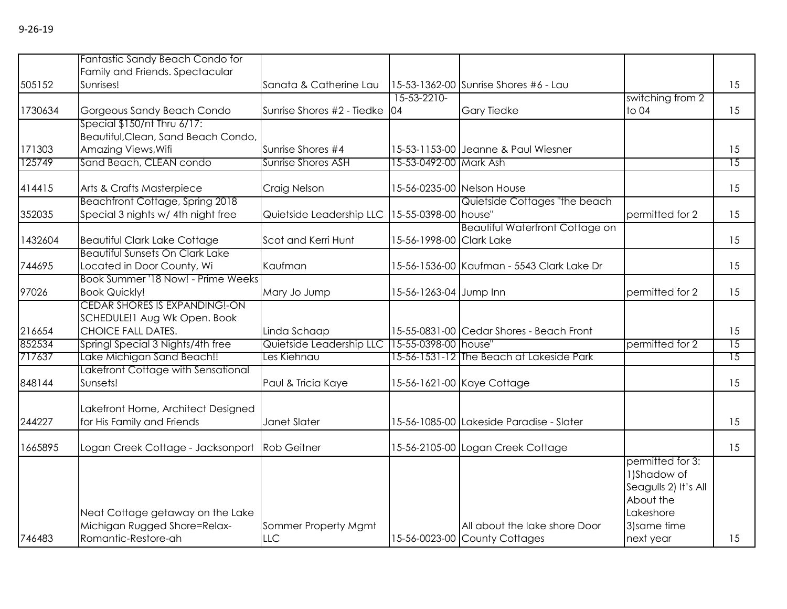|         | Fantastic Sandy Beach Condo for        |                            |                        |                                            |                      |                 |
|---------|----------------------------------------|----------------------------|------------------------|--------------------------------------------|----------------------|-----------------|
|         | Family and Friends. Spectacular        |                            |                        |                                            |                      |                 |
| 505152  | Sunrises!                              | Sanata & Catherine Lau     |                        | 15-53-1362-00 Sunrise Shores #6 - Lau      |                      | 15              |
|         |                                        |                            | 15-53-2210-            |                                            | switching from 2     |                 |
| 1730634 | Gorgeous Sandy Beach Condo             | Sunrise Shores #2 - Tiedke | 04                     | <b>Gary Tiedke</b>                         | to 04                | 15              |
|         | Special \$150/nt Thru 6/17:            |                            |                        |                                            |                      |                 |
|         | Beautiful, Clean, Sand Beach Condo,    |                            |                        |                                            |                      |                 |
| 171303  | Amazing Views, Wifi                    | Sunrise Shores #4          |                        | 15-53-1153-00 Jeanne & Paul Wiesner        |                      | 15              |
| 125749  | Sand Beach, CLEAN condo                | <b>Sunrise Shores ASH</b>  | 15-53-0492-00 Mark Ash |                                            |                      | $\overline{15}$ |
| 414415  | Arts & Crafts Masterpiece              | Craig Nelson               |                        | 15-56-0235-00 Nelson House                 |                      | 15              |
|         | Beachfront Cottage, Spring 2018        |                            |                        | Quietside Cottages "the beach              |                      |                 |
|         |                                        |                            |                        |                                            |                      |                 |
| 352035  | Special 3 nights w/ 4th night free     | Quietside Leadership LLC   | 15-55-0398-00          | house"                                     | permitted for 2      | 15              |
|         |                                        |                            |                        | <b>Beautiful Waterfront Cottage on</b>     |                      |                 |
| 1432604 | <b>Beautiful Clark Lake Cottage</b>    | Scot and Kerri Hunt        | 15-56-1998-00          | <b>Clark Lake</b>                          |                      | 15              |
|         | <b>Beautiful Sunsets On Clark Lake</b> |                            |                        |                                            |                      |                 |
| 744695  | Located in Door County, Wi             | Kaufman                    |                        | 15-56-1536-00 Kaufman - 5543 Clark Lake Dr |                      | 15              |
|         | Book Summer '18 Now! - Prime Weeks     |                            |                        |                                            |                      |                 |
| 97026   | <b>Book Quickly!</b>                   | Mary Jo Jump               | 15-56-1263-04 Jump Inn |                                            | permitted for 2      | 15              |
|         | CEDAR SHORES IS EXPANDING!-ON          |                            |                        |                                            |                      |                 |
|         | SCHEDULE!1 Aug Wk Open. Book           |                            |                        |                                            |                      |                 |
| 216654  | <b>CHOICE FALL DATES.</b>              | Linda Schaap               |                        | 15-55-0831-00 Cedar Shores - Beach Front   |                      | 15              |
| 852534  | Springl Special 3 Nights/4th free      | Quietside Leadership LLC   | 15-55-0398-00 house"   |                                            | permitted for 2      | 15              |
| 717637  | Lake Michigan Sand Beach!!             | Les Kiehnau                |                        | 15-56-1531-12 The Beach at Lakeside Park   |                      | 15              |
|         | Lakefront Cottage with Sensational     |                            |                        |                                            |                      |                 |
| 848144  | Sunsets!                               | Paul & Tricia Kaye         |                        | 15-56-1621-00 Kaye Cottage                 |                      | 15              |
|         | Lakefront Home, Architect Designed     |                            |                        |                                            |                      |                 |
| 244227  | for His Family and Friends             | Janet Slater               |                        | 15-56-1085-00 Lakeside Paradise - Slater   |                      | 15              |
|         |                                        |                            |                        |                                            |                      |                 |
| 1665895 | Logan Creek Cottage - Jacksonport      | <b>Rob Geitner</b>         |                        | 15-56-2105-00 Logan Creek Cottage          |                      | 15              |
|         |                                        |                            |                        |                                            | permitted for 3:     |                 |
|         |                                        |                            |                        |                                            | 1) Shadow of         |                 |
|         |                                        |                            |                        |                                            | Seagulls 2) It's All |                 |
|         |                                        |                            |                        |                                            |                      |                 |
|         |                                        |                            |                        |                                            | About the            |                 |
|         | Neat Cottage getaway on the Lake       |                            |                        |                                            | Lakeshore            |                 |
|         | Michigan Rugged Shore=Relax-           | Sommer Property Mgmt       |                        | All about the lake shore Door              | 3) same time         |                 |
| 746483  | Romantic-Restore-ah                    | <b>LLC</b>                 |                        | 15-56-0023-00 County Cottages              | next year            | 15              |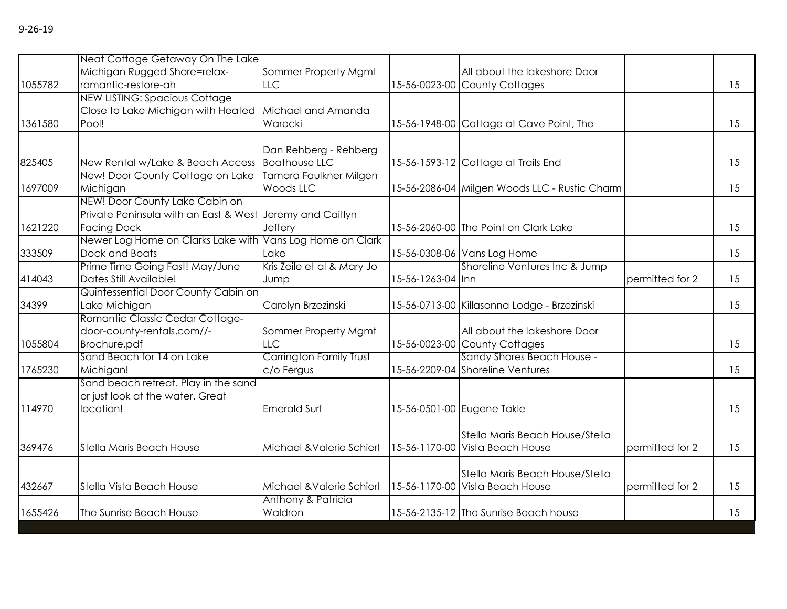|         | Neat Cottage Getaway On The Lake                          |                            |                   |                                               |                 |    |
|---------|-----------------------------------------------------------|----------------------------|-------------------|-----------------------------------------------|-----------------|----|
|         | Michigan Rugged Shore=relax-                              | Sommer Property Mgmt       |                   | All about the lakeshore Door                  |                 |    |
| 1055782 | romantic-restore-ah                                       | <b>LLC</b>                 |                   | 15-56-0023-00 County Cottages                 |                 | 15 |
|         | <b>NEW LISTING: Spacious Cottage</b>                      |                            |                   |                                               |                 |    |
|         | Close to Lake Michigan with Heated                        | Michael and Amanda         |                   |                                               |                 |    |
| 1361580 | Pool!                                                     | Warecki                    |                   | 15-56-1948-00 Cottage at Cave Point, The      |                 | 15 |
|         |                                                           |                            |                   |                                               |                 |    |
|         |                                                           | Dan Rehberg - Rehberg      |                   |                                               |                 |    |
| 825405  | New Rental w/Lake & Beach Access                          | <b>Boathouse LLC</b>       |                   | 15-56-1593-12 Cottage at Trails End           |                 | 15 |
|         | New! Door County Cottage on Lake                          | Tamara Faulkner Milgen     |                   |                                               |                 |    |
| 1697009 | Michigan                                                  | Woods LLC                  |                   | 15-56-2086-04 Milgen Woods LLC - Rustic Charm |                 | 15 |
|         | NEW! Door County Lake Cabin on                            |                            |                   |                                               |                 |    |
|         | Private Peninsula with an East & West Jeremy and Caitlyn  |                            |                   |                                               |                 |    |
| 1621220 | <b>Facing Dock</b>                                        | Jeffery                    |                   | 15-56-2060-00 The Point on Clark Lake         |                 | 15 |
|         | Newer Log Home on Clarks Lake with Vans Log Home on Clark |                            |                   |                                               |                 |    |
| 333509  | Dock and Boats                                            | Lake                       |                   | 15-56-0308-06 Vans Log Home                   |                 | 15 |
|         | Prime Time Going Fast! May/June                           | Kris Zeile et al & Mary Jo |                   | Shoreline Ventures Inc & Jump                 |                 |    |
| 414043  | Dates Still Available!                                    | Jump                       | 15-56-1263-04 Inn |                                               | permitted for 2 | 15 |
|         | Quintessential Door County Cabin on                       |                            |                   |                                               |                 |    |
| 34399   | Lake Michigan                                             | Carolyn Brzezinski         |                   | 15-56-0713-00 Killasonna Lodge - Brzezinski   |                 | 15 |
|         | Romantic Classic Cedar Cottage-                           |                            |                   |                                               |                 |    |
|         | door-county-rentals.com//-                                | Sommer Property Mgmt       |                   | All about the lakeshore Door                  |                 |    |
| 1055804 | Brochure.pdf                                              | LLC                        |                   | 15-56-0023-00 County Cottages                 |                 | 15 |
|         | Sand Beach for 14 on Lake                                 | Carrington Family Trust    |                   | Sandy Shores Beach House -                    |                 |    |
| 1765230 | Michigan!                                                 | c/o Fergus                 |                   | 15-56-2209-04 Shoreline Ventures              |                 | 15 |
|         | Sand beach retreat. Play in the sand                      |                            |                   |                                               |                 |    |
|         | or just look at the water. Great                          |                            |                   |                                               |                 |    |
| 114970  | location!                                                 | <b>Emerald Surf</b>        |                   | 15-56-0501-00 Eugene Takle                    |                 | 15 |
|         |                                                           |                            |                   |                                               |                 |    |
|         |                                                           |                            |                   | Stella Maris Beach House/Stella               |                 |    |
| 369476  | <b>Stella Maris Beach House</b>                           | Michael & Valerie Schierl  |                   | 15-56-1170-00 Vista Beach House               | permitted for 2 | 15 |
|         |                                                           |                            |                   |                                               |                 |    |
|         |                                                           |                            |                   | Stella Maris Beach House/Stella               |                 |    |
| 432667  | Stella Vista Beach House                                  | Michael & Valerie Schierl  |                   | 15-56-1170-00 Vista Beach House               | permitted for 2 | 15 |
|         |                                                           | Anthony & Patricia         |                   |                                               |                 |    |
| 1655426 | The Sunrise Beach House                                   | Waldron                    |                   | 15-56-2135-12 The Sunrise Beach house         |                 | 15 |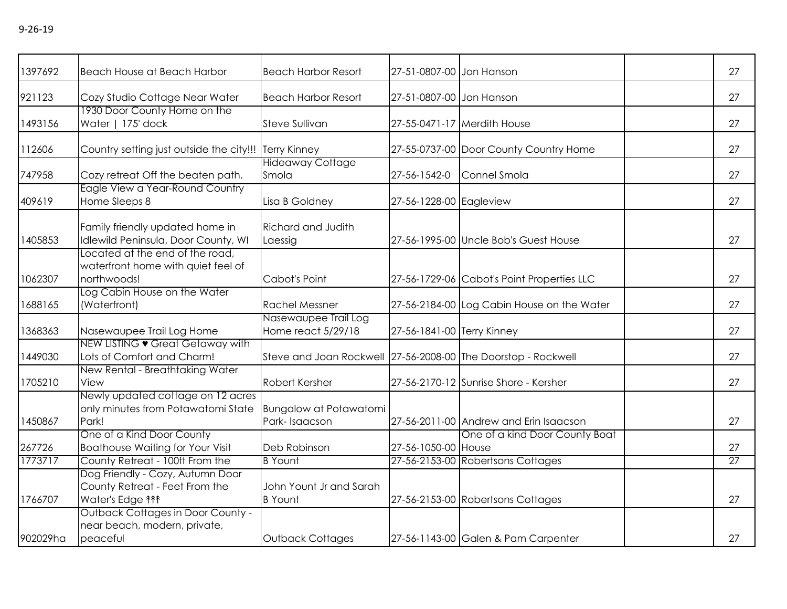| 1397692 | Beach House at Beach Harbor                                                                      | <b>Beach Harbor Resort</b>                                    | 27-51-0807-00 Jon Hanson   |                                            | 27 |
|---------|--------------------------------------------------------------------------------------------------|---------------------------------------------------------------|----------------------------|--------------------------------------------|----|
| 921123  | Cozy Studio Cottage Near Water                                                                   | <b>Beach Harbor Resort</b>                                    | 27-51-0807-00 Jon Hanson   |                                            | 27 |
| 1493156 | 1930 Door County Home on the<br>Water   175' dock                                                | Steve Sullivan                                                |                            | 27-55-0471-17 Merdith House                | 27 |
| 112606  | Country setting just outside the city!!! Terry Kinney                                            |                                                               |                            | 27-55-0737-00 Door County Country Home     | 27 |
| 747958  | Cozy retreat Off the beaten path.                                                                | <b>Hideaway Cottage</b><br>Smola                              | 27-56-1542-0               | Connel Smola                               | 27 |
| 409619  | Eagle View a Year-Round Country<br>Home Sleeps 8                                                 | Lisa B Goldney                                                | 27-56-1228-00 Eagleview    |                                            | 27 |
| 1405853 | Family friendly updated home in<br>Idlewild Peninsula, Door County, WI                           | <b>Richard and Judith</b><br>Laessig                          |                            | 27-56-1995-00 Uncle Bob's Guest House      | 27 |
| 1062307 | Located at the end of the road,<br>waterfront home with quiet feel of<br>northwoods!             | Cabot's Point                                                 |                            | 27-56-1729-06 Cabot's Point Properties LLC | 27 |
| 1688165 | Log Cabin House on the Water<br>(Waterfront)                                                     | <b>Rachel Messner</b>                                         |                            | 27-56-2184-00 Log Cabin House on the Water | 27 |
| 1368363 | Nasewaupee Trail Log Home                                                                        | Nasewaupee Trail Log<br>Home react 5/29/18                    | 27-56-1841-00 Terry Kinney |                                            | 27 |
| 1449030 | NEW LISTING • Great Getaway with<br>Lots of Comfort and Charm!                                   | Steve and Joan Rockwell 27-56-2008-00 The Doorstop - Rockwell |                            |                                            | 27 |
| 1705210 | New Rental - Breathtaking Water<br>View                                                          | Robert Kersher                                                |                            | 27-56-2170-12 Sunrise Shore - Kersher      | 27 |
| 1450867 | Newly updated cottage on 12 acres<br>only minutes from Potawatomi State<br>Park!                 | <b>Bungalow at Potawatomi</b><br>Park-Isaacson                |                            | 27-56-2011-00 Andrew and Erin Isaacson     | 27 |
| 267726  | One of a Kind Door County<br><b>Boathouse Waiting for Your Visit</b>                             | Deb Robinson                                                  | 27-56-1050-00 House        | One of a kind Door County Boat             | 27 |
| 1773717 | County Retreat - 100ft From the                                                                  | <b>B</b> Yount                                                |                            | 27-56-2153-00 Robertsons Cottages          | 27 |
| 1766707 | Dog Friendly - Cozy, Autumn Door<br>County Retreat - Feet From the<br>Water's Edge <sup>11</sup> | John Yount Jr and Sarah<br><b>B</b> Yount                     |                            | 27-56-2153-00 Robertsons Cottages          | 27 |
|         | Outback Cottages in Door County -<br>near beach, modern, private,                                |                                                               |                            |                                            |    |

peaceful peaceful performance of Dutback Cottages 27-56-1143-00 Galen & Pam Carpenter 27

9-26-19

902029ha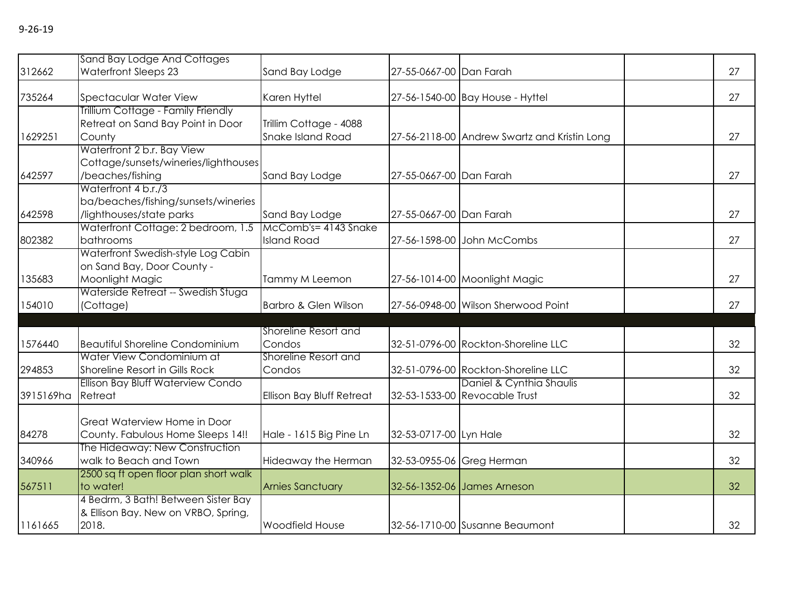| 312662    | Sand Bay Lodge And Cottages<br><b>Waterfront Sleeps 23</b> | Sand Bay Lodge            | 27-55-0667-00 Dan Farah |                                              | 27 |
|-----------|------------------------------------------------------------|---------------------------|-------------------------|----------------------------------------------|----|
|           |                                                            |                           |                         |                                              |    |
| 735264    | <b>Spectacular Water View</b>                              | Karen Hyttel              |                         | 27-56-1540-00 Bay House - Hyttel             | 27 |
|           | Trillium Cottage - Family Friendly                         |                           |                         |                                              |    |
|           | Retreat on Sand Bay Point in Door                          | Trillim Cottage - 4088    |                         |                                              |    |
| 1629251   | County                                                     | Snake Island Road         |                         | 27-56-2118-00 Andrew Swartz and Kristin Long | 27 |
|           | Waterfront 2 b.r. Bay View                                 |                           |                         |                                              |    |
|           | Cottage/sunsets/wineries/lighthouses                       |                           |                         |                                              |    |
| 642597    | /beaches/fishing                                           | Sand Bay Lodge            | 27-55-0667-00 Dan Farah |                                              | 27 |
|           | Waterfront 4 b.r./3                                        |                           |                         |                                              |    |
|           | ba/beaches/fishing/sunsets/wineries                        |                           |                         |                                              |    |
| 642598    | /lighthouses/state parks                                   | Sand Bay Lodge            | 27-55-0667-00 Dan Farah |                                              | 27 |
|           | Waterfront Cottage: 2 bedroom, 1.5                         | McComb's= 4143 Snake      |                         |                                              |    |
| 802382    | bathrooms                                                  | <b>Island Road</b>        |                         | 27-56-1598-00 John McCombs                   | 27 |
|           | Waterfront Swedish-style Log Cabin                         |                           |                         |                                              |    |
|           | on Sand Bay, Door County -                                 |                           |                         |                                              |    |
| 135683    | Moonlight Magic                                            | Tammy M Leemon            |                         | 27-56-1014-00 Moonlight Magic                | 27 |
|           | Waterside Retreat -- Swedish Stuga                         |                           |                         |                                              |    |
| 154010    | (Cottage)                                                  | Barbro & Glen Wilson      |                         | 27-56-0948-00 Wilson Sherwood Point          | 27 |
|           |                                                            |                           |                         |                                              |    |
|           |                                                            | Shoreline Resort and      |                         |                                              |    |
| 1576440   | <b>Beautiful Shoreline Condominium</b>                     | Condos                    |                         | 32-51-0796-00 Rockton-Shoreline LLC          | 32 |
|           | Water View Condominium at                                  | Shoreline Resort and      |                         |                                              |    |
| 294853    | Shoreline Resort in Gills Rock                             | Condos                    |                         | 32-51-0796-00 Rockton-Shoreline LLC          | 32 |
|           | Ellison Bay Bluff Waterview Condo                          |                           |                         | Daniel & Cynthia Shaulis                     |    |
| 3915169ha | Retreat                                                    | Ellison Bay Bluff Retreat |                         | 32-53-1533-00 Revocable Trust                | 32 |
|           |                                                            |                           |                         |                                              |    |
|           | Great Waterview Home in Door                               |                           |                         |                                              |    |
| 84278     | County. Fabulous Home Sleeps 14!!                          | Hale - 1615 Big Pine Ln   | 32-53-0717-00 Lyn Hale  |                                              | 32 |
|           | The Hideaway: New Construction                             |                           |                         |                                              |    |
| 340966    | walk to Beach and Town                                     | Hideaway the Herman       |                         | 32-53-0955-06 Greg Herman                    | 32 |
|           | 2500 sq ft open floor plan short walk                      |                           |                         |                                              |    |
| 567511    | to water!                                                  | <b>Arnies Sanctuary</b>   |                         | 32-56-1352-06 James Arneson                  | 32 |
|           | 4 Bedrm, 3 Bath! Between Sister Bay                        |                           |                         |                                              |    |
|           | & Ellison Bay. New on VRBO, Spring,                        |                           |                         |                                              |    |
| 1161665   | 2018.                                                      | <b>Woodfield House</b>    |                         | 32-56-1710-00 Susanne Beaumont               | 32 |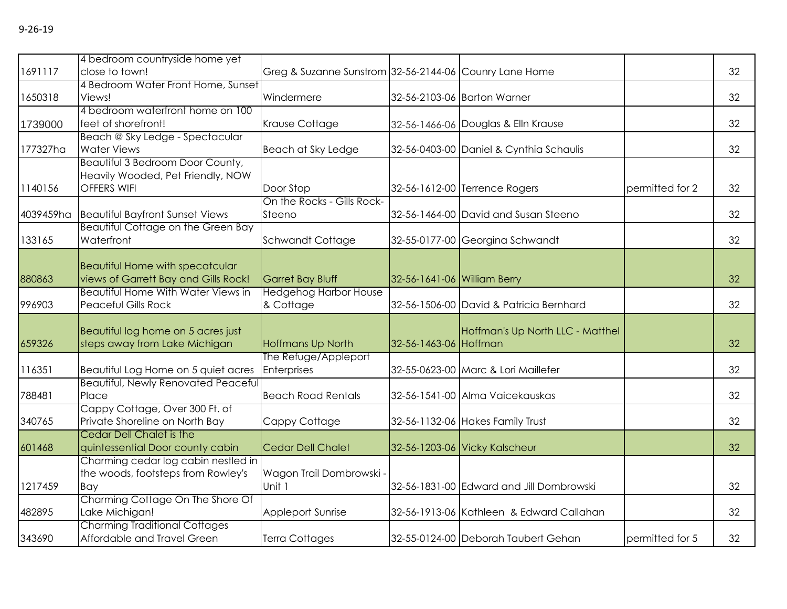| 1691117   | 4 bedroom countryside home yet<br>close to town!                                            | Greg & Suzanne Sunstrom 32-56-2144-06 Counry Lane Home |                             |                                          |                 | 32 |
|-----------|---------------------------------------------------------------------------------------------|--------------------------------------------------------|-----------------------------|------------------------------------------|-----------------|----|
| 1650318   | 4 Bedroom Water Front Home, Sunset<br>Views!                                                | Windermere                                             |                             | 32-56-2103-06 Barton Warner              |                 | 32 |
| 1739000   | 4 bedroom waterfront home on 100<br>feet of shorefront!                                     | Krause Cottage                                         |                             | 32-56-1466-06 Douglas & Elln Krause      |                 | 32 |
| 177327ha  | Beach @ Sky Ledge - Spectacular<br><b>Water Views</b>                                       | Beach at Sky Ledge                                     |                             | 32-56-0403-00 Daniel & Cynthia Schaulis  |                 | 32 |
| 1140156   | Beautiful 3 Bedroom Door County,<br>Heavily Wooded, Pet Friendly, NOW<br><b>OFFERS WIFI</b> | Door Stop                                              |                             | 32-56-1612-00 Terrence Rogers            | permitted for 2 | 32 |
| 4039459ha | <b>Beautiful Bayfront Sunset Views</b>                                                      | On the Rocks - Gills Rock-<br>Steeno                   |                             | 32-56-1464-00 David and Susan Steeno     |                 | 32 |
| 133165    | Beautiful Cottage on the Green Bay<br>Waterfront                                            | Schwandt Cottage                                       |                             | 32-55-0177-00 Georgina Schwandt          |                 | 32 |
| 880863    | <b>Beautiful Home with specatcular</b><br>views of Garrett Bay and Gills Rock!              | <b>Garret Bay Bluff</b>                                | 32-56-1641-06 William Berry |                                          |                 | 32 |
| 996903    | <b>Beautiful Home With Water Views in</b><br><b>Peaceful Gills Rock</b>                     | <b>Hedgehog Harbor House</b><br>& Cottage              |                             | 32-56-1506-00 David & Patricia Bernhard  |                 | 32 |
| 659326    | Beautiful log home on 5 acres just<br>steps away from Lake Michigan                         | <b>Hoffmans Up North</b>                               | 32-56-1463-06 Hoffman       | Hoffman's Up North LLC - Matthel         |                 | 32 |
| 116351    | Beautiful Log Home on 5 quiet acres                                                         | The Refuge/Appleport<br>Enterprises                    |                             | 32-55-0623-00 Marc & Lori Maillefer      |                 | 32 |
| 788481    | <b>Beautiful, Newly Renovated Peaceful</b><br>Place                                         | <b>Beach Road Rentals</b>                              |                             | 32-56-1541-00 Alma Vaicekauskas          |                 | 32 |
| 340765    | Cappy Cottage, Over 300 Ft. of<br>Private Shoreline on North Bay                            | Cappy Cottage                                          |                             | 32-56-1132-06 Hakes Family Trust         |                 | 32 |
| 601468    | Cedar Dell Chalet is the<br>quintessential Door county cabin                                | <b>Cedar Dell Chalet</b>                               |                             | 32-56-1203-06 Vicky Kalscheur            |                 | 32 |
| 1217459   | Charming cedar log cabin nestled in<br>the woods, footsteps from Rowley's<br>Bay            | Wagon Trail Dombrowski -<br>Unit 1                     |                             | 32-56-1831-00 Edward and Jill Dombrowski |                 | 32 |
| 482895    | Charming Cottage On The Shore Of<br>Lake Michigan!                                          | Appleport Sunrise                                      |                             | 32-56-1913-06 Kathleen & Edward Callahan |                 | 32 |
| 343690    | <b>Charming Traditional Cottages</b><br>Affordable and Travel Green                         | <b>Terra Cottages</b>                                  |                             | 32-55-0124-00 Deborah Taubert Gehan      | permitted for 5 | 32 |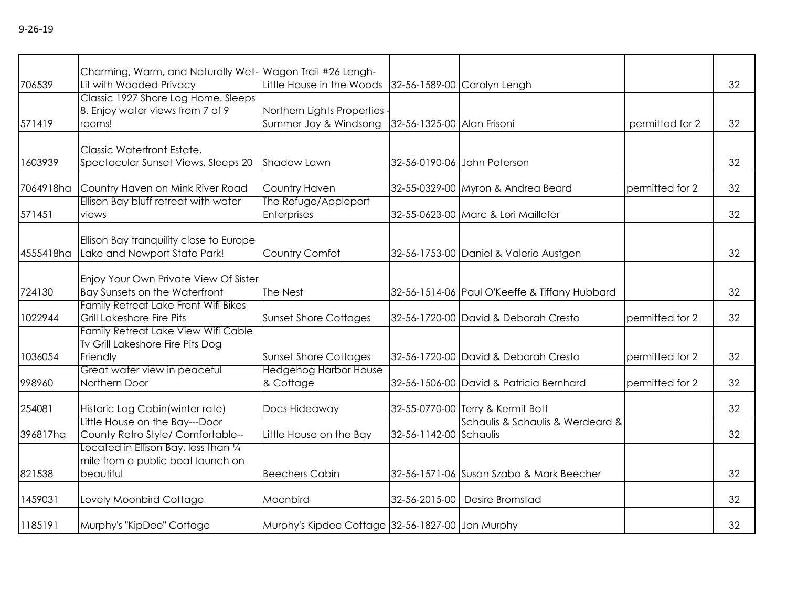| 706539    | Charming, Warm, and Naturally Well- Wagon Trail #26 Lengh-<br>Lit with Wooded Privacy             | Little House in the Woods                           |                            | 32-56-1589-00 Carolyn Lengh                   |                 | 32 |
|-----------|---------------------------------------------------------------------------------------------------|-----------------------------------------------------|----------------------------|-----------------------------------------------|-----------------|----|
| 571419    | Classic 1927 Shore Log Home. Sleeps<br>8. Enjoy water views from 7 of 9<br>rooms!                 | Northern Lights Properties<br>Summer Joy & Windsong | 32-56-1325-00 Alan Frisoni |                                               | permitted for 2 | 32 |
|           |                                                                                                   |                                                     |                            |                                               |                 |    |
| 1603939   | Classic Waterfront Estate,<br>Spectacular Sunset Views, Sleeps 20                                 | Shadow Lawn                                         |                            | 32-56-0190-06 John Peterson                   |                 | 32 |
| 7064918ha | Country Haven on Mink River Road                                                                  | Country Haven                                       |                            | 32-55-0329-00 Myron & Andrea Beard            | permitted for 2 | 32 |
| 571451    | Ellison Bay bluff retreat with water<br>views                                                     | The Refuge/Appleport<br>Enterprises                 |                            | 32-55-0623-00 Marc & Lori Maillefer           |                 | 32 |
| 4555418ha | Ellison Bay tranquility close to Europe<br>Lake and Newport State Park!                           | Country Comfot                                      |                            | 32-56-1753-00 Daniel & Valerie Austgen        |                 | 32 |
| 724130    | Enjoy Your Own Private View Of Sister<br>Bay Sunsets on the Waterfront                            | The Nest                                            |                            | 32-56-1514-06 Paul O'Keeffe & Tiffany Hubbard |                 | 32 |
| 1022944   | Family Retreat Lake Front Wifi Bikes<br>Grill Lakeshore Fire Pits                                 | <b>Sunset Shore Cottages</b>                        |                            | 32-56-1720-00 David & Deborah Cresto          | permitted for 2 | 32 |
| 1036054   | Family Retreat Lake View Wifi Cable<br>Tv Grill Lakeshore Fire Pits Dog<br>Friendly               | <b>Sunset Shore Cottages</b>                        |                            | 32-56-1720-00 David & Deborah Cresto          | permitted for 2 | 32 |
| 998960    | Great water view in peaceful<br>Northern Door                                                     | <b>Hedgehog Harbor House</b><br>& Cottage           |                            | 32-56-1506-00 David & Patricia Bernhard       | permitted for 2 | 32 |
| 254081    | Historic Log Cabin (winter rate)                                                                  | Docs Hideaway                                       |                            | 32-55-0770-00 Terry & Kermit Bott             |                 | 32 |
| 396817ha  | Little House on the Bay---Door<br>County Retro Style/ Comfortable--                               | Little House on the Bay                             | 32-56-1142-00 Schaulis     | Schaulis & Schaulis & Werdeard &              |                 | 32 |
| 821538    | Located in Ellison Bay, less than $\frac{1}{4}$<br>mile from a public boat launch on<br>beautiful | <b>Beechers Cabin</b>                               |                            | 32-56-1571-06 Susan Szabo & Mark Beecher      |                 | 32 |
| 1459031   | Lovely Moonbird Cottage                                                                           | Moonbird                                            |                            | 32-56-2015-00 Desire Bromstad                 |                 | 32 |
| 1185191   | Murphy's "KipDee" Cottage                                                                         | Murphy's Kipdee Cottage 32-56-1827-00 Jon Murphy    |                            |                                               |                 | 32 |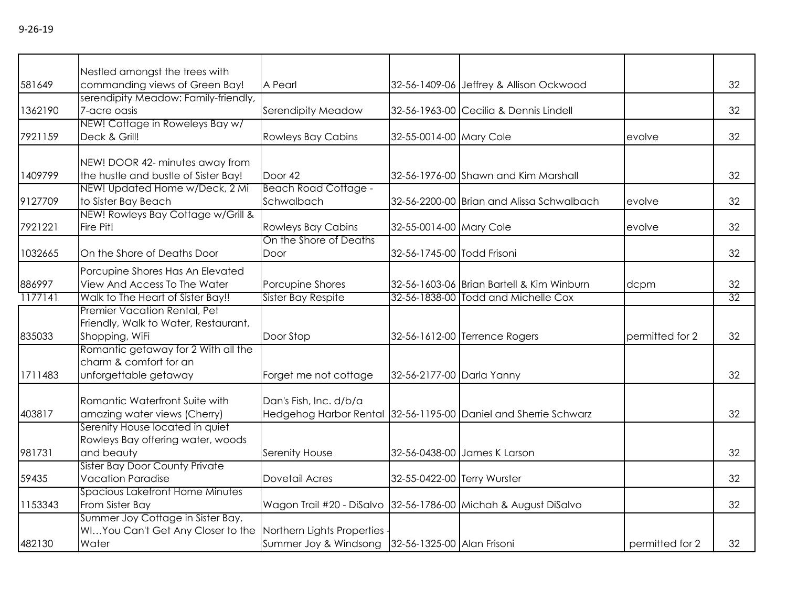|         | Nestled amongst the trees with                                                                             |                                                                 |                             |                                                                 |                 |    |
|---------|------------------------------------------------------------------------------------------------------------|-----------------------------------------------------------------|-----------------------------|-----------------------------------------------------------------|-----------------|----|
| 581649  | commanding views of Green Bay!                                                                             | A Pearl                                                         |                             | 32-56-1409-06 Jeffrey & Allison Ockwood                         |                 | 32 |
| 1362190 | serendipity Meadow: Family-friendly,<br>7-acre oasis                                                       | Serendipity Meadow                                              |                             | 32-56-1963-00 Cecilia & Dennis Lindell                          |                 | 32 |
| 7921159 | NEW! Cottage in Roweleys Bay w/<br>Deck & Grill!                                                           | <b>Rowleys Bay Cabins</b>                                       | 32-55-0014-00 Mary Cole     |                                                                 | evolve          | 32 |
| 1409799 | NEW! DOOR 42- minutes away from<br>the hustle and bustle of Sister Bay!                                    | Door 42                                                         |                             | 32-56-1976-00 Shawn and Kim Marshall                            |                 | 32 |
| 9127709 | NEW! Updated Home w/Deck, 2 Mi<br>to Sister Bay Beach                                                      | <b>Beach Road Cottage -</b><br>Schwalbach                       |                             | 32-56-2200-00 Brian and Alissa Schwalbach                       | evolve          | 32 |
| 7921221 | NEW! Rowleys Bay Cottage w/Grill &<br>Fire Pit!                                                            | <b>Rowleys Bay Cabins</b>                                       | 32-55-0014-00 Mary Cole     |                                                                 | evolve          | 32 |
| 1032665 | On the Shore of Deaths Door                                                                                | On the Shore of Deaths<br>Door                                  | 32-56-1745-00 Todd Frisoni  |                                                                 |                 | 32 |
| 886997  | Porcupine Shores Has An Elevated<br>View And Access To The Water                                           | Porcupine Shores                                                |                             | 32-56-1603-06 Brian Bartell & Kim Winburn                       | dcpm            | 32 |
| 1177141 | Walk to The Heart of Sister Bay!!                                                                          | Sister Bay Respite                                              |                             | 32-56-1838-00 Todd and Michelle Cox                             |                 | 32 |
| 835033  | Premier Vacation Rental, Pet<br>Friendly, Walk to Water, Restaurant,<br>Shopping, WiFi                     | Door Stop                                                       |                             | 32-56-1612-00 Terrence Rogers                                   | permitted for 2 | 32 |
| 1711483 | Romantic getaway for 2 With all the<br>charm & comfort for an<br>unforgettable getaway                     | Forget me not cottage                                           | 32-56-2177-00 Darla Yanny   |                                                                 |                 | 32 |
| 403817  | Romantic Waterfront Suite with<br>amazing water views (Cherry)                                             | Dan's Fish, Inc. d/b/a                                          |                             | Hedgehog Harbor Rental 32-56-1195-00 Daniel and Sherrie Schwarz |                 | 32 |
| 981731  | Serenity House located in quiet<br>Rowleys Bay offering water, woods<br>and beauty                         | <b>Serenity House</b>                                           |                             | 32-56-0438-00 James K Larson                                    |                 | 32 |
| 59435   | Sister Bay Door County Private<br><b>Vacation Paradise</b>                                                 | <b>Dovetail Acres</b>                                           | 32-55-0422-00 Terry Wurster |                                                                 |                 | 32 |
| 1153343 | Spacious Lakefront Home Minutes<br>From Sister Bay                                                         | Wagon Trail #20 - DiSalvo 32-56-1786-00 Michah & August DiSalvo |                             |                                                                 |                 | 32 |
| 482130  | Summer Joy Cottage in Sister Bay,<br>WIYou Can't Get Any Closer to the Northern Lights Properties<br>Water | Summer Joy & Windsong 32-56-1325-00 Alan Frisoni                |                             |                                                                 | permitted for 2 | 32 |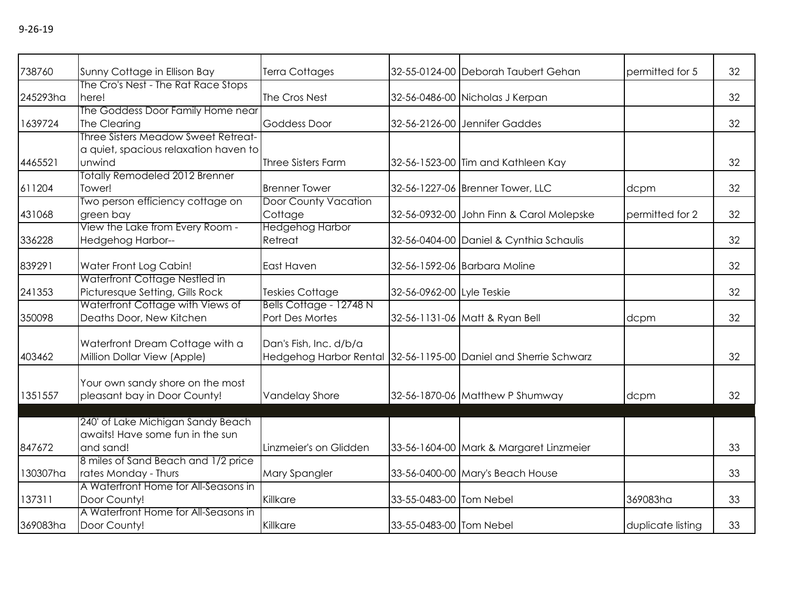| х. |  |
|----|--|
|----|--|

| 738760   | Sunny Cottage in Ellison Bay          | Terra Cottages              |                           | 32-55-0124-00 Deborah Taubert Gehan                             | permitted for 5   | 32 |
|----------|---------------------------------------|-----------------------------|---------------------------|-----------------------------------------------------------------|-------------------|----|
|          | The Cro's Nest - The Rat Race Stops   |                             |                           |                                                                 |                   |    |
| 245293ha | here!                                 | The Cros Nest               |                           | 32-56-0486-00 Nicholas J Kerpan                                 |                   | 32 |
|          | The Goddess Door Family Home near     |                             |                           |                                                                 |                   |    |
| 1639724  | The Clearing                          | <b>Goddess Door</b>         |                           | 32-56-2126-00 Jennifer Gaddes                                   |                   | 32 |
|          | Three Sisters Meadow Sweet Retreat-   |                             |                           |                                                                 |                   |    |
|          | a quiet, spacious relaxation haven to |                             |                           |                                                                 |                   |    |
| 4465521  | unwind                                | <b>Three Sisters Farm</b>   |                           | 32-56-1523-00 Tim and Kathleen Kay                              |                   | 32 |
|          | <b>Totally Remodeled 2012 Brenner</b> |                             |                           |                                                                 |                   |    |
| 611204   | Tower!                                | <b>Brenner Tower</b>        |                           | 32-56-1227-06 Brenner Tower, LLC                                | dcpm              | 32 |
|          | Two person efficiency cottage on      | <b>Door County Vacation</b> |                           |                                                                 |                   |    |
| 431068   | green bay                             | Cottage                     |                           | 32-56-0932-00 John Finn & Carol Molepske                        | permitted for 2   | 32 |
|          | View the Lake from Every Room -       | <b>Hedgehog Harbor</b>      |                           |                                                                 |                   |    |
| 336228   | <b>Hedgehog Harbor--</b>              | Retreat                     |                           | 32-56-0404-00 Daniel & Cynthia Schaulis                         |                   | 32 |
| 839291   | Water Front Log Cabin!                | East Haven                  |                           | 32-56-1592-06 Barbara Moline                                    |                   | 32 |
|          | Waterfront Cottage Nestled in         |                             |                           |                                                                 |                   |    |
| 241353   | Picturesque Setting, Gills Rock       | <b>Teskies Cottage</b>      | 32-56-0962-00 Lyle Teskie |                                                                 |                   | 32 |
|          | Waterfront Cottage with Views of      | Bells Cottage - 12748 N     |                           |                                                                 |                   |    |
| 350098   | Deaths Door, New Kitchen              | Port Des Mortes             |                           | 32-56-1131-06 Matt & Ryan Bell                                  | dcpm              | 32 |
|          |                                       |                             |                           |                                                                 |                   |    |
|          | Waterfront Dream Cottage with a       | Dan's Fish, Inc. d/b/a      |                           |                                                                 |                   |    |
| 403462   | Million Dollar View (Apple)           |                             |                           | Hedgehog Harbor Rental 32-56-1195-00 Daniel and Sherrie Schwarz |                   | 32 |
|          |                                       |                             |                           |                                                                 |                   |    |
|          | Your own sandy shore on the most      |                             |                           |                                                                 |                   |    |
| 1351557  | pleasant bay in Door County!          | Vandelay Shore              |                           | 32-56-1870-06 Matthew P Shumway                                 | dcpm              | 32 |
|          |                                       |                             |                           |                                                                 |                   |    |
|          | 240' of Lake Michigan Sandy Beach     |                             |                           |                                                                 |                   |    |
|          | awaits! Have some fun in the sun      |                             |                           |                                                                 |                   |    |
| 847672   | and sand!                             | Linzmeier's on Glidden      |                           | 33-56-1604-00 Mark & Margaret Linzmeier                         |                   | 33 |
|          | 8 miles of Sand Beach and 1/2 price   |                             |                           |                                                                 |                   |    |
| 130307ha | rates Monday - Thurs                  | Mary Spangler               |                           | 33-56-0400-00 Mary's Beach House                                |                   | 33 |
|          | A Waterfront Home for All-Seasons in  |                             |                           |                                                                 |                   |    |
| 137311   | Door County!                          | Killkare                    | 33-55-0483-00 Tom Nebel   |                                                                 | 369083ha          | 33 |
|          | A Waterfront Home for All-Seasons in  |                             |                           |                                                                 |                   |    |
| 369083ha | Door County!                          | Killkare                    | 33-55-0483-00 Tom Nebel   |                                                                 | duplicate listing | 33 |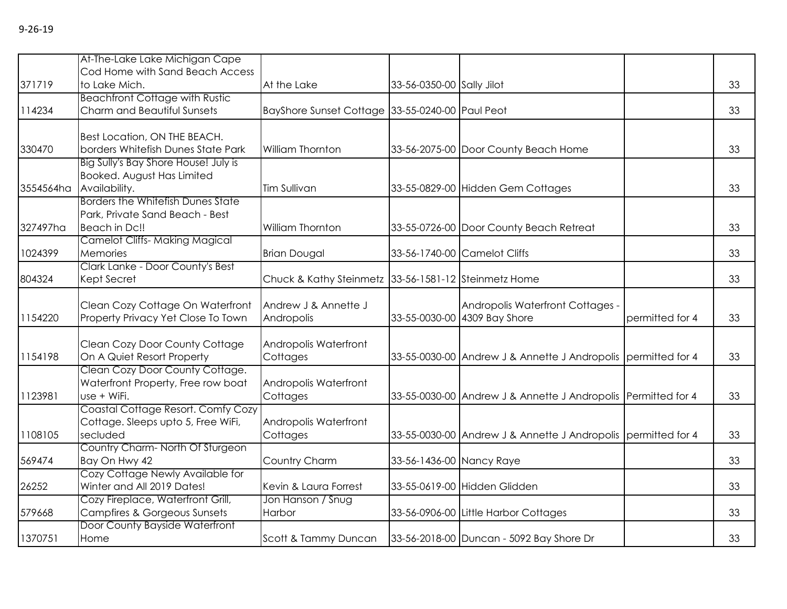|           | At-The-Lake Lake Michigan Cape                                |                                                      |                           |                                                               |                 |    |
|-----------|---------------------------------------------------------------|------------------------------------------------------|---------------------------|---------------------------------------------------------------|-----------------|----|
|           | Cod Home with Sand Beach Access                               |                                                      |                           |                                                               |                 |    |
| 371719    | to Lake Mich.                                                 | At the Lake                                          | 33-56-0350-00 Sally Jilot |                                                               |                 | 33 |
|           | <b>Beachfront Cottage with Rustic</b>                         |                                                      |                           |                                                               |                 |    |
| 114234    | Charm and Beautiful Sunsets                                   | BayShore Sunset Cottage 33-55-0240-00 Paul Peot      |                           |                                                               |                 | 33 |
|           |                                                               |                                                      |                           |                                                               |                 |    |
|           | Best Location, ON THE BEACH.                                  |                                                      |                           |                                                               |                 |    |
| 330470    | borders Whitefish Dunes State Park                            | William Thornton                                     |                           | 33-56-2075-00 Door County Beach Home                          |                 | 33 |
|           | Big Sully's Bay Shore House! July is                          |                                                      |                           |                                                               |                 |    |
|           | Booked. August Has Limited                                    |                                                      |                           |                                                               |                 |    |
| 3554564ha | Availability.                                                 | Tim Sullivan                                         |                           | 33-55-0829-00 Hidden Gem Cottages                             |                 | 33 |
|           | Borders the Whitefish Dunes State                             |                                                      |                           |                                                               |                 |    |
|           | Park, Private Sand Beach - Best                               |                                                      |                           |                                                               |                 |    |
| 327497ha  | Beach in Dc!!                                                 | William Thornton                                     |                           | 33-55-0726-00 Door County Beach Retreat                       |                 | 33 |
|           | <b>Camelot Cliffs-Making Magical</b>                          |                                                      |                           |                                                               |                 |    |
| 1024399   | Memories                                                      | <b>Brian Dougal</b>                                  |                           | 33-56-1740-00 Camelot Cliffs                                  |                 | 33 |
|           | Clark Lanke - Door County's Best                              |                                                      |                           |                                                               |                 |    |
| 804324    | Kept Secret                                                   | Chuck & Kathy Steinmetz 33-56-1581-12 Steinmetz Home |                           |                                                               |                 | 33 |
|           |                                                               |                                                      |                           |                                                               |                 |    |
|           | Clean Cozy Cottage On Waterfront                              | Andrew J & Annette J                                 |                           | Andropolis Waterfront Cottages -                              |                 |    |
| 1154220   | Property Privacy Yet Close To Town                            | Andropolis                                           |                           | 33-55-0030-00 4309 Bay Shore                                  | permitted for 4 | 33 |
|           |                                                               |                                                      |                           |                                                               |                 |    |
|           | Clean Cozy Door County Cottage                                | Andropolis Waterfront                                |                           |                                                               |                 |    |
| 1154198   | On A Quiet Resort Property<br>Clean Cozy Door County Cottage. | Cottages                                             |                           | 33-55-0030-00 Andrew J & Annette J Andropolis permitted for 4 |                 | 33 |
|           |                                                               |                                                      |                           |                                                               |                 |    |
| 1123981   | Waterfront Property, Free row boat<br>use + WiFi.             | Andropolis Waterfront                                |                           |                                                               |                 | 33 |
|           | Coastal Cottage Resort. Comfy Cozy                            | Cottages                                             |                           | 33-55-0030-00 Andrew J & Annette J Andropolis Permitted for 4 |                 |    |
|           | Cottage. Sleeps upto 5, Free WiFi,                            | Andropolis Waterfront                                |                           |                                                               |                 |    |
| 1108105   | secluded                                                      | Cottages                                             |                           | 33-55-0030-00 Andrew J & Annette J Andropolis permitted for 4 |                 | 33 |
|           | Country Charm-North Of Sturgeon                               |                                                      |                           |                                                               |                 |    |
| 569474    | Bay On Hwy 42                                                 | Country Charm                                        | 33-56-1436-00 Nancy Raye  |                                                               |                 | 33 |
|           | Cozy Cottage Newly Available for                              |                                                      |                           |                                                               |                 |    |
| 26252     | Winter and All 2019 Dates!                                    | Kevin & Laura Forrest                                |                           | 33-55-0619-00 Hidden Glidden                                  |                 | 33 |
|           | Cozy Fireplace, Waterfront Grill,                             | Jon Hanson / Snug                                    |                           |                                                               |                 |    |
| 579668    | Campfires & Gorgeous Sunsets                                  | Harbor                                               |                           | 33-56-0906-00 Little Harbor Cottages                          |                 | 33 |
|           | Door County Bayside Waterfront                                |                                                      |                           |                                                               |                 |    |
| 1370751   | Home                                                          | Scott & Tammy Duncan                                 |                           | 33-56-2018-00 Duncan - 5092 Bay Shore Dr                      |                 | 33 |
|           |                                                               |                                                      |                           |                                                               |                 |    |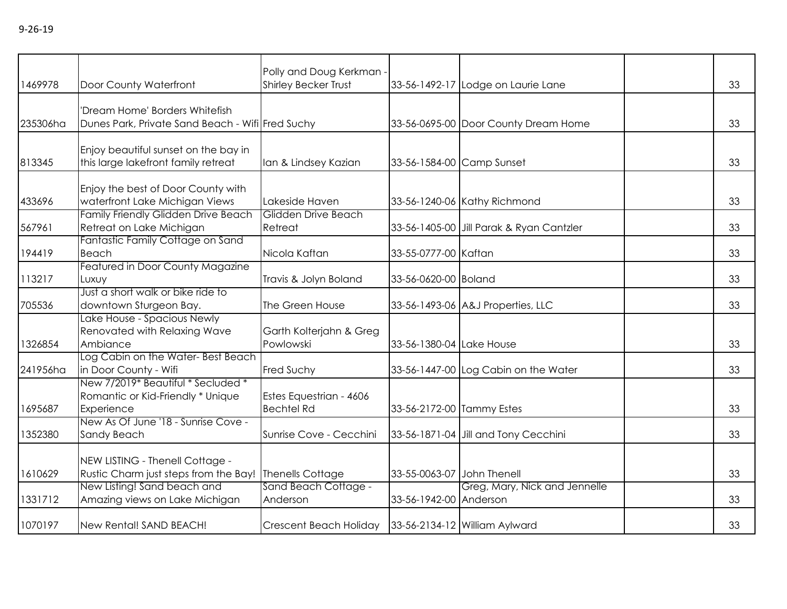| 1469978  | Door County Waterfront                                                                    | Polly and Doug Kerkman -<br><b>Shirley Becker Trust</b> |                            | 33-56-1492-17 Lodge on Laurie Lane       | 33 |
|----------|-------------------------------------------------------------------------------------------|---------------------------------------------------------|----------------------------|------------------------------------------|----|
| 235306ha | 'Dream Home' Borders Whitefish<br>Dunes Park, Private Sand Beach - Wifi Fred Suchy        |                                                         |                            | 33-56-0695-00 Door County Dream Home     | 33 |
| 813345   | Enjoy beautiful sunset on the bay in<br>this large lakefront family retreat               | Ian & Lindsey Kazian                                    | 33-56-1584-00 Camp Sunset  |                                          | 33 |
| 433696   | Enjoy the best of Door County with<br>waterfront Lake Michigan Views                      | Lakeside Haven                                          |                            | 33-56-1240-06 Kathy Richmond             | 33 |
| 567961   | Family Friendly Glidden Drive Beach<br>Retreat on Lake Michigan                           | Glidden Drive Beach<br>Retreat                          |                            | 33-56-1405-00 Jill Parak & Ryan Cantzler | 33 |
| 194419   | Fantastic Family Cottage on Sand<br>Beach                                                 | Nicola Kaftan                                           | 33-55-0777-00 Kaftan       |                                          | 33 |
| 113217   | Featured in Door County Magazine<br>Luxuy                                                 | Travis & Jolyn Boland                                   | 33-56-0620-00 Boland       |                                          | 33 |
| 705536   | Just a short walk or bike ride to<br>downtown Sturgeon Bay.                               | The Green House                                         |                            | 33-56-1493-06 A&J Properties, LLC        | 33 |
| 1326854  | Lake House - Spacious Newly<br>Renovated with Relaxing Wave<br>Ambiance                   | Garth Kolterjahn & Greg<br>Powlowski                    | 33-56-1380-04 Lake House   |                                          | 33 |
| 241956ha | Log Cabin on the Water-Best Beach<br>in Door County - Wifi                                | Fred Suchy                                              |                            | 33-56-1447-00 Log Cabin on the Water     | 33 |
| 1695687  | New 7/2019* Beautiful * Secluded *<br>Romantic or Kid-Friendly * Unique<br>Experience     | Estes Equestrian - 4606<br><b>Bechtel Rd</b>            | 33-56-2172-00 Tammy Estes  |                                          | 33 |
| 1352380  | New As Of June '18 - Sunrise Cove -<br><b>Sandy Beach</b>                                 | Sunrise Cove - Cecchini                                 |                            | 33-56-1871-04 Jill and Tony Cecchini     | 33 |
| 1610629  | NEW LISTING - Thenell Cottage -<br>Rustic Charm just steps from the Bay! Thenells Cottage |                                                         | 33-55-0063-07 John Thenell |                                          | 33 |
| 1331712  | New Listing! Sand beach and<br>Amazing views on Lake Michigan                             | Sand Beach Cottage -<br>Anderson                        | 33-56-1942-00 Anderson     | Greg, Mary, Nick and Jennelle            | 33 |
| 1070197  | New Rental! SAND BEACH!                                                                   | Crescent Beach Holiday   33-56-2134-12 William Aylward  |                            |                                          | 33 |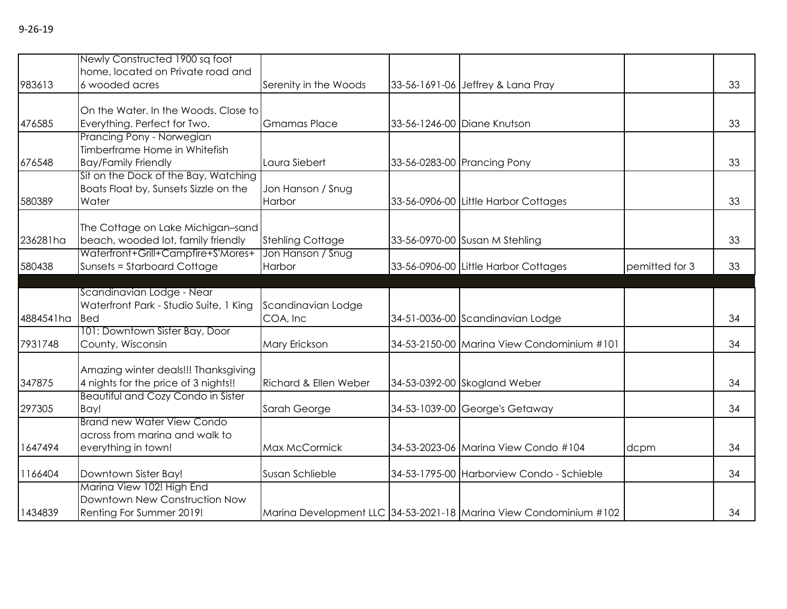|           | Newly Constructed 1900 sq foot            |                                  |                                            |                |    |
|-----------|-------------------------------------------|----------------------------------|--------------------------------------------|----------------|----|
|           | home, located on Private road and         |                                  |                                            |                |    |
| 983613    | 6 wooded acres                            | Serenity in the Woods            | 33-56-1691-06 Jeffrey & Lana Pray          |                | 33 |
|           |                                           |                                  |                                            |                |    |
|           | On the Water. In the Woods. Close to      |                                  |                                            |                |    |
| 476585    | Everything. Perfect for Two.              | <b>Gmamas Place</b>              | 33-56-1246-00 Diane Knutson                |                | 33 |
|           | Prancing Pony - Norwegian                 |                                  |                                            |                |    |
|           | Timberframe Home in Whitefish             |                                  |                                            |                |    |
| 676548    | <b>Bay/Family Friendly</b>                | Laura Siebert                    | 33-56-0283-00 Prancing Pony                |                | 33 |
|           | Sit on the Dock of the Bay, Watching      |                                  |                                            |                |    |
|           | Boats Float by, Sunsets Sizzle on the     | Jon Hanson / Snug                |                                            |                |    |
| 580389    | Water                                     | <b>Harbor</b>                    | 33-56-0906-00 Little Harbor Cottages       |                | 33 |
|           |                                           |                                  |                                            |                |    |
|           | The Cottage on Lake Michigan-sand         |                                  |                                            |                |    |
| 236281ha  | beach, wooded lot, family friendly        | <b>Stehling Cottage</b>          | 33-56-0970-00 Susan M Stehling             |                | 33 |
|           | Waterfront+Grill+Campfire+S'Mores+        | Jon Hanson / Snug                |                                            |                |    |
| 580438    | Sunsets = Starboard Cottage               | Harbor                           | 33-56-0906-00 Little Harbor Cottages       | pemitted for 3 | 33 |
|           |                                           |                                  |                                            |                |    |
|           | Scandinavian Lodge - Near                 |                                  |                                            |                |    |
|           | Waterfront Park - Studio Suite, 1 King    | Scandinavian Lodge               |                                            |                |    |
| 4884541ha | Bed                                       | COA, Inc                         | 34-51-0036-00 Scandinavian Lodge           |                | 34 |
|           | 101: Downtown Sister Bay, Door            |                                  |                                            |                |    |
| 7931748   | County, Wisconsin                         | Mary Erickson                    | 34-53-2150-00 Marina View Condominium #101 |                | 34 |
|           |                                           |                                  |                                            |                |    |
|           | Amazing winter deals!!! Thanksgiving      |                                  |                                            |                |    |
| 347875    | 4 nights for the price of 3 nights!!      | <b>Richard &amp; Ellen Weber</b> | 34-53-0392-00 Skogland Weber               |                | 34 |
|           | <b>Beautiful and Cozy Condo in Sister</b> |                                  |                                            |                |    |
| 297305    | Bay!                                      | Sarah George                     | 34-53-1039-00 George's Getaway             |                | 34 |
|           | <b>Brand new Water View Condo</b>         |                                  |                                            |                |    |
|           | across from marina and walk to            |                                  |                                            |                |    |
| 1647494   | everything in town!                       | Max McCormick                    | 34-53-2023-06 Marina View Condo #104       | dcpm           | 34 |
| 1166404   | Downtown Sister Bay!                      | Susan Schlieble                  | 34-53-1795-00 Harborview Condo - Schieble  |                | 34 |
|           | Marina View 102! High End                 |                                  |                                            |                |    |
|           |                                           |                                  |                                            |                |    |

Marina Development LLC 34-53-2021-18 Marina View Condominium #102  $\vert$  34

1434839

Downtown New Construction Now<br>Renting For Summer 2019!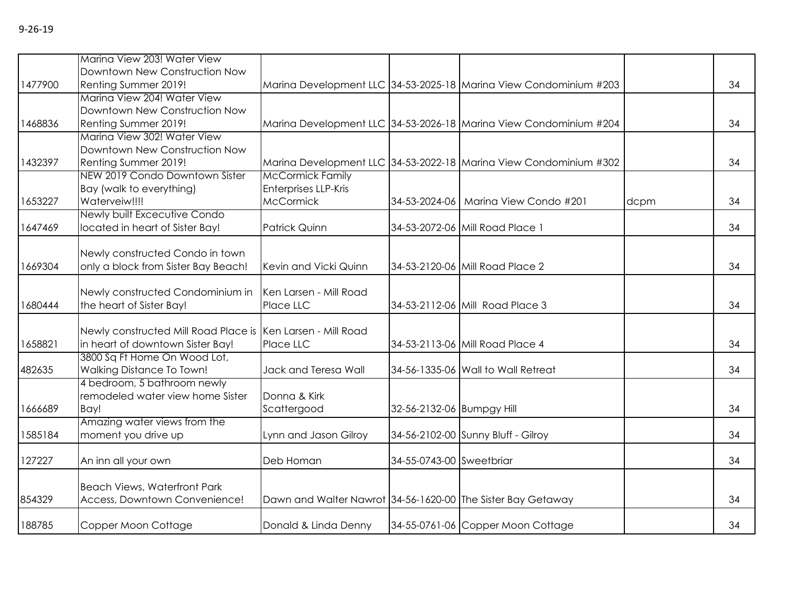|--|--|

|         | Marina View 203! Water View                                      |                                                             |                           |                                                                   |      |    |
|---------|------------------------------------------------------------------|-------------------------------------------------------------|---------------------------|-------------------------------------------------------------------|------|----|
|         | Downtown New Construction Now                                    |                                                             |                           |                                                                   |      |    |
| 1477900 | Renting Summer 2019!                                             |                                                             |                           | Marina Development LLC 34-53-2025-18 Marina View Condominium #203 |      | 34 |
|         | Marina View 204! Water View                                      |                                                             |                           |                                                                   |      |    |
|         | Downtown New Construction Now                                    |                                                             |                           |                                                                   |      |    |
| 1468836 | Renting Summer 2019!                                             |                                                             |                           | Marina Development LLC 34-53-2026-18 Marina View Condominium #204 |      | 34 |
|         | Marina View 302! Water View                                      |                                                             |                           |                                                                   |      |    |
|         | Downtown New Construction Now                                    |                                                             |                           |                                                                   |      |    |
| 1432397 | Renting Summer 2019!                                             |                                                             |                           | Marina Development LLC 34-53-2022-18 Marina View Condominium #302 |      | 34 |
|         | NEW 2019 Condo Downtown Sister                                   | <b>McCormick Family</b>                                     |                           |                                                                   |      |    |
|         | Bay (walk to everything)                                         | Enterprises LLP-Kris                                        |                           |                                                                   |      |    |
| 1653227 | Waterveiw!!!!                                                    | <b>McCormick</b>                                            |                           | 34-53-2024-06   Marina View Condo #201                            | dcpm | 34 |
|         | Newly built Excecutive Condo                                     |                                                             |                           |                                                                   |      |    |
| 1647469 | located in heart of Sister Bay!                                  | Patrick Quinn                                               |                           | 34-53-2072-06 Mill Road Place 1                                   |      | 34 |
|         |                                                                  |                                                             |                           |                                                                   |      |    |
|         | Newly constructed Condo in town                                  |                                                             |                           |                                                                   |      |    |
| 1669304 | only a block from Sister Bay Beach!                              | Kevin and Vicki Quinn                                       |                           | 34-53-2120-06 Mill Road Place 2                                   |      | 34 |
|         |                                                                  |                                                             |                           |                                                                   |      |    |
|         | Newly constructed Condominium in                                 | Ken Larsen - Mill Road                                      |                           |                                                                   |      |    |
| 1680444 | the heart of Sister Bay!                                         | Place LLC                                                   |                           | 34-53-2112-06 Mill Road Place 3                                   |      | 34 |
|         |                                                                  |                                                             |                           |                                                                   |      |    |
|         | Newly constructed Mill Road Place is                             | Ken Larsen - Mill Road                                      |                           |                                                                   |      |    |
| 1658821 | in heart of downtown Sister Bay!<br>3800 Sq Ft Home On Wood Lot, | Place LLC                                                   |                           | 34-53-2113-06 Mill Road Place 4                                   |      | 34 |
| 482635  | Walking Distance To Town!                                        | Jack and Teresa Wall                                        |                           | 34-56-1335-06 Wall to Wall Retreat                                |      | 34 |
|         | 4 bedroom, 5 bathroom newly                                      |                                                             |                           |                                                                   |      |    |
|         | remodeled water view home Sister                                 | Donna & Kirk                                                |                           |                                                                   |      |    |
| 1666689 | Bay!                                                             | Scattergood                                                 | 32-56-2132-06 Bumpgy Hill |                                                                   |      | 34 |
|         | Amazing water views from the                                     |                                                             |                           |                                                                   |      |    |
| 1585184 | moment you drive up                                              | Lynn and Jason Gilroy                                       |                           | 34-56-2102-00 Sunny Bluff - Gilroy                                |      | 34 |
|         |                                                                  |                                                             |                           |                                                                   |      |    |
| 127227  | An inn all your own                                              | Deb Homan                                                   | 34-55-0743-00 Sweetbriar  |                                                                   |      | 34 |
|         |                                                                  |                                                             |                           |                                                                   |      |    |
|         | <b>Beach Views, Waterfront Park</b>                              |                                                             |                           |                                                                   |      |    |
| 854329  | Access, Downtown Convenience!                                    | Dawn and Walter Nawrot 34-56-1620-00 The Sister Bay Getaway |                           |                                                                   |      | 34 |
| 188785  | Copper Moon Cottage                                              | Donald & Linda Denny                                        |                           | 34-55-0761-06 Copper Moon Cottage                                 |      | 34 |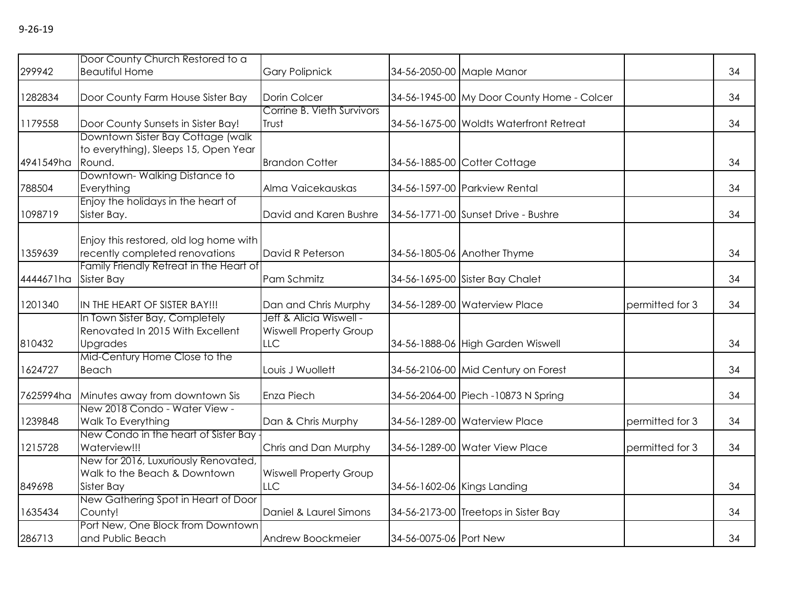|           | Door County Church Restored to a                                                     |                                                                 |                        |                                            |                 |    |
|-----------|--------------------------------------------------------------------------------------|-----------------------------------------------------------------|------------------------|--------------------------------------------|-----------------|----|
| 299942    | <b>Beautiful Home</b>                                                                | <b>Gary Polipnick</b>                                           |                        | 34-56-2050-00 Maple Manor                  |                 | 34 |
| 1282834   | Door County Farm House Sister Bay                                                    | Dorin Colcer                                                    |                        | 34-56-1945-00 My Door County Home - Colcer |                 | 34 |
| 1179558   | Door County Sunsets in Sister Bay!                                                   | Corrine B. Vieth Survivors<br>Trust                             |                        | 34-56-1675-00 Woldts Waterfront Retreat    |                 | 34 |
| 4941549ha | Downtown Sister Bay Cottage (walk)<br>to everything), Sleeps 15, Open Year<br>Round. | <b>Brandon Cotter</b>                                           |                        | 34-56-1885-00 Cotter Cottage               |                 | 34 |
| 788504    | Downtown-Walking Distance to<br>Everything                                           | Alma Vaicekauskas                                               |                        | 34-56-1597-00 Parkview Rental              |                 | 34 |
| 1098719   | Enjoy the holidays in the heart of<br>Sister Bay.                                    | David and Karen Bushre                                          |                        | 34-56-1771-00 Sunset Drive - Bushre        |                 | 34 |
| 1359639   | Enjoy this restored, old log home with<br>recently completed renovations             | David R Peterson                                                |                        | 34-56-1805-06 Another Thyme                |                 | 34 |
| 4444671ha | Family Friendly Retreat in the Heart of<br>Sister Bay                                | Pam Schmitz                                                     |                        | 34-56-1695-00 Sister Bay Chalet            |                 | 34 |
| 1201340   | IN THE HEART OF SISTER BAY!!!                                                        | Dan and Chris Murphy                                            |                        | 34-56-1289-00 Waterview Place              | permitted for 3 | 34 |
| 810432    | In Town Sister Bay, Completely<br>Renovated In 2015 With Excellent<br>Upgrades       | Jeff & Alicia Wiswell -<br><b>Wiswell Property Group</b><br>LLC |                        | 34-56-1888-06 High Garden Wiswell          |                 | 34 |
| 1624727   | Mid-Century Home Close to the<br>Beach                                               | Louis J Wuollett                                                |                        | 34-56-2106-00 Mid Century on Forest        |                 | 34 |
| 7625994ha | Minutes away from downtown Sis                                                       | Enza Piech                                                      |                        | 34-56-2064-00 Piech -10873 N Spring        |                 | 34 |
| 1239848   | New 2018 Condo - Water View -<br>Walk To Everything                                  | Dan & Chris Murphy                                              |                        | 34-56-1289-00 Waterview Place              | permitted for 3 | 34 |
| 1215728   | New Condo in the heart of Sister Bay<br>Waterview!!!                                 | Chris and Dan Murphy                                            |                        | 34-56-1289-00 Water View Place             | permitted for 3 | 34 |
| 849698    | New for 2016, Luxuriously Renovated,<br>Walk to the Beach & Downtown<br>Sister Bay   | <b>Wiswell Property Group</b><br><b>LLC</b>                     |                        | 34-56-1602-06 Kings Landing                |                 | 34 |
| 1635434   | New Gathering Spot in Heart of Door<br>County!                                       | Daniel & Laurel Simons                                          |                        | 34-56-2173-00 Treetops in Sister Bay       |                 | 34 |
| 286713    | Port New, One Block from Downtown<br>and Public Beach                                | Andrew Boockmeier                                               | 34-56-0075-06 Port New |                                            |                 | 34 |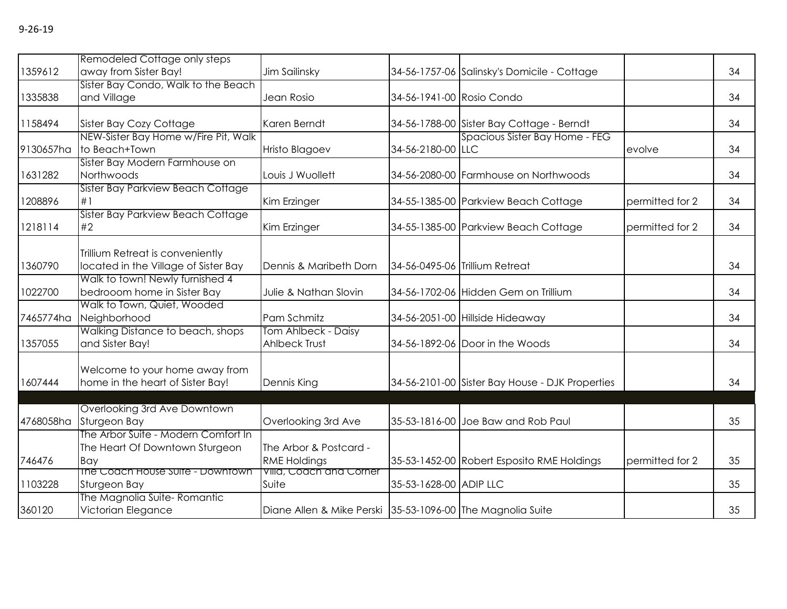|           | Remodeled Cottage only steps         |                                                            |                           |                                                 |                 |    |
|-----------|--------------------------------------|------------------------------------------------------------|---------------------------|-------------------------------------------------|-----------------|----|
| 1359612   | away from Sister Bay!                | Jim Sailinsky                                              |                           | 34-56-1757-06 Salinsky's Domicile - Cottage     |                 | 34 |
|           | Sister Bay Condo, Walk to the Beach  |                                                            |                           |                                                 |                 |    |
| 1335838   | and Village                          | Jean Rosio                                                 | 34-56-1941-00 Rosio Condo |                                                 |                 | 34 |
| 1158494   | Sister Bay Cozy Cottage              | Karen Berndt                                               |                           | 34-56-1788-00 Sister Bay Cottage - Berndt       |                 | 34 |
|           | NEW-Sister Bay Home w/Fire Pit, Walk |                                                            |                           | Spacious Sister Bay Home - FEG                  |                 |    |
| 9130657ha | to Beach+Town                        | <b>Hristo Blagoev</b>                                      | 34-56-2180-00 LLC         |                                                 | evolve          | 34 |
|           | Sister Bay Modern Farmhouse on       |                                                            |                           |                                                 |                 |    |
| 1631282   | Northwoods                           | Louis J Wuollett                                           |                           | 34-56-2080-00 Farmhouse on Northwoods           |                 | 34 |
|           | Sister Bay Parkview Beach Cottage    |                                                            |                           |                                                 |                 |    |
| 1208896   | #1                                   | Kim Erzinger                                               |                           | 34-55-1385-00 Parkview Beach Cottage            | permitted for 2 | 34 |
|           | Sister Bay Parkview Beach Cottage    |                                                            |                           |                                                 |                 |    |
| 1218114   | #2                                   | Kim Erzinger                                               |                           | 34-55-1385-00 Parkview Beach Cottage            | permitted for 2 | 34 |
|           |                                      |                                                            |                           |                                                 |                 |    |
|           | Trillium Retreat is conveniently     |                                                            |                           |                                                 |                 |    |
| 1360790   | located in the Village of Sister Bay | Dennis & Maribeth Dorn                                     |                           | 34-56-0495-06 Trillium Retreat                  |                 | 34 |
|           | Walk to town! Newly furnished 4      |                                                            |                           |                                                 |                 |    |
| 1022700   | bedrooom home in Sister Bay          | Julie & Nathan Slovin                                      |                           | 34-56-1702-06 Hidden Gem on Trillium            |                 | 34 |
|           | Walk to Town, Quiet, Wooded          |                                                            |                           |                                                 |                 |    |
| 7465774ha | Neighborhood                         | Pam Schmitz                                                |                           | 34-56-2051-00 Hillside Hideaway                 |                 | 34 |
|           | Walking Distance to beach, shops     | Tom Ahlbeck - Daisy                                        |                           |                                                 |                 |    |
| 1357055   | and Sister Bay!                      | Ahlbeck Trust                                              |                           | 34-56-1892-06 Door in the Woods                 |                 | 34 |
|           |                                      |                                                            |                           |                                                 |                 |    |
|           | Welcome to your home away from       |                                                            |                           |                                                 |                 | 34 |
| 1607444   | home in the heart of Sister Bay!     | Dennis King                                                |                           | 34-56-2101-00 Sister Bay House - DJK Properties |                 |    |
|           |                                      |                                                            |                           |                                                 |                 |    |
|           | Overlooking 3rd Ave Downtown         |                                                            |                           |                                                 |                 | 35 |
| 4768058ha | Sturgeon Bay                         | Overlooking 3rd Ave                                        |                           | 35-53-1816-00 Joe Baw and Rob Paul              |                 |    |
|           | The Arbor Suite - Modern Comfort In  |                                                            |                           |                                                 |                 |    |
|           | The Heart Of Downtown Sturgeon       | The Arbor & Postcard -                                     |                           |                                                 |                 |    |
| 746476    | Bay                                  | <b>RME Holdings</b>                                        |                           | 35-53-1452-00 Robert Esposito RME Holdings      | permitted for 2 | 35 |
| 1103228   | The Coach House Suite - Downtown     | Villa, Coach and Corner<br>Suite                           | 35-53-1628-00 ADIP LLC    |                                                 |                 | 35 |
|           | Sturgeon Bay                         |                                                            |                           |                                                 |                 |    |
|           | The Magnolia Suite-Romantic          |                                                            |                           |                                                 |                 |    |
| 360120    | Victorian Elegance                   | Diane Allen & Mike Perski 35-53-1096-00 The Magnolia Suite |                           |                                                 |                 | 35 |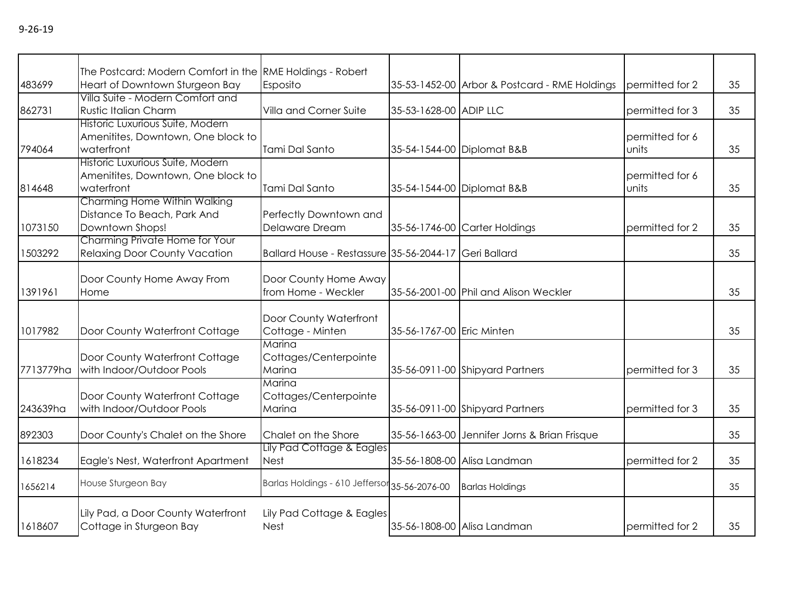|           | The Postcard: Modern Comfort in the RME Holdings - Robert                            |                                                       |                            |                                               |                                   |    |
|-----------|--------------------------------------------------------------------------------------|-------------------------------------------------------|----------------------------|-----------------------------------------------|-----------------------------------|----|
| 483699    | Heart of Downtown Sturgeon Bay                                                       | Esposito                                              |                            | 35-53-1452-00 Arbor & Postcard - RME Holdings | permitted for 2                   | 35 |
| 862731    | Villa Suite - Modern Comfort and<br><b>Rustic Italian Charm</b>                      | Villa and Corner Suite                                | 35-53-1628-00 ADIP LLC     |                                               | permitted for 3                   | 35 |
| 794064    | Historic Luxurious Suite, Modern<br>Amenitites, Downtown, One block to<br>waterfront | Tami Dal Santo                                        | 35-54-1544-00 Diplomat B&B |                                               | permitted for 6<br><b>l</b> units | 35 |
| 814648    | Historic Luxurious Suite, Modern<br>Amenitites, Downtown, One block to<br>waterfront | Tami Dal Santo                                        | 35-54-1544-00 Diplomat B&B |                                               | permitted for 6<br><b>l</b> units | 35 |
| 1073150   | Charming Home Within Walking<br>Distance To Beach, Park And<br>Downtown Shops!       | Perfectly Downtown and<br>Delaware Dream              |                            | 35-56-1746-00 Carter Holdings                 | permitted for 2                   | 35 |
| 1503292   | Charming Private Home for Your<br><b>Relaxing Door County Vacation</b>               | Ballard House - Restassure 35-56-2044-17 Geri Ballard |                            |                                               |                                   | 35 |
| 1391961   | Door County Home Away From<br>Home                                                   | Door County Home Away<br>from Home - Weckler          |                            | 35-56-2001-00 Phil and Alison Weckler         |                                   | 35 |
| 1017982   | Door County Waterfront Cottage                                                       | Door County Waterfront<br>Cottage - Minten            | 35-56-1767-00 Eric Minten  |                                               |                                   | 35 |
| 7713779ha | Door County Waterfront Cottage<br>with Indoor/Outdoor Pools                          | Marina<br>Cottages/Centerpointe<br>Marina             |                            | 35-56-0911-00 Shipyard Partners               | permitted for 3                   | 35 |
| 243639ha  | Door County Waterfront Cottage<br>with Indoor/Outdoor Pools                          | Marina<br>Cottages/Centerpointe<br>Marina             |                            | 35-56-0911-00 Shipyard Partners               | permitted for 3                   | 35 |
| 892303    | Door County's Chalet on the Shore                                                    | Chalet on the Shore                                   |                            | 35-56-1663-00 Jennifer Jorns & Brian Frisque  |                                   | 35 |
| 1618234   | Eagle's Nest, Waterfront Apartment                                                   | Lily Pad Cottage & Eagles<br><b>Nest</b>              |                            | 35-56-1808-00 Alisa Landman                   | permitted for 2                   | 35 |
| 1656214   | House Sturgeon Bay                                                                   | Barlas Holdings - 610 Jeffersor 35-56-2076-00         |                            | <b>Barlas Holdings</b>                        |                                   | 35 |
| 1618607   | Lily Pad, a Door County Waterfront<br>Cottage in Sturgeon Bay                        | Lily Pad Cottage & Eagles<br><b>Nest</b>              |                            | 35-56-1808-00 Alisa Landman                   | permitted for 2                   | 35 |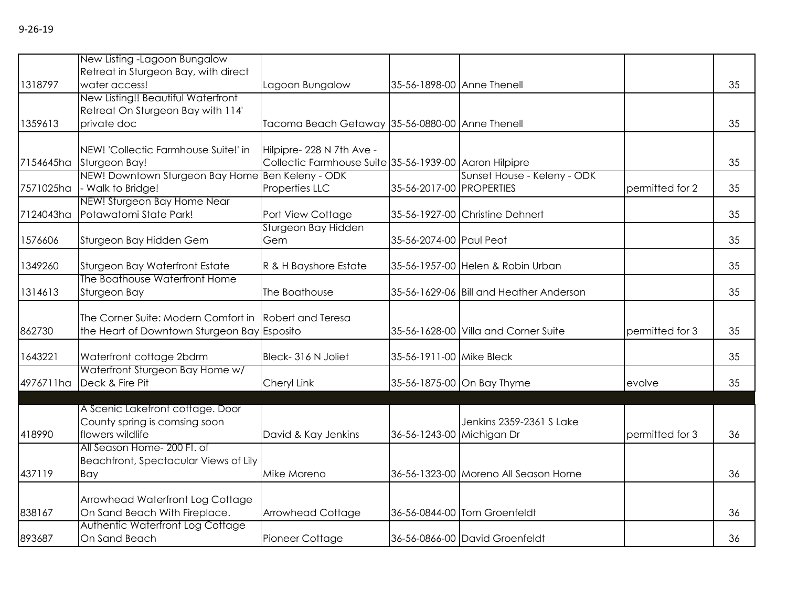|           | New Listing -Lagoon Bungalow<br>Retreat in Sturgeon Bay, with direct                                                 |                                                                                    |                            |                                         |                 |    |
|-----------|----------------------------------------------------------------------------------------------------------------------|------------------------------------------------------------------------------------|----------------------------|-----------------------------------------|-----------------|----|
| 1318797   | water access!                                                                                                        | Lagoon Bungalow                                                                    | 35-56-1898-00 Anne Thenell |                                         |                 | 35 |
| 1359613   | New Listing!! Beautiful Waterfront<br>Retreat On Sturgeon Bay with 114'<br>private doc                               | Tacoma Beach Getaway 35-56-0880-00 Anne Thenell                                    |                            |                                         |                 | 35 |
| 7154645ha | NEW! 'Collectic Farmhouse Suite!' in<br>Sturgeon Bay!                                                                | Hilpipre-228 N 7th Ave -<br>Collectic Farmhouse Suite 35-56-1939-00 Aaron Hilpipre |                            |                                         |                 | 35 |
| 7571025ha | NEW! Downtown Sturgeon Bay Home Ben Keleny - ODK<br>- Walk to Bridge!                                                | Properties LLC                                                                     | 35-56-2017-00 PROPERTIES   | Sunset House - Keleny - ODK             | permitted for 2 | 35 |
| 7124043ha | NEW! Sturgeon Bay Home Near<br>Potawatomi State Park!                                                                | Port View Cottage                                                                  |                            | 35-56-1927-00 Christine Dehnert         |                 | 35 |
| 1576606   | Sturgeon Bay Hidden Gem                                                                                              | Sturgeon Bay Hidden<br>Gem                                                         | 35-56-2074-00 Paul Peot    |                                         |                 | 35 |
| 1349260   | Sturgeon Bay Waterfront Estate                                                                                       | R & H Bayshore Estate                                                              |                            | 35-56-1957-00 Helen & Robin Urban       |                 | 35 |
| 1314613   | The Boathouse Waterfront Home<br>Sturgeon Bay                                                                        | The Boathouse                                                                      |                            | 35-56-1629-06 Bill and Heather Anderson |                 | 35 |
| 862730    | The Corner Suite: Modern Comfort in Robert and Teresa<br>the Heart of Downtown Sturgeon Bay Esposito                 |                                                                                    |                            | 35-56-1628-00 Villa and Corner Suite    | permitted for 3 | 35 |
| 1643221   | Waterfront cottage 2bdrm                                                                                             | Bleck-316 N Joliet                                                                 | 35-56-1911-00 Mike Bleck   |                                         |                 | 35 |
| 4976711ha | Waterfront Sturgeon Bay Home w/<br>Deck & Fire Pit                                                                   | Cheryl Link                                                                        |                            | 35-56-1875-00 On Bay Thyme              | evolve          | 35 |
| 418990    | A Scenic Lakefront cottage. Door<br>County spring is comsing soon<br>flowers wildlife<br>All Season Home- 200 Ft. of | David & Kay Jenkins                                                                | 36-56-1243-00 Michigan Dr  | Jenkins 2359-2361 S Lake                | permitted for 3 | 36 |
| 437119    | Beachfront, Spectacular Views of Lily<br>Bay                                                                         | Mike Moreno                                                                        |                            | 36-56-1323-00 Moreno All Season Home    |                 | 36 |
| 838167    | Arrowhead Waterfront Log Cottage<br>On Sand Beach With Fireplace.                                                    | Arrowhead Cottage                                                                  |                            | 36-56-0844-00 Tom Groenfeldt            |                 | 36 |
| 893687    | Authentic Waterfront Log Cottage<br>On Sand Beach                                                                    | Pioneer Cottage                                                                    |                            | 36-56-0866-00 David Groenfeldt          |                 | 36 |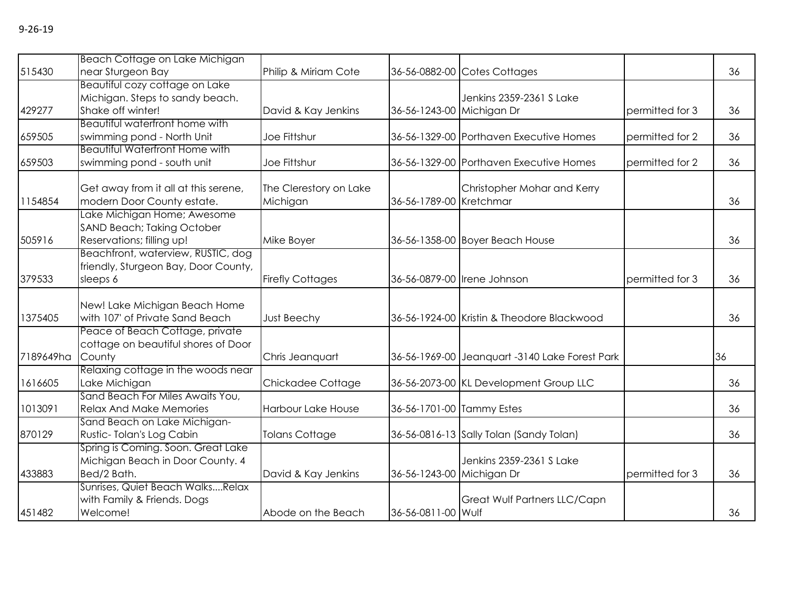|           | Beach Cottage on Lake Michigan                                     |                         |                           |                                                |                 |    |
|-----------|--------------------------------------------------------------------|-------------------------|---------------------------|------------------------------------------------|-----------------|----|
| 515430    | near Sturgeon Bay                                                  | Philip & Miriam Cote    |                           | 36-56-0882-00 Cotes Cottages                   |                 | 36 |
|           | Beautiful cozy cottage on Lake                                     |                         |                           |                                                |                 |    |
|           | Michigan. Steps to sandy beach.                                    |                         |                           | Jenkins 2359-2361 S Lake                       |                 |    |
| 429277    | Shake off winter!                                                  | David & Kay Jenkins     | 36-56-1243-00 Michigan Dr |                                                | permitted for 3 | 36 |
|           | Beautiful waterfront home with                                     |                         |                           |                                                |                 |    |
| 659505    | swimming pond - North Unit                                         | Joe Fittshur            |                           | 36-56-1329-00 Porthaven Executive Homes        | permitted for 2 | 36 |
|           | <b>Beautiful Waterfront Home with</b>                              |                         |                           |                                                |                 |    |
| 659503    | swimming pond - south unit                                         | Joe Fittshur            |                           | 36-56-1329-00 Porthaven Executive Homes        | permitted for 2 | 36 |
|           |                                                                    | The Clerestory on Lake  |                           | Christopher Mohar and Kerry                    |                 |    |
| 1154854   | Get away from it all at this serene,<br>modern Door County estate. | Michigan                | 36-56-1789-00 Kretchmar   |                                                |                 | 36 |
|           | Lake Michigan Home; Awesome                                        |                         |                           |                                                |                 |    |
|           | SAND Beach; Taking October                                         |                         |                           |                                                |                 |    |
| 505916    | Reservations; filling up!                                          | Mike Boyer              |                           | 36-56-1358-00 Boyer Beach House                |                 | 36 |
|           | Beachfront, waterview, RUSTIC, dog                                 |                         |                           |                                                |                 |    |
|           | friendly, Sturgeon Bay, Door County,                               |                         |                           |                                                |                 |    |
| 379533    | sleeps 6                                                           | <b>Firefly Cottages</b> |                           | 36-56-0879-00   Irene Johnson                  | permitted for 3 | 36 |
|           |                                                                    |                         |                           |                                                |                 |    |
|           | New! Lake Michigan Beach Home                                      |                         |                           |                                                |                 |    |
| 1375405   | with 107' of Private Sand Beach                                    | <b>Just Beechy</b>      |                           | 36-56-1924-00 Kristin & Theodore Blackwood     |                 | 36 |
|           | Peace of Beach Cottage, private                                    |                         |                           |                                                |                 |    |
|           | cottage on beautiful shores of Door                                |                         |                           |                                                |                 |    |
| 7189649ha | County                                                             | Chris Jeanquart         |                           | 36-56-1969-00 Jeanquart -3140 Lake Forest Park |                 | 36 |
|           | Relaxing cottage in the woods near                                 |                         |                           |                                                |                 |    |
| 1616605   | Lake Michigan                                                      | Chickadee Cottage       |                           | 36-56-2073-00 KL Development Group LLC         |                 | 36 |
|           | Sand Beach For Miles Awaits You,                                   |                         |                           |                                                |                 |    |
| 1013091   | <b>Relax And Make Memories</b>                                     | Harbour Lake House      | 36-56-1701-00 Tammy Estes |                                                |                 | 36 |
|           | Sand Beach on Lake Michigan-                                       |                         |                           |                                                |                 |    |
| 870129    | Rustic-Tolan's Log Cabin                                           | <b>Tolans Cottage</b>   |                           | 36-56-0816-13 Sally Tolan (Sandy Tolan)        |                 | 36 |
|           | Spring is Coming. Soon. Great Lake                                 |                         |                           |                                                |                 |    |
|           | Michigan Beach in Door County. 4                                   |                         |                           | Jenkins 2359-2361 S Lake                       |                 |    |
| 433883    | Bed/2 Bath.                                                        | David & Kay Jenkins     | 36-56-1243-00 Michigan Dr |                                                | permitted for 3 | 36 |
|           | Sunrises, Quiet Beach WalksRelax                                   |                         |                           |                                                |                 |    |
|           | with Family & Friends. Dogs                                        |                         |                           | Great Wulf Partners LLC/Capn                   |                 |    |
| 451482    | Welcome!                                                           | Abode on the Beach      | 36-56-0811-00 Wulf        |                                                |                 | 36 |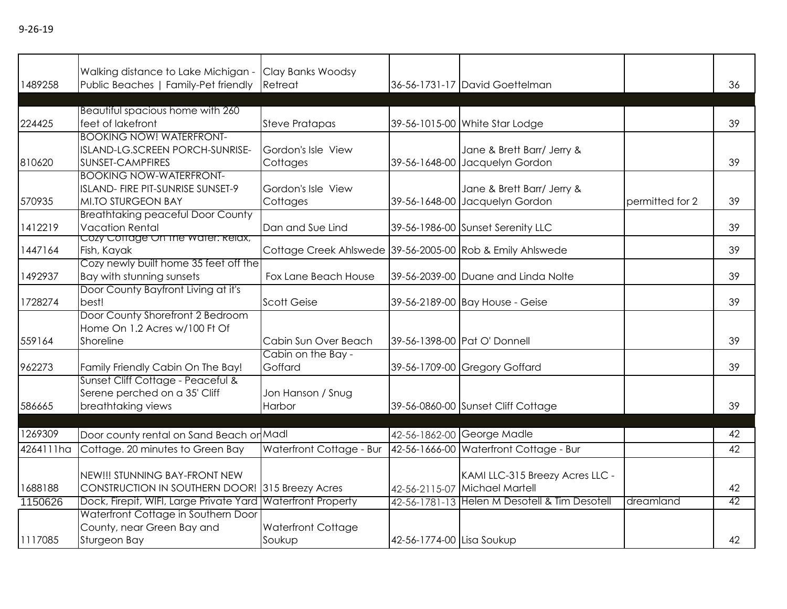|           | Walking distance to Lake Michigan -                                                        | Clay Banks Woodsy                                         |                           |                                                    |                 | 36 |
|-----------|--------------------------------------------------------------------------------------------|-----------------------------------------------------------|---------------------------|----------------------------------------------------|-----------------|----|
| 1489258   | Public Beaches   Family-Pet friendly                                                       | Retreat                                                   |                           | 36-56-1731-17 David Goettelman                     |                 |    |
|           | Beautiful spacious home with 260                                                           |                                                           |                           |                                                    |                 |    |
| 224425    | feet of lakefront                                                                          | <b>Steve Pratapas</b>                                     |                           | 39-56-1015-00 White Star Lodge                     |                 | 39 |
|           | <b>BOOKING NOW! WATERFRONT-</b>                                                            |                                                           |                           |                                                    |                 |    |
|           | ISLAND-LG.SCREEN PORCH-SUNRISE-                                                            | Gordon's Isle View                                        |                           | Jane & Brett Barr/ Jerry &                         |                 |    |
| 810620    | SUNSET-CAMPFIRES                                                                           | Cottages                                                  |                           | 39-56-1648-00 Jacquelyn Gordon                     |                 | 39 |
|           | <b>BOOKING NOW-WATERFRONT-</b>                                                             |                                                           |                           |                                                    |                 |    |
|           | ISLAND- FIRE PIT-SUNRISE SUNSET-9                                                          | Gordon's Isle View                                        |                           | Jane & Brett Barr/ Jerry &                         |                 |    |
| 570935    | <b>MI.TO STURGEON BAY</b>                                                                  | Cottages                                                  |                           | 39-56-1648-00 Jacquelyn Gordon                     | permitted for 2 | 39 |
| 1412219   | <b>Breathtaking peaceful Door County</b><br><b>Vacation Rental</b>                         | Dan and Sue Lind                                          |                           | 39-56-1986-00 Sunset Serenity LLC                  |                 | 39 |
|           | Cozy Coffage On the water: Relax,                                                          |                                                           |                           |                                                    |                 |    |
| 1447164   | Fish, Kayak                                                                                | Cottage Creek Ahlswede 39-56-2005-00 Rob & Emily Ahlswede |                           |                                                    |                 | 39 |
|           | Cozy newly built home 35 feet off the                                                      |                                                           |                           |                                                    |                 |    |
| 1492937   | Bay with stunning sunsets                                                                  | Fox Lane Beach House                                      |                           | 39-56-2039-00 Duane and Linda Nolte                |                 | 39 |
|           | Door County Bayfront Living at it's                                                        |                                                           |                           |                                                    |                 |    |
| 1728274   | best!                                                                                      | <b>Scott Geise</b>                                        |                           | 39-56-2189-00 Bay House - Geise                    |                 | 39 |
|           | Door County Shorefront 2 Bedroom                                                           |                                                           |                           |                                                    |                 |    |
|           | Home On 1.2 Acres w/100 Ft Of                                                              |                                                           |                           |                                                    |                 |    |
| 559164    | Shoreline                                                                                  | Cabin Sun Over Beach<br>Cabin on the Bay -                |                           | 39-56-1398-00 Pat O' Donnell                       |                 | 39 |
| 962273    | Family Friendly Cabin On The Bay!                                                          | Goffard                                                   |                           | 39-56-1709-00 Gregory Goffard                      |                 | 39 |
|           | Sunset Cliff Cottage - Peaceful &                                                          |                                                           |                           |                                                    |                 |    |
|           | Serene perched on a 35' Cliff                                                              | Jon Hanson / Snug                                         |                           |                                                    |                 |    |
| 586665    | breathtaking views                                                                         | Harbor                                                    |                           | 39-56-0860-00 Sunset Cliff Cottage                 |                 | 39 |
|           |                                                                                            |                                                           |                           |                                                    |                 |    |
| 1269309   | Door county rental on Sand Beach or Madl                                                   |                                                           | 42-56-1862-00             | George Madle                                       |                 | 42 |
| 4264111ha | Cottage. 20 minutes to Green Bay                                                           | Waterfront Cottage - Bur                                  |                           | 42-56-1666-00 Waterfront Cottage - Bur             |                 | 42 |
|           |                                                                                            |                                                           |                           |                                                    |                 |    |
|           | NEW!!! STUNNING BAY-FRONT NEW                                                              |                                                           |                           | KAMI LLC-315 Breezy Acres LLC -<br>Michael Martell |                 | 42 |
| 1688188   | CONSTRUCTION IN SOUTHERN DOOR! 315 Breezy Acres<br>Dock, Firepit, WIFI, Large Private Yard | <b>Waterfront Property</b>                                | 42-56-2115-07             | 42-56-1781-13 Helen M Desotell & Tim Desotell      | dreamland       | 42 |
| 1150626   | Waterfront Cottage in Southern Door                                                        |                                                           |                           |                                                    |                 |    |
|           | County, near Green Bay and                                                                 | <b>Waterfront Cottage</b>                                 |                           |                                                    |                 |    |
| 1117085   | Sturgeon Bay                                                                               | Soukup                                                    | 42-56-1774-00 Lisa Soukup |                                                    |                 | 42 |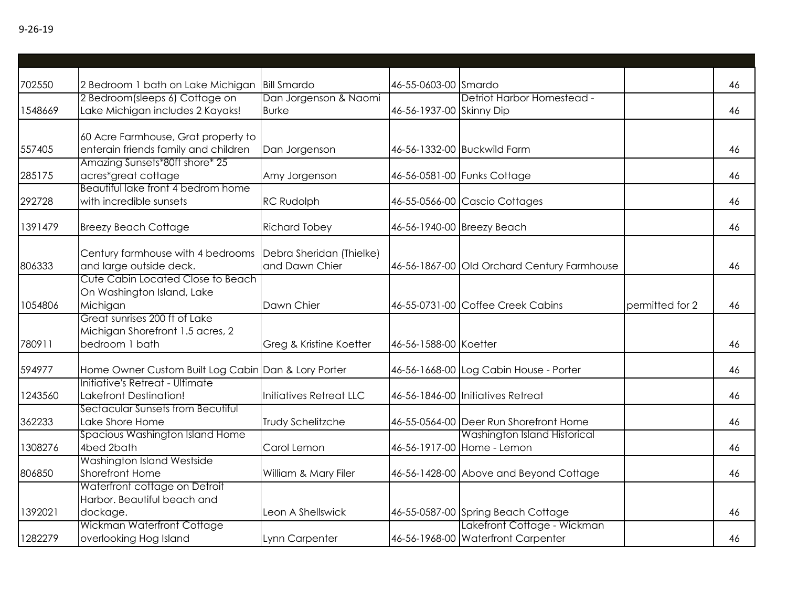| 702550  | 2 Bedroom 1 bath on Lake Michigan                                                   | <b>Bill Smardo</b>                         | 46-55-0603-00 Smardo     |                                                                   |                 | 46 |
|---------|-------------------------------------------------------------------------------------|--------------------------------------------|--------------------------|-------------------------------------------------------------------|-----------------|----|
| 1548669 | 2 Bedroom(sleeps 6) Cottage on<br>Lake Michigan includes 2 Kayaks!                  | Dan Jorgenson & Naomi<br><b>Burke</b>      | 46-56-1937-00 Skinny Dip | Detriot Harbor Homestead -                                        |                 | 46 |
| 557405  | 60 Acre Farmhouse, Grat property to<br>enterain friends family and children         | Dan Jorgenson                              |                          | 46-56-1332-00 Buckwild Farm                                       |                 | 46 |
| 285175  | Amazing Sunsets*80ft shore* 25<br>acres*great cottage                               | Amy Jorgenson                              |                          | 46-56-0581-00 Funks Cottage                                       |                 | 46 |
| 292728  | Beautiful lake front 4 bedrom home<br>with incredible sunsets                       | <b>RC Rudolph</b>                          |                          | 46-55-0566-00 Cascio Cottages                                     |                 | 46 |
| 1391479 | <b>Breezy Beach Cottage</b>                                                         | <b>Richard Tobey</b>                       |                          | 46-56-1940-00 Breezy Beach                                        |                 | 46 |
| 806333  | Century farmhouse with 4 bedrooms<br>and large outside deck.                        | Debra Sheridan (Thielke)<br>and Dawn Chier |                          | 46-56-1867-00 Old Orchard Century Farmhouse                       |                 | 46 |
| 1054806 | Cute Cabin Located Close to Beach<br>On Washington Island, Lake<br>Michigan         | Dawn Chier                                 |                          | 46-55-0731-00 Coffee Creek Cabins                                 | permitted for 2 | 46 |
| 780911  | Great sunrises 200 ft of Lake<br>Michigan Shorefront 1.5 acres, 2<br>bedroom 1 bath | Greg & Kristine Koetter                    | 46-56-1588-00 Koetter    |                                                                   |                 | 46 |
| 594977  | Home Owner Custom Built Log Cabin Dan & Lory Porter                                 |                                            |                          | 46-56-1668-00 Log Cabin House - Porter                            |                 | 46 |
| 1243560 | Initiative's Retreat - Ultimate<br><b>Lakefront Destination!</b>                    | Initiatives Retreat LLC                    |                          | 46-56-1846-00 Initiatives Retreat                                 |                 | 46 |
| 362233  | Sectacular Sunsets from Becutiful<br>Lake Shore Home                                | Trudy Schelitzche                          |                          | 46-55-0564-00 Deer Run Shorefront Home                            |                 | 46 |
| 1308276 | Spacious Washington Island Home<br>4bed 2bath                                       | Carol Lemon                                |                          | Washington Island Historical<br>46-56-1917-00 Home - Lemon        |                 | 46 |
| 806850  | Washington Island Westside<br><b>Shorefront Home</b>                                | William & Mary Filer                       |                          | 46-56-1428-00 Above and Beyond Cottage                            |                 | 46 |
| 1392021 | Waterfront cottage on Detroit<br>Harbor. Beautiful beach and<br>dockage.            | Leon A Shellswick                          |                          | 46-55-0587-00 Spring Beach Cottage                                |                 | 46 |
| 1282279 | Wickman Waterfront Cottage<br>overlooking Hog Island                                | Lynn Carpenter                             |                          | Lakefront Cottage - Wickman<br>46-56-1968-00 Waterfront Carpenter |                 | 46 |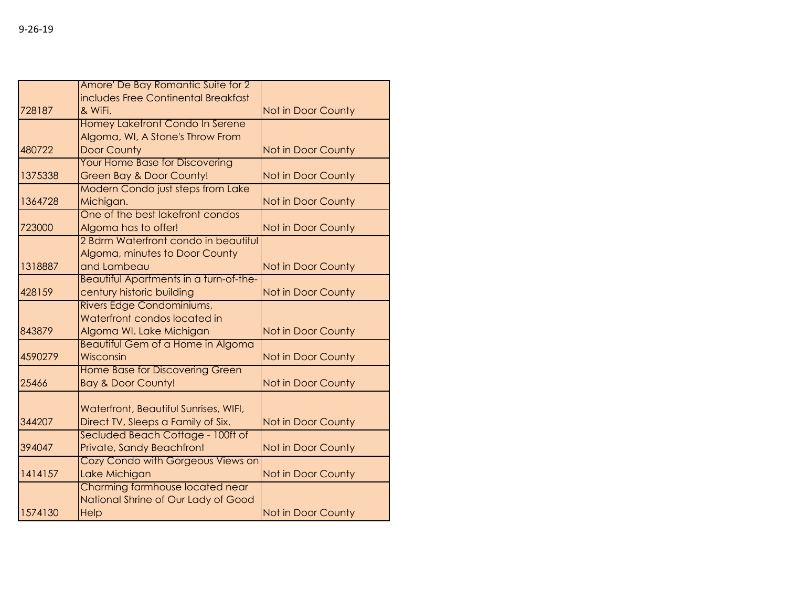|         | Amore' De Bay Romantic Suite for 2       |                           |
|---------|------------------------------------------|---------------------------|
|         | includes Free Continental Breakfast      |                           |
| 728187  | & WiFi.                                  | <b>Not in Door County</b> |
|         | Homey Lakefront Condo In Serene          |                           |
|         | Algoma, WI, A Stone's Throw From         |                           |
| 480722  | <b>Door County</b>                       | Not in Door County        |
|         | <b>Your Home Base for Discovering</b>    |                           |
| 1375338 | <b>Green Bay &amp; Door County!</b>      | Not in Door County        |
|         | <b>Modern Condo just steps from Lake</b> |                           |
| 1364728 | Michigan.                                | Not in Door County        |
|         | One of the best lakefront condos         |                           |
| 723000  | Algoma has to offer!                     | Not in Door County        |
|         | 2 Bdrm Waterfront condo in beautiful     |                           |
|         | Algoma, minutes to Door County           |                           |
| 1318887 | and Lambeau                              | Not in Door County        |
|         | Beautiful Apartments in a turn-of-the-   |                           |
| 428159  | century historic building                | Not in Door County        |
|         | Rivers Edge Condominiums,                |                           |
|         | Waterfront condos located in             |                           |
| 843879  | Algoma WI. Lake Michigan                 | Not in Door County        |
|         | <b>Beautiful Gem of a Home in Algoma</b> |                           |
| 4590279 | Wisconsin                                | Not in Door County        |
|         | <b>Home Base for Discovering Green</b>   |                           |
| 25466   | <b>Bay &amp; Door County!</b>            | Not in Door County        |
|         |                                          |                           |
|         | Waterfront, Beautiful Sunrises, WIFI,    |                           |
| 344207  | Direct TV, Sleeps a Family of Six.       | Not in Door County        |
|         | Secluded Beach Cottage - 100ft of        |                           |
| 394047  | Private, Sandy Beachfront                | Not in Door County        |
|         | Cozy Condo with Gorgeous Views on        |                           |
| 1414157 | Lake Michigan                            | Not in Door County        |
|         | Charming farmhouse located near          |                           |
|         | National Shrine of Our Lady of Good      |                           |
| 1574130 | Help                                     | <b>Not in Door County</b> |